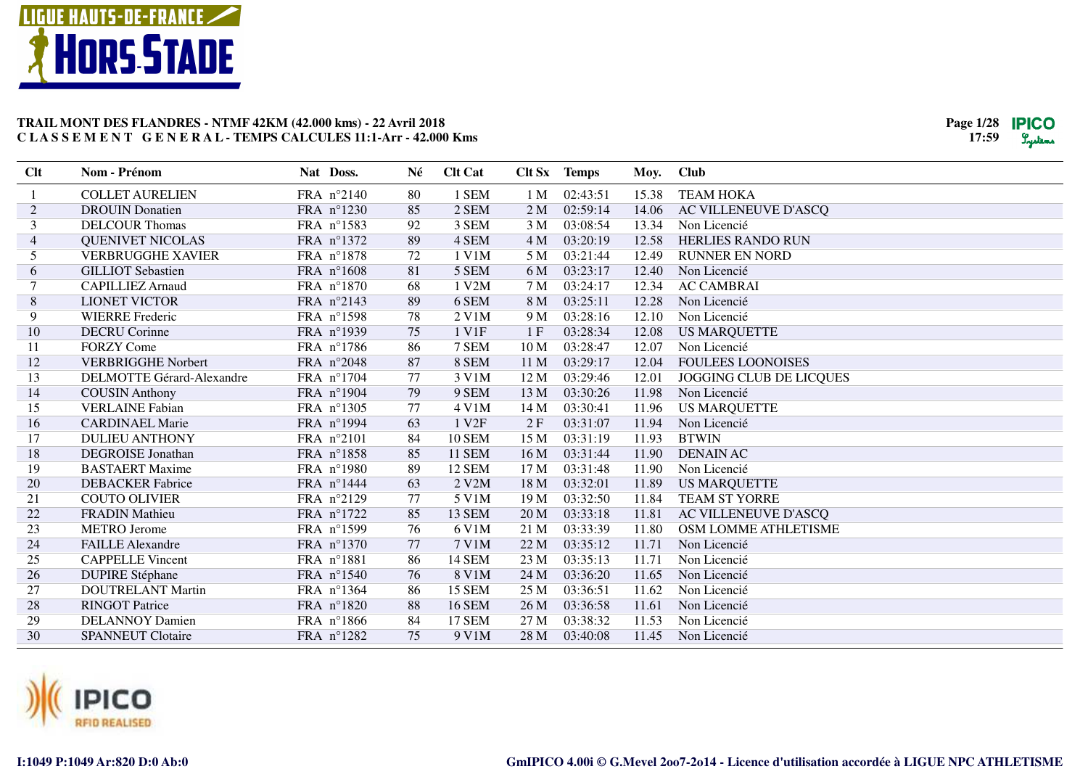



| Clt            | Nom - Prénom                     | Nat Doss.  | Né | <b>Clt Cat</b>    |                 | Clt Sx Temps | Moy.  | <b>Club</b>              |
|----------------|----------------------------------|------------|----|-------------------|-----------------|--------------|-------|--------------------------|
|                | <b>COLLET AURELIEN</b>           | FRA n°2140 | 80 | 1 SEM             | 1 <sub>M</sub>  | 02:43:51     | 15.38 | <b>TEAM HOKA</b>         |
| $\overline{c}$ | <b>DROUIN</b> Donatien           | FRA n°1230 | 85 | 2 SEM             | 2 <sub>M</sub>  | 02:59:14     | 14.06 | AC VILLENEUVE D'ASCQ     |
| 3              | <b>DELCOUR Thomas</b>            | FRA nº1583 | 92 | 3 SEM             | 3 <sub>M</sub>  | 03:08:54     | 13.34 | Non Licencié             |
| 4              | <b>QUENIVET NICOLAS</b>          | FRA nº1372 | 89 | 4 SEM             | 4M              | 03:20:19     | 12.58 | <b>HERLIES RANDO RUN</b> |
| 5              | <b>VERBRUGGHE XAVIER</b>         | FRA n°1878 | 72 | 1 V1M             | 5 M             | 03:21:44     | 12.49 | <b>RUNNER EN NORD</b>    |
| 6              | <b>GILLIOT</b> Sebastien         | FRA n°1608 | 81 | 5 SEM             | 6 M             | 03:23:17     | 12.40 | Non Licencié             |
|                | <b>CAPILLIEZ Arnaud</b>          | FRA n°1870 | 68 | 1 V2M             | 7 M             | 03:24:17     | 12.34 | <b>AC CAMBRAI</b>        |
| 8              | <b>LIONET VICTOR</b>             | FRA n°2143 | 89 | 6 SEM             | 8 M             | 03:25:11     | 12.28 | Non Licencié             |
| 9              | <b>WIERRE</b> Frederic           | FRA n°1598 | 78 | $2$ V1M           | 9 M             | 03:28:16     | 12.10 | Non Licencié             |
| 10             | <b>DECRU</b> Corinne             | FRA n°1939 | 75 | 1 V1F             | 1F              | 03:28:34     | 12.08 | <b>US MARQUETTE</b>      |
| 11             | <b>FORZY Come</b>                | FRA n°1786 | 86 | 7 SEM             | 10 <sub>M</sub> | 03:28:47     | 12.07 | Non Licencié             |
| 12             | <b>VERBRIGGHE Norbert</b>        | FRA n°2048 | 87 | 8 SEM             | 11 M            | 03:29:17     | 12.04 | <b>FOULEES LOONOISES</b> |
| 13             | <b>DELMOTTE Gérard-Alexandre</b> | FRA n°1704 | 77 | 3 V1M             | 12 M            | 03:29:46     | 12.01 | JOGGING CLUB DE LICQUES  |
| 14             | <b>COUSIN Anthony</b>            | FRA n°1904 | 79 | 9 SEM             | 13 M            | 03:30:26     | 11.98 | Non Licencié             |
| 15             | <b>VERLAINE Fabian</b>           | FRA n°1305 | 77 | 4 V1M             | 14 M            | 03:30:41     | 11.96 | <b>US MARQUETTE</b>      |
| 16             | <b>CARDINAEL Marie</b>           | FRA n°1994 | 63 | 1 V <sub>2F</sub> | 2F              | 03:31:07     | 11.94 | Non Licencié             |
| 17             | <b>DULIEU ANTHONY</b>            | FRA n°2101 | 84 | 10 SEM            | 15 M            | 03:31:19     | 11.93 | <b>BTWIN</b>             |
| 18             | <b>DEGROISE</b> Jonathan         | FRA n°1858 | 85 | <b>11 SEM</b>     | 16 M            | 03:31:44     | 11.90 | <b>DENAIN AC</b>         |
| 19             | <b>BASTAERT Maxime</b>           | FRA n°1980 | 89 | <b>12 SEM</b>     | 17 M            | 03:31:48     | 11.90 | Non Licencié             |
| 20             | <b>DEBACKER</b> Fabrice          | FRA n°1444 | 63 | 2 V2M             | 18 M            | 03:32:01     | 11.89 | <b>US MARQUETTE</b>      |
| 21             | <b>COUTO OLIVIER</b>             | FRA n°2129 | 77 | 5 V1M             | 19 M            | 03:32:50     | 11.84 | <b>TEAM ST YORRE</b>     |
| 22             | <b>FRADIN Mathieu</b>            | FRA n°1722 | 85 | 13 SEM            | 20 M            | 03:33:18     | 11.81 | AC VILLENEUVE D'ASCQ     |
| 23             | <b>METRO</b> Jerome              | FRA n°1599 | 76 | 6 V1M             | 21 M            | 03:33:39     | 11.80 | OSM LOMME ATHLETISME     |
| 24             | <b>FAILLE Alexandre</b>          | FRA n°1370 | 77 | 7 V1M             | 22 M            | 03:35:12     | 11.71 | Non Licencié             |
| 25             | <b>CAPPELLE Vincent</b>          | FRA n°1881 | 86 | 14 SEM            | 23 M            | 03:35:13     | 11.71 | Non Licencié             |
| 26             | <b>DUPIRE Stéphane</b>           | FRA n°1540 | 76 | 8 V1M             | 24 M            | 03:36:20     | 11.65 | Non Licencié             |
| 27             | <b>DOUTRELANT Martin</b>         | FRA n°1364 | 86 | <b>15 SEM</b>     | 25 M            | 03:36:51     | 11.62 | Non Licencié             |
| 28             | <b>RINGOT Patrice</b>            | FRA n°1820 | 88 | <b>16 SEM</b>     | 26 M            | 03:36:58     | 11.61 | Non Licencié             |
| 29             | <b>DELANNOY Damien</b>           | FRA n°1866 | 84 | <b>17 SEM</b>     | 27 M            | 03:38:32     | 11.53 | Non Licencié             |
| 30             | <b>SPANNEUT Clotaire</b>         | FRA n°1282 | 75 | 9 V1M             | 28 M            | 03:40:08     | 11.45 | Non Licencié             |

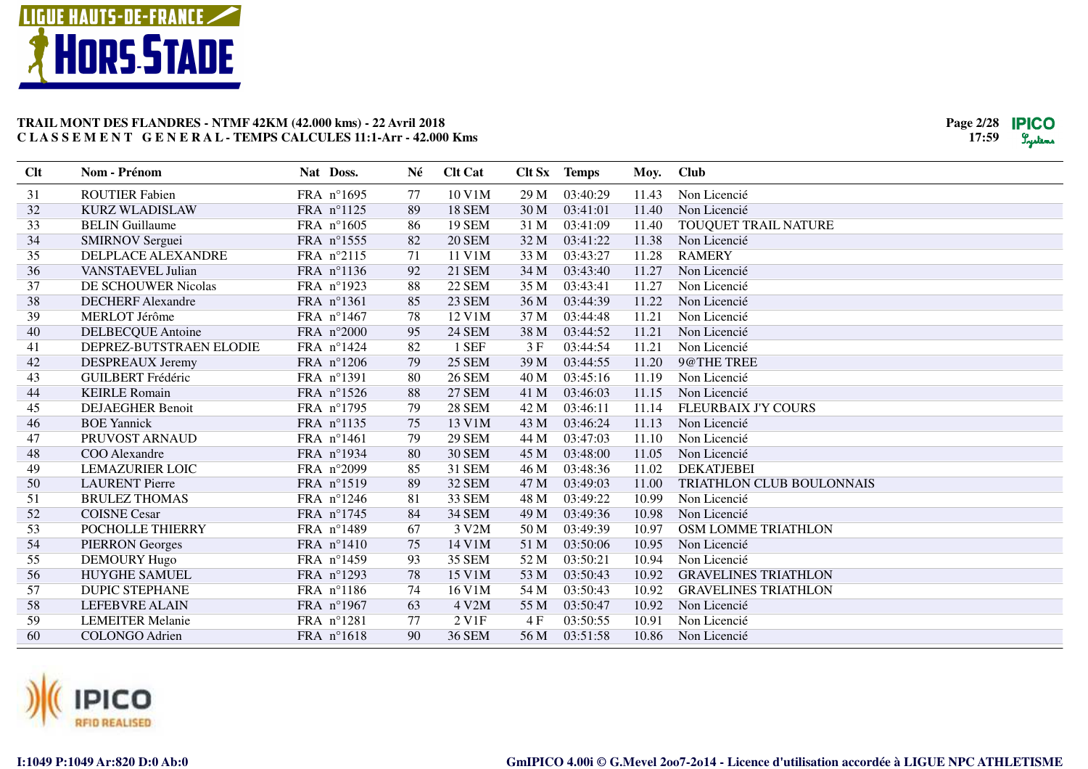



| Clt | Nom - Prénom             | Nat Doss.  | Né | <b>Clt Cat</b>     | Clt Sx | <b>Temps</b> | Moy.  | <b>Club</b>                 |
|-----|--------------------------|------------|----|--------------------|--------|--------------|-------|-----------------------------|
| 31  | <b>ROUTIER Fabien</b>    | FRA n°1695 | 77 | 10 V1M             | 29 M   | 03:40:29     | 11.43 | Non Licencié                |
| 32  | <b>KURZ WLADISLAW</b>    | FRA n°1125 | 89 | <b>18 SEM</b>      | 30 M   | 03:41:01     | 11.40 | Non Licencié                |
| 33  | <b>BELIN</b> Guillaume   | FRA n°1605 | 86 | <b>19 SEM</b>      | 31 M   | 03:41:09     | 11.40 | TOUQUET TRAIL NATURE        |
| 34  | <b>SMIRNOV Serguei</b>   | FRA n°1555 | 82 | <b>20 SEM</b>      | 32 M   | 03:41:22     | 11.38 | Non Licencié                |
| 35  | DELPLACE ALEXANDRE       | FRA n°2115 | 71 | 11 V1M             | 33 M   | 03:43:27     | 11.28 | <b>RAMERY</b>               |
| 36  | VANSTAEVEL Julian        | FRA nº1136 | 92 | <b>21 SEM</b>      | 34 M   | 03:43:40     | 11.27 | Non Licencié                |
| 37  | DE SCHOUWER Nicolas      | FRA nº1923 | 88 | <b>22 SEM</b>      | 35 M   | 03:43:41     | 11.27 | Non Licencié                |
| 38  | <b>DECHERF</b> Alexandre | FRA nº1361 | 85 | 23 SEM             | 36 M   | 03:44:39     | 11.22 | Non Licencié                |
| 39  | <b>MERLOT Jérôme</b>     | FRA n°1467 | 78 | 12 V1M             | 37 M   | 03:44:48     | 11.21 | Non Licencié                |
| 40  | <b>DELBECQUE</b> Antoine | FRA n°2000 | 95 | <b>24 SEM</b>      | 38 M   | 03:44:52     | 11.21 | Non Licencié                |
| 41  | DEPREZ-BUTSTRAEN ELODIE  | FRA n°1424 | 82 | 1 SEF              | 3 F    | 03:44:54     | 11.21 | Non Licencié                |
| 42  | DESPREAUX Jeremy         | FRA n°1206 | 79 | <b>25 SEM</b>      | 39 M   | 03:44:55     | 11.20 | 9@THE TREE                  |
| 43  | <b>GUILBERT Frédéric</b> | FRA nº1391 | 80 | <b>26 SEM</b>      | 40 M   | 03:45:16     | 11.19 | Non Licencié                |
| 44  | <b>KEIRLE Romain</b>     | FRA nº1526 | 88 | <b>27 SEM</b>      | 41 M   | 03:46:03     | 11.15 | Non Licencié                |
| 45  | <b>DEJAEGHER Benoit</b>  | FRA n°1795 | 79 | <b>28 SEM</b>      | 42 M   | 03:46:11     | 11.14 | <b>FLEURBAIX J'Y COURS</b>  |
| 46  | <b>BOE</b> Yannick       | FRA n°1135 | 75 | 13 V1M             | 43 M   | 03:46:24     | 11.13 | Non Licencié                |
| 47  | PRUVOST ARNAUD           | FRA n°1461 | 79 | <b>29 SEM</b>      | 44 M   | 03:47:03     | 11.10 | Non Licencié                |
| 48  | COO Alexandre            | FRA nº1934 | 80 | <b>30 SEM</b>      | 45 M   | 03:48:00     | 11.05 | Non Licencié                |
| 49  | <b>LEMAZURIER LOIC</b>   | FRA n°2099 | 85 | 31 SEM             | 46 M   | 03:48:36     | 11.02 | <b>DEKATJEBEI</b>           |
| 50  | <b>LAURENT Pierre</b>    | FRA n°1519 | 89 | 32 SEM             | 47 M   | 03:49:03     | 11.00 | TRIATHLON CLUB BOULONNAIS   |
| 51  | <b>BRULEZ THOMAS</b>     | FRA n°1246 | 81 | 33 SEM             | 48 M   | 03:49:22     | 10.99 | Non Licencié                |
| 52  | <b>COISNE Cesar</b>      | FRA n°1745 | 84 | <b>34 SEM</b>      | 49 M   | 03:49:36     | 10.98 | Non Licencié                |
| 53  | POCHOLLE THIERRY         | FRA n°1489 | 67 | 3 V2M              | 50 M   | 03:49:39     | 10.97 | OSM LOMME TRIATHLON         |
| 54  | <b>PIERRON</b> Georges   | FRA n°1410 | 75 | 14 V1M             | 51 M   | 03:50:06     | 10.95 | Non Licencié                |
| 55  | <b>DEMOURY Hugo</b>      | FRA n°1459 | 93 | 35 SEM             | 52 M   | 03:50:21     | 10.94 | Non Licencié                |
| 56  | <b>HUYGHE SAMUEL</b>     | FRA nº1293 | 78 | 15 V1M             | 53 M   | 03:50:43     | 10.92 | <b>GRAVELINES TRIATHLON</b> |
| 57  | <b>DUPIC STEPHANE</b>    | FRA nº1186 | 74 | 16 V1M             | 54 M   | 03:50:43     | 10.92 | <b>GRAVELINES TRIATHLON</b> |
| 58  | <b>LEFEBVRE ALAIN</b>    | FRA n°1967 | 63 | 4 V2M              | 55 M   | 03:50:47     | 10.92 | Non Licencié                |
| 59  | <b>LEMEITER Melanie</b>  | FRA n°1281 | 77 | 2 V <sub>1</sub> F | 4 F    | 03:50:55     | 10.91 | Non Licencié                |
| 60  | <b>COLONGO Adrien</b>    | FRA n°1618 | 90 | <b>36 SEM</b>      | 56 M   | 03:51:58     | 10.86 | Non Licencié                |
|     |                          |            |    |                    |        |              |       |                             |

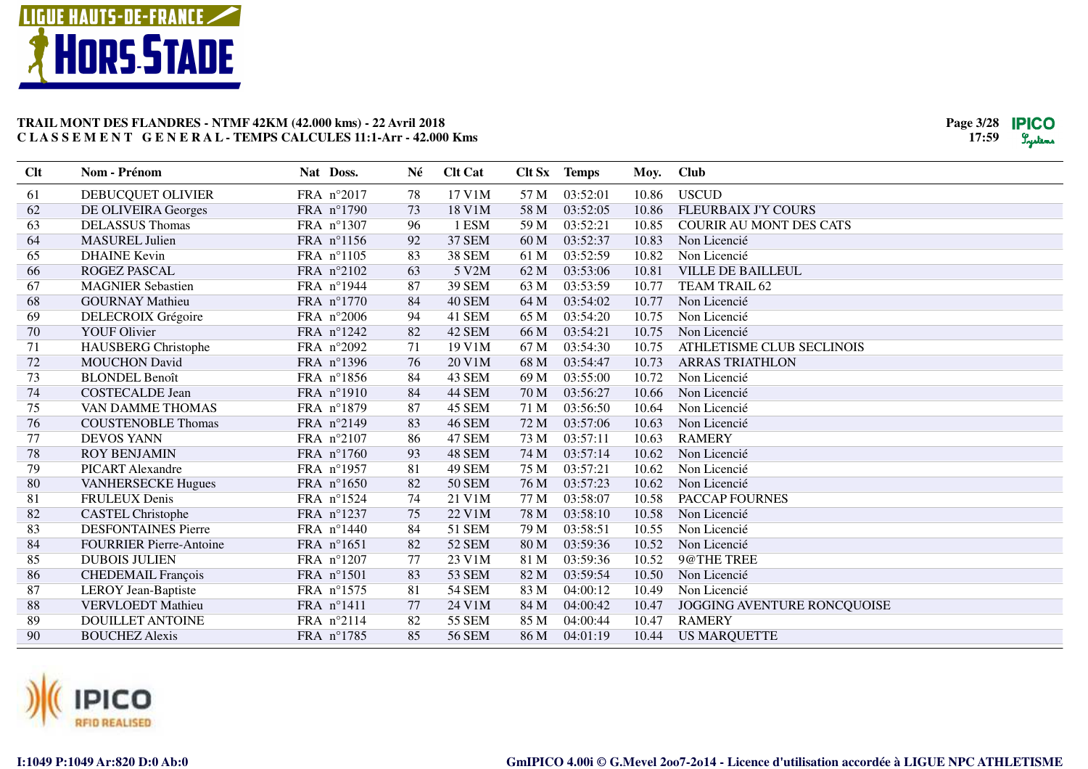



| 17 V1M<br><b>USCUD</b><br>DEBUCQUET OLIVIER<br>FRA n°2017<br>57 M<br>03:52:01<br>10.86<br>61<br>78<br>62<br>73<br>FLEURBAIX J'Y COURS<br>FRA n°1790<br>18 V1M<br>58 M<br>03:52:05<br>10.86<br>DE OLIVEIRA Georges<br>63<br>96<br>1 ESM<br>03:52:21<br><b>DELASSUS</b> Thomas<br>FRA n°1307<br>59 M<br>10.85<br><b>COURIR AU MONT DES CATS</b> |  |
|-----------------------------------------------------------------------------------------------------------------------------------------------------------------------------------------------------------------------------------------------------------------------------------------------------------------------------------------------|--|
|                                                                                                                                                                                                                                                                                                                                               |  |
|                                                                                                                                                                                                                                                                                                                                               |  |
|                                                                                                                                                                                                                                                                                                                                               |  |
| <b>37 SEM</b><br>64<br><b>MASUREL Julien</b><br>FRA nº1156<br>92<br>60 M<br>03:52:37<br>10.83<br>Non Licencié                                                                                                                                                                                                                                 |  |
| 83<br>65<br>FRA n°1105<br><b>38 SEM</b><br>03:52:59<br>10.82<br><b>DHAINE</b> Kevin<br>61 M<br>Non Licencié                                                                                                                                                                                                                                   |  |
| 66<br>FRA n°2102<br>5 V2M<br>03:53:06<br><b>VILLE DE BAILLEUL</b><br><b>ROGEZ PASCAL</b><br>63<br>62 M<br>10.81                                                                                                                                                                                                                               |  |
| <b>39 SEM</b><br>67<br><b>MAGNIER Sebastien</b><br>FRA nº1944<br>87<br>63 M<br>03:53:59<br>10.77<br>TEAM TRAIL 62                                                                                                                                                                                                                             |  |
| <b>GOURNAY Mathieu</b><br>84<br>40 SEM<br>03:54:02<br>Non Licencié<br>68<br>FRA n°1770<br>64 M<br>10.77                                                                                                                                                                                                                                       |  |
| 94<br>69<br>DELECROIX Grégoire<br>FRA n°2006<br>41 SEM<br>65 M<br>03:54:20<br>10.75<br>Non Licencié                                                                                                                                                                                                                                           |  |
| 70<br>82<br>42 SEM<br><b>YOUF Olivier</b><br>FRA n°1242<br>66 M<br>03:54:21<br>10.75<br>Non Licencié                                                                                                                                                                                                                                          |  |
| 71<br>71<br>19 V1M<br>03:54:30<br>ATHLETISME CLUB SECLINOIS<br><b>HAUSBERG Christophe</b><br>FRA n°2092<br>67 M<br>10.75                                                                                                                                                                                                                      |  |
| 72<br><b>MOUCHON</b> David<br>FRA nº1396<br>76<br>20 V1M<br>68 M<br>03:54:47<br>10.73<br><b>ARRAS TRIATHLON</b>                                                                                                                                                                                                                               |  |
| 73<br>43 SEM<br><b>BLONDEL Benoît</b><br>FRA n°1856<br>84<br>69 M<br>03:55:00<br>10.72<br>Non Licencié                                                                                                                                                                                                                                        |  |
| 84<br>74<br>44 SEM<br>03:56:27<br>Non Licencié<br><b>COSTECALDE Jean</b><br>FRA n°1910<br>70 M<br>10.66                                                                                                                                                                                                                                       |  |
| 75<br>VAN DAMME THOMAS<br>FRA n°1879<br>87<br>45 SEM<br>71 M<br>03:56:50<br>10.64<br>Non Licencié                                                                                                                                                                                                                                             |  |
| 76<br><b>COUSTENOBLE Thomas</b><br>FRA n°2149<br>83<br><b>46 SEM</b><br>72 M<br>03:57:06<br>10.63<br>Non Licencié                                                                                                                                                                                                                             |  |
| 77<br>86<br>47 SEM<br>03:57:11<br><b>DEVOS YANN</b><br>FRA n°2107<br>73 M<br>10.63<br><b>RAMERY</b>                                                                                                                                                                                                                                           |  |
| 78<br>93<br><b>ROY BENJAMIN</b><br>FRA n°1760<br>48 SEM<br>74 M<br>03:57:14<br>10.62<br>Non Licencié                                                                                                                                                                                                                                          |  |
| 79<br>03:57:21<br><b>PICART Alexandre</b><br>81<br>49 SEM<br>FRA n°1957<br>75 M<br>10.62<br>Non Licencié                                                                                                                                                                                                                                      |  |
| 80<br>82<br><b>50 SEM</b><br>03:57:23<br>Non Licencié<br><b>VANHERSECKE Hugues</b><br>FRA n°1650<br>76 M<br>10.62                                                                                                                                                                                                                             |  |
| 74<br>21 V1M<br>PACCAP FOURNES<br>81<br><b>FRULEUX Denis</b><br>FRA nº1524<br>77 M<br>03:58:07<br>10.58                                                                                                                                                                                                                                       |  |
| 82<br>22 V1M<br>03:58:10<br>Non Licencié<br><b>CASTEL Christophe</b><br>FRA nº1237<br>75<br>78 M<br>10.58                                                                                                                                                                                                                                     |  |
| 83<br><b>DESFONTAINES Pierre</b><br>FRA n°1440<br>84<br>51 SEM<br>79 M<br>03:58:51<br>10.55<br>Non Licencié                                                                                                                                                                                                                                   |  |
| 84<br>82<br><b>52 SEM</b><br><b>FOURRIER Pierre-Antoine</b><br>FRA n°1651<br>80 M<br>03:59:36<br>10.52<br>Non Licencié                                                                                                                                                                                                                        |  |
| 85<br>23 V1M<br>03:59:36<br>10.52<br>9@THE TREE<br><b>DUBOIS JULIEN</b><br>FRA $n^{\circ}1207$<br>77<br>81 M                                                                                                                                                                                                                                  |  |
| 86<br><b>CHEDEMAIL François</b><br>FRA n°1501<br>83<br><b>53 SEM</b><br>82 M<br>03:59:54<br>Non Licencié<br>10.50                                                                                                                                                                                                                             |  |
| 87<br>81<br><b>54 SEM</b><br>04:00:12<br>LEROY Jean-Baptiste<br>FRA n°1575<br>83 M<br>10.49<br>Non Licencié                                                                                                                                                                                                                                   |  |
| 88<br><b>VERVLOEDT</b> Mathieu<br>FRA n°1411<br>77<br>24 V1M<br>84 M<br>04:00:42<br>10.47<br>JOGGING AVENTURE RONCQUOISE                                                                                                                                                                                                                      |  |
| 89<br><b>DOUILLET ANTOINE</b><br>FRA n°2114<br>82<br><b>55 SEM</b><br>85 M<br>04:00:44<br>10.47<br><b>RAMERY</b>                                                                                                                                                                                                                              |  |
| 90<br><b>BOUCHEZ Alexis</b><br>85<br><b>56 SEM</b><br>86 M<br>04:01:19<br>FRA n°1785<br>10.44<br><b>US MARQUETTE</b>                                                                                                                                                                                                                          |  |

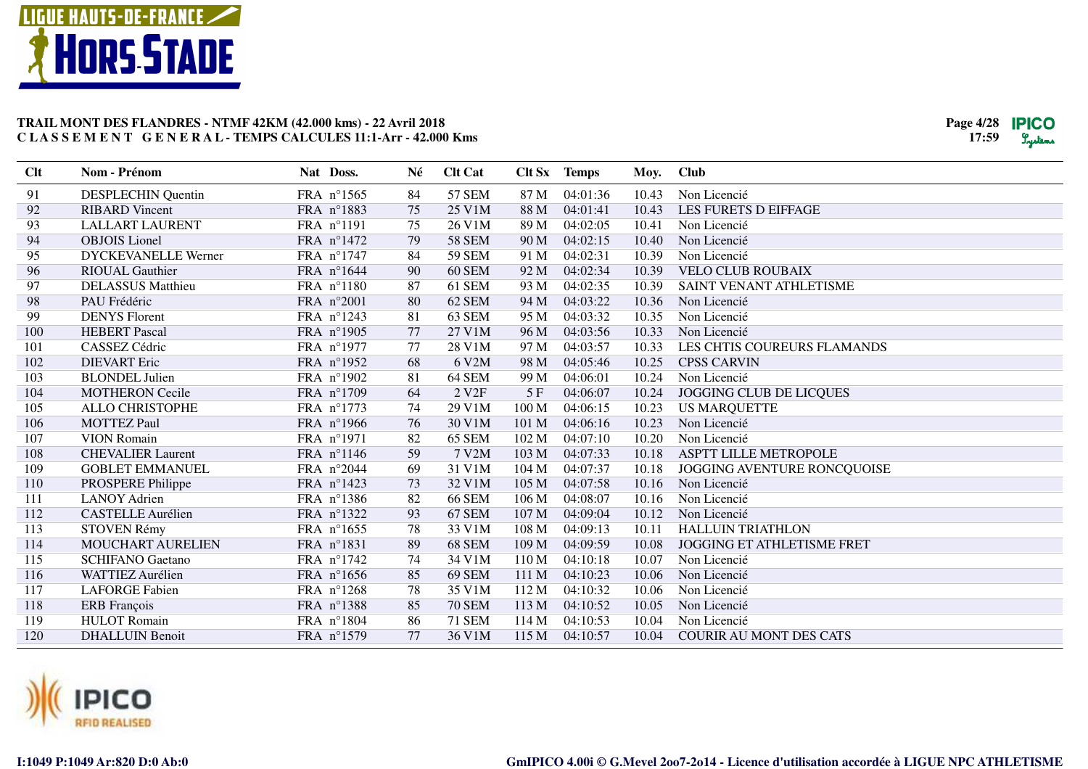



| Clt | Nom - Prénom               | Nat Doss.  | Né | <b>Clt Cat</b>     |                  | Clt Sx Temps | Moy.  | <b>Club</b>                       |
|-----|----------------------------|------------|----|--------------------|------------------|--------------|-------|-----------------------------------|
| 91  | <b>DESPLECHIN Quentin</b>  | FRA n°1565 | 84 | <b>57 SEM</b>      | 87 M             | 04:01:36     | 10.43 | Non Licencié                      |
| 92  | <b>RIBARD Vincent</b>      | FRA n°1883 | 75 | 25 V1M             | 88 M             | 04:01:41     | 10.43 | LES FURETS D EIFFAGE              |
| 93  | <b>LALLART LAURENT</b>     | FRA n°1191 | 75 | 26 V1M             | 89 M             | 04:02:05     | 10.41 | Non Licencié                      |
| 94  | <b>OBJOIS</b> Lionel       | FRA n°1472 | 79 | <b>58 SEM</b>      | 90 M             | 04:02:15     | 10.40 | Non Licencié                      |
| 95  | <b>DYCKEVANELLE Werner</b> | FRA n°1747 | 84 | <b>59 SEM</b>      | 91 M             | 04:02:31     | 10.39 | Non Licencié                      |
| 96  | <b>RIOUAL Gauthier</b>     | FRA n°1644 | 90 | 60 SEM             | 92 M             | 04:02:34     | 10.39 | <b>VELO CLUB ROUBAIX</b>          |
| 97  | <b>DELASSUS</b> Matthieu   | FRA n°1180 | 87 | 61 SEM             | 93 M             | 04:02:35     | 10.39 | SAINT VENANT ATHLETISME           |
| 98  | PAU Frédéric               | FRA n°2001 | 80 | 62 SEM             | 94 M             | 04:03:22     | 10.36 | Non Licencié                      |
| 99  | <b>DENYS</b> Florent       | FRA nº1243 | 81 | 63 SEM             | 95 M             | 04:03:32     | 10.35 | Non Licencié                      |
| 100 | <b>HEBERT</b> Pascal       | FRA n°1905 | 77 | 27 V1M             | 96 M             | 04:03:56     | 10.33 | Non Licencié                      |
| 101 | CASSEZ Cédric              | FRA n°1977 | 77 | 28 V1M             | 97 M             | 04:03:57     | 10.33 | LES CHTIS COUREURS FLAMANDS       |
| 102 | <b>DIEVART</b> Eric        | FRA nº1952 | 68 | 6 V2M              | 98 M             | 04:05:46     | 10.25 | <b>CPSS CARVIN</b>                |
| 103 | <b>BLONDEL Julien</b>      | FRA n°1902 | 81 | 64 SEM             | 99 M             | 04:06:01     | 10.24 | Non Licencié                      |
| 104 | <b>MOTHERON Cecile</b>     | FRA n°1709 | 64 | 2 V <sub>2</sub> F | 5F               | 04:06:07     | 10.24 | <b>JOGGING CLUB DE LICQUES</b>    |
| 105 | ALLO CHRISTOPHE            | FRA n°1773 | 74 | 29 V1M             | 100 M            | 04:06:15     | 10.23 | <b>US MARQUETTE</b>               |
| 106 | <b>MOTTEZ Paul</b>         | FRA n°1966 | 76 | 30 V1M             | 101 M            | 04:06:16     | 10.23 | Non Licencié                      |
| 107 | <b>VION Romain</b>         | FRA n°1971 | 82 | 65 SEM             | 102 M            | 04:07:10     | 10.20 | Non Licencié                      |
| 108 | <b>CHEVALIER Laurent</b>   | FRA nº1146 | 59 | 7 V2M              | 103 <sub>M</sub> | 04:07:33     | 10.18 | <b>ASPTT LILLE METROPOLE</b>      |
| 109 | <b>GOBLET EMMANUEL</b>     | FRA n°2044 | 69 | 31 V1M             | 104 M            | 04:07:37     | 10.18 | JOGGING AVENTURE RONCQUOISE       |
| 110 | PROSPERE Philippe          | FRA n°1423 | 73 | 32 V1M             | 105 M            | 04:07:58     | 10.16 | Non Licencié                      |
| 111 | <b>LANOY Adrien</b>        | FRA nº1386 | 82 | <b>66 SEM</b>      | 106 M            | 04:08:07     | 10.16 | Non Licencié                      |
| 112 | <b>CASTELLE Aurélien</b>   | FRA nº1322 | 93 | 67 SEM             | 107 M            | 04:09:04     | 10.12 | Non Licencié                      |
| 113 | STOVEN Rémy                | FRA nº1655 | 78 | 33 V1M             | 108 M            | 04:09:13     | 10.11 | <b>HALLUIN TRIATHLON</b>          |
| 114 | MOUCHART AURELIEN          | FRA n°1831 | 89 | 68 SEM             | 109 M            | 04:09:59     | 10.08 | <b>JOGGING ET ATHLETISME FRET</b> |
| 115 | <b>SCHIFANO</b> Gaetano    | FRA n°1742 | 74 | 34 V1M             | 110 M            | 04:10:18     | 10.07 | Non Licencié                      |
| 116 | <b>WATTIEZ Aurélien</b>    | FRA n°1656 | 85 | 69 SEM             | 111 M            | 04:10:23     | 10.06 | Non Licencié                      |
| 117 | <b>LAFORGE Fabien</b>      | FRA nº1268 | 78 | 35 V1M             | 112 M            | 04:10:32     | 10.06 | Non Licencié                      |
| 118 | <b>ERB</b> François        | FRA nº1388 | 85 | <b>70 SEM</b>      | 113 M            | 04:10:52     | 10.05 | Non Licencié                      |
| 119 | <b>HULOT</b> Romain        | FRA n°1804 | 86 | <b>71 SEM</b>      | 114M             | 04:10:53     | 10.04 | Non Licencié                      |
| 120 | <b>DHALLUIN Benoit</b>     | FRA n°1579 | 77 | 36 V1M             | 115M             | 04:10:57     | 10.04 | <b>COURIR AU MONT DES CATS</b>    |
|     |                            |            |    |                    |                  |              |       |                                   |

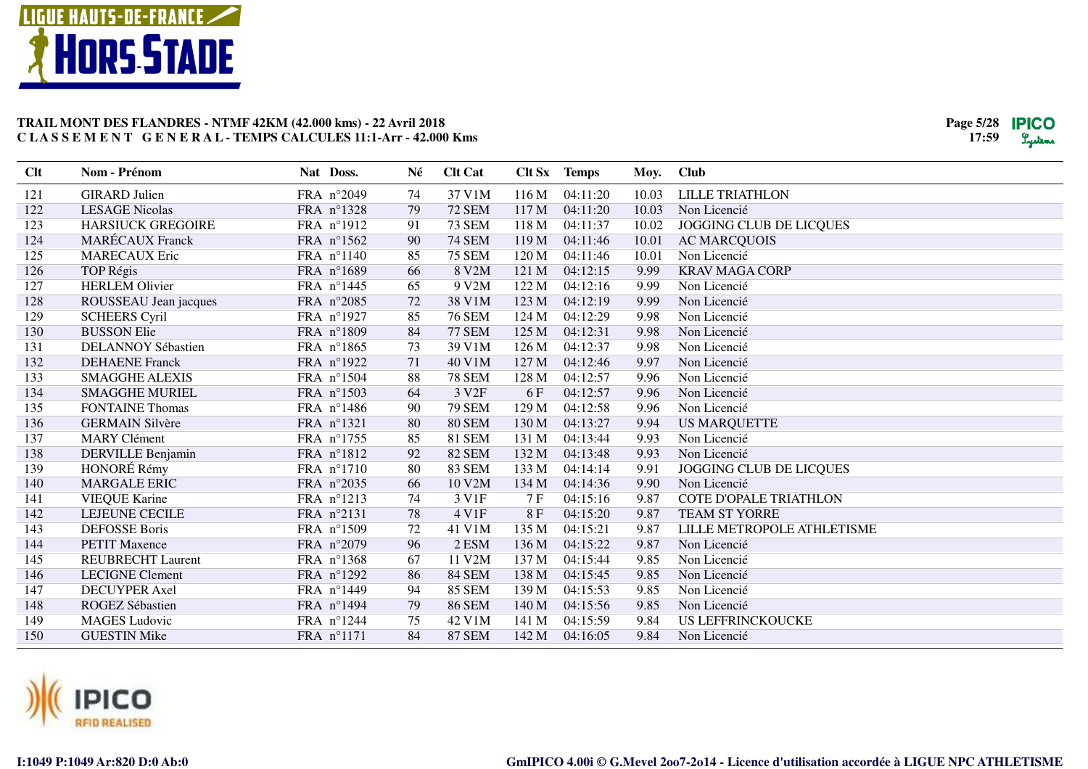



| FRA n°2049<br>37 V1M<br>121<br><b>GIRARD Julien</b><br>116 M<br>04:11:20<br>10.03<br><b>LILLE TRIATHLON</b><br>74<br>122<br><b>72 SEM</b><br>117 M<br><b>LESAGE Nicolas</b><br>FRA nº1328<br>79<br>04:11:20<br>10.03<br>Non Licencié<br>123<br><b>HARSIUCK GREGOIRE</b><br>FRA n°1912<br>91<br><b>73 SEM</b><br>04:11:37<br><b>JOGGING CLUB DE LICQUES</b><br>118 M<br>10.02<br><b>MARÉCAUX</b> Franck<br>124<br><b>74 SEM</b><br>FRA nº1562<br>90<br>119M<br>04:11:46<br>10.01<br><b>AC MARCQUOIS</b><br>125<br><b>MARECAUX Eric</b><br>FRA n°1140<br>85<br><b>75 SEM</b><br>120 M<br>04:11:46<br>Non Licencié<br>10.01<br>126<br>FRA n°1689<br>66<br>8 V2M<br><b>KRAV MAGA CORP</b><br><b>TOP Régis</b><br>121 M<br>04:12:15<br>9.99<br>127<br><b>HERLEM Olivier</b><br>9 V2M<br>FRA n°1445<br>65<br>122 M<br>04:12:16<br>9.99<br>Non Licencié<br>38 V1M<br>123 M<br>04:12:19<br>Non Licencié<br>128<br>FRA n°2085<br>72<br>9.99<br>ROUSSEAU Jean jacques<br>129<br>FRA n°1927<br>85<br><b>SCHEERS Cyril</b><br><b>76 SEM</b><br>124 M<br>04:12:29<br>9.98<br>Non Licencié<br>84<br><b>77 SEM</b><br>130<br><b>BUSSON Elie</b><br>FRA n°1809<br>125 M<br>04:12:31<br>9.98<br>Non Licencié<br>131<br>39 V1M<br>04:12:37<br>DELANNOY Sébastien<br>FRA $n^{\circ}1865$<br>73<br>126 M<br>9.98<br>Non Licencié<br>132<br>FRA n°1922<br>40 V1M<br><b>DEHAENE</b> Franck<br>71<br>127 M<br>04:12:46<br>9.97<br>Non Licencié<br>FRA n°1504<br>88<br><b>78 SEM</b><br>133<br><b>SMAGGHE ALEXIS</b><br>128 M<br>04:12:57<br>9.96<br>Non Licencié<br>3 V <sub>2F</sub><br>04:12:57<br>Non Licencié<br>134<br><b>SMAGGHE MURIEL</b><br>FRA n°1503<br>64<br>6 F<br>9.96<br>135<br>FRA n°1486<br><b>79 SEM</b><br>04:12:58<br>Non Licencié<br><b>FONTAINE Thomas</b><br>90<br>129 M<br>9.96<br>136<br>FRA n°1321<br><b>80 SEM</b><br>04:13:27<br><b>GERMAIN Silvère</b><br>80<br>130 M<br>9.94<br><b>US MARQUETTE</b><br>137<br>85<br><b>81 SEM</b><br><b>MARY Clément</b><br>FRA n°1755<br>131 M<br>04:13:44<br>9.93<br>Non Licencié<br>138<br>92<br><b>82 SEM</b><br>DERVILLE Benjamin<br>FRA n°1812<br>132 M<br>04:13:48<br>9.93<br>Non Licencié<br>HONORÉ Rémy<br><b>83 SEM</b><br>139<br>FRA n°1710<br>80<br>133 M<br>04:14:14<br>JOGGING CLUB DE LICQUES<br>9.91<br>140<br>FRA n°2035<br>10 V2M<br>Non Licencié<br><b>MARGALE ERIC</b><br>66<br>134 M<br>04:14:36<br>9.90<br>141<br>74<br>3 V1F<br><b>COTE D'OPALE TRIATHLON</b><br><b>VIEQUE Karine</b><br>FRA nº1213<br>7 F<br>04:15:16<br>9.87<br>142<br>LEJEUNE CECILE<br>FRA n°2131<br>78<br>4 V1F<br>8F<br>04:15:20<br><b>TEAM ST YORRE</b><br>9.87<br>143<br><b>DEFOSSE Boris</b><br>FRA n°1509<br>72<br>41 V1M<br>135 M<br>LILLE METROPOLE ATHLETISME<br>04:15:21<br>9.87<br>144<br>96<br>2 ESM<br>Non Licencié<br><b>PETIT Maxence</b><br>FRA n°2079<br>136 M<br>04:15:22<br>9.87<br>145<br><b>REUBRECHT Laurent</b><br>FRA nº1368<br>67<br>11 V2M<br>137 M<br>04:15:44<br>9.85<br>Non Licencié<br>146<br><b>LECIGNE Clement</b><br>FRA n°1292<br>86<br><b>84 SEM</b><br>138 M<br>04:15:45<br>9.85<br>Non Licencié<br>147<br>FRA n°1449<br>94<br><b>85 SEM</b><br>04:15:53<br><b>DECUYPER Axel</b><br>139 M<br>9.85<br>Non Licencié<br>148<br>79<br><b>86 SEM</b><br>04:15:56<br>ROGEZ Sébastien<br>FRA n°1494<br>140 M<br>9.85<br>Non Licencié<br>149<br>FRA n°1244<br><b>MAGES</b> Ludovic<br>75<br>42 V1M<br>141 M<br>04:15:59<br>9.84<br><b>US LEFFRINCKOUCKE</b><br>84<br><b>87 SEM</b><br>150<br>FRA n°1171<br>142 M<br>04:16:05<br>9.84<br>Non Licencié<br><b>GUESTIN Mike</b> | Clt | Nom - Prénom | Nat Doss. | Né | <b>Clt Cat</b> | Clt Sx Temps | Moy. | <b>Club</b> |
|-------------------------------------------------------------------------------------------------------------------------------------------------------------------------------------------------------------------------------------------------------------------------------------------------------------------------------------------------------------------------------------------------------------------------------------------------------------------------------------------------------------------------------------------------------------------------------------------------------------------------------------------------------------------------------------------------------------------------------------------------------------------------------------------------------------------------------------------------------------------------------------------------------------------------------------------------------------------------------------------------------------------------------------------------------------------------------------------------------------------------------------------------------------------------------------------------------------------------------------------------------------------------------------------------------------------------------------------------------------------------------------------------------------------------------------------------------------------------------------------------------------------------------------------------------------------------------------------------------------------------------------------------------------------------------------------------------------------------------------------------------------------------------------------------------------------------------------------------------------------------------------------------------------------------------------------------------------------------------------------------------------------------------------------------------------------------------------------------------------------------------------------------------------------------------------------------------------------------------------------------------------------------------------------------------------------------------------------------------------------------------------------------------------------------------------------------------------------------------------------------------------------------------------------------------------------------------------------------------------------------------------------------------------------------------------------------------------------------------------------------------------------------------------------------------------------------------------------------------------------------------------------------------------------------------------------------------------------------------------------------------------------------------------------------------------------------------------------------------------------------------------------------------------------------------------------------------------------------------------------------------------------------------------------------------------------------------------------------------------------------------------------------------------------------------------------------------------------------------------------------------------------------------------------|-----|--------------|-----------|----|----------------|--------------|------|-------------|
|                                                                                                                                                                                                                                                                                                                                                                                                                                                                                                                                                                                                                                                                                                                                                                                                                                                                                                                                                                                                                                                                                                                                                                                                                                                                                                                                                                                                                                                                                                                                                                                                                                                                                                                                                                                                                                                                                                                                                                                                                                                                                                                                                                                                                                                                                                                                                                                                                                                                                                                                                                                                                                                                                                                                                                                                                                                                                                                                                                                                                                                                                                                                                                                                                                                                                                                                                                                                                                                                                                                                           |     |              |           |    |                |              |      |             |
|                                                                                                                                                                                                                                                                                                                                                                                                                                                                                                                                                                                                                                                                                                                                                                                                                                                                                                                                                                                                                                                                                                                                                                                                                                                                                                                                                                                                                                                                                                                                                                                                                                                                                                                                                                                                                                                                                                                                                                                                                                                                                                                                                                                                                                                                                                                                                                                                                                                                                                                                                                                                                                                                                                                                                                                                                                                                                                                                                                                                                                                                                                                                                                                                                                                                                                                                                                                                                                                                                                                                           |     |              |           |    |                |              |      |             |
|                                                                                                                                                                                                                                                                                                                                                                                                                                                                                                                                                                                                                                                                                                                                                                                                                                                                                                                                                                                                                                                                                                                                                                                                                                                                                                                                                                                                                                                                                                                                                                                                                                                                                                                                                                                                                                                                                                                                                                                                                                                                                                                                                                                                                                                                                                                                                                                                                                                                                                                                                                                                                                                                                                                                                                                                                                                                                                                                                                                                                                                                                                                                                                                                                                                                                                                                                                                                                                                                                                                                           |     |              |           |    |                |              |      |             |
|                                                                                                                                                                                                                                                                                                                                                                                                                                                                                                                                                                                                                                                                                                                                                                                                                                                                                                                                                                                                                                                                                                                                                                                                                                                                                                                                                                                                                                                                                                                                                                                                                                                                                                                                                                                                                                                                                                                                                                                                                                                                                                                                                                                                                                                                                                                                                                                                                                                                                                                                                                                                                                                                                                                                                                                                                                                                                                                                                                                                                                                                                                                                                                                                                                                                                                                                                                                                                                                                                                                                           |     |              |           |    |                |              |      |             |
|                                                                                                                                                                                                                                                                                                                                                                                                                                                                                                                                                                                                                                                                                                                                                                                                                                                                                                                                                                                                                                                                                                                                                                                                                                                                                                                                                                                                                                                                                                                                                                                                                                                                                                                                                                                                                                                                                                                                                                                                                                                                                                                                                                                                                                                                                                                                                                                                                                                                                                                                                                                                                                                                                                                                                                                                                                                                                                                                                                                                                                                                                                                                                                                                                                                                                                                                                                                                                                                                                                                                           |     |              |           |    |                |              |      |             |
|                                                                                                                                                                                                                                                                                                                                                                                                                                                                                                                                                                                                                                                                                                                                                                                                                                                                                                                                                                                                                                                                                                                                                                                                                                                                                                                                                                                                                                                                                                                                                                                                                                                                                                                                                                                                                                                                                                                                                                                                                                                                                                                                                                                                                                                                                                                                                                                                                                                                                                                                                                                                                                                                                                                                                                                                                                                                                                                                                                                                                                                                                                                                                                                                                                                                                                                                                                                                                                                                                                                                           |     |              |           |    |                |              |      |             |
|                                                                                                                                                                                                                                                                                                                                                                                                                                                                                                                                                                                                                                                                                                                                                                                                                                                                                                                                                                                                                                                                                                                                                                                                                                                                                                                                                                                                                                                                                                                                                                                                                                                                                                                                                                                                                                                                                                                                                                                                                                                                                                                                                                                                                                                                                                                                                                                                                                                                                                                                                                                                                                                                                                                                                                                                                                                                                                                                                                                                                                                                                                                                                                                                                                                                                                                                                                                                                                                                                                                                           |     |              |           |    |                |              |      |             |
|                                                                                                                                                                                                                                                                                                                                                                                                                                                                                                                                                                                                                                                                                                                                                                                                                                                                                                                                                                                                                                                                                                                                                                                                                                                                                                                                                                                                                                                                                                                                                                                                                                                                                                                                                                                                                                                                                                                                                                                                                                                                                                                                                                                                                                                                                                                                                                                                                                                                                                                                                                                                                                                                                                                                                                                                                                                                                                                                                                                                                                                                                                                                                                                                                                                                                                                                                                                                                                                                                                                                           |     |              |           |    |                |              |      |             |
|                                                                                                                                                                                                                                                                                                                                                                                                                                                                                                                                                                                                                                                                                                                                                                                                                                                                                                                                                                                                                                                                                                                                                                                                                                                                                                                                                                                                                                                                                                                                                                                                                                                                                                                                                                                                                                                                                                                                                                                                                                                                                                                                                                                                                                                                                                                                                                                                                                                                                                                                                                                                                                                                                                                                                                                                                                                                                                                                                                                                                                                                                                                                                                                                                                                                                                                                                                                                                                                                                                                                           |     |              |           |    |                |              |      |             |
|                                                                                                                                                                                                                                                                                                                                                                                                                                                                                                                                                                                                                                                                                                                                                                                                                                                                                                                                                                                                                                                                                                                                                                                                                                                                                                                                                                                                                                                                                                                                                                                                                                                                                                                                                                                                                                                                                                                                                                                                                                                                                                                                                                                                                                                                                                                                                                                                                                                                                                                                                                                                                                                                                                                                                                                                                                                                                                                                                                                                                                                                                                                                                                                                                                                                                                                                                                                                                                                                                                                                           |     |              |           |    |                |              |      |             |
|                                                                                                                                                                                                                                                                                                                                                                                                                                                                                                                                                                                                                                                                                                                                                                                                                                                                                                                                                                                                                                                                                                                                                                                                                                                                                                                                                                                                                                                                                                                                                                                                                                                                                                                                                                                                                                                                                                                                                                                                                                                                                                                                                                                                                                                                                                                                                                                                                                                                                                                                                                                                                                                                                                                                                                                                                                                                                                                                                                                                                                                                                                                                                                                                                                                                                                                                                                                                                                                                                                                                           |     |              |           |    |                |              |      |             |
|                                                                                                                                                                                                                                                                                                                                                                                                                                                                                                                                                                                                                                                                                                                                                                                                                                                                                                                                                                                                                                                                                                                                                                                                                                                                                                                                                                                                                                                                                                                                                                                                                                                                                                                                                                                                                                                                                                                                                                                                                                                                                                                                                                                                                                                                                                                                                                                                                                                                                                                                                                                                                                                                                                                                                                                                                                                                                                                                                                                                                                                                                                                                                                                                                                                                                                                                                                                                                                                                                                                                           |     |              |           |    |                |              |      |             |
|                                                                                                                                                                                                                                                                                                                                                                                                                                                                                                                                                                                                                                                                                                                                                                                                                                                                                                                                                                                                                                                                                                                                                                                                                                                                                                                                                                                                                                                                                                                                                                                                                                                                                                                                                                                                                                                                                                                                                                                                                                                                                                                                                                                                                                                                                                                                                                                                                                                                                                                                                                                                                                                                                                                                                                                                                                                                                                                                                                                                                                                                                                                                                                                                                                                                                                                                                                                                                                                                                                                                           |     |              |           |    |                |              |      |             |
|                                                                                                                                                                                                                                                                                                                                                                                                                                                                                                                                                                                                                                                                                                                                                                                                                                                                                                                                                                                                                                                                                                                                                                                                                                                                                                                                                                                                                                                                                                                                                                                                                                                                                                                                                                                                                                                                                                                                                                                                                                                                                                                                                                                                                                                                                                                                                                                                                                                                                                                                                                                                                                                                                                                                                                                                                                                                                                                                                                                                                                                                                                                                                                                                                                                                                                                                                                                                                                                                                                                                           |     |              |           |    |                |              |      |             |
|                                                                                                                                                                                                                                                                                                                                                                                                                                                                                                                                                                                                                                                                                                                                                                                                                                                                                                                                                                                                                                                                                                                                                                                                                                                                                                                                                                                                                                                                                                                                                                                                                                                                                                                                                                                                                                                                                                                                                                                                                                                                                                                                                                                                                                                                                                                                                                                                                                                                                                                                                                                                                                                                                                                                                                                                                                                                                                                                                                                                                                                                                                                                                                                                                                                                                                                                                                                                                                                                                                                                           |     |              |           |    |                |              |      |             |
|                                                                                                                                                                                                                                                                                                                                                                                                                                                                                                                                                                                                                                                                                                                                                                                                                                                                                                                                                                                                                                                                                                                                                                                                                                                                                                                                                                                                                                                                                                                                                                                                                                                                                                                                                                                                                                                                                                                                                                                                                                                                                                                                                                                                                                                                                                                                                                                                                                                                                                                                                                                                                                                                                                                                                                                                                                                                                                                                                                                                                                                                                                                                                                                                                                                                                                                                                                                                                                                                                                                                           |     |              |           |    |                |              |      |             |
|                                                                                                                                                                                                                                                                                                                                                                                                                                                                                                                                                                                                                                                                                                                                                                                                                                                                                                                                                                                                                                                                                                                                                                                                                                                                                                                                                                                                                                                                                                                                                                                                                                                                                                                                                                                                                                                                                                                                                                                                                                                                                                                                                                                                                                                                                                                                                                                                                                                                                                                                                                                                                                                                                                                                                                                                                                                                                                                                                                                                                                                                                                                                                                                                                                                                                                                                                                                                                                                                                                                                           |     |              |           |    |                |              |      |             |
|                                                                                                                                                                                                                                                                                                                                                                                                                                                                                                                                                                                                                                                                                                                                                                                                                                                                                                                                                                                                                                                                                                                                                                                                                                                                                                                                                                                                                                                                                                                                                                                                                                                                                                                                                                                                                                                                                                                                                                                                                                                                                                                                                                                                                                                                                                                                                                                                                                                                                                                                                                                                                                                                                                                                                                                                                                                                                                                                                                                                                                                                                                                                                                                                                                                                                                                                                                                                                                                                                                                                           |     |              |           |    |                |              |      |             |
|                                                                                                                                                                                                                                                                                                                                                                                                                                                                                                                                                                                                                                                                                                                                                                                                                                                                                                                                                                                                                                                                                                                                                                                                                                                                                                                                                                                                                                                                                                                                                                                                                                                                                                                                                                                                                                                                                                                                                                                                                                                                                                                                                                                                                                                                                                                                                                                                                                                                                                                                                                                                                                                                                                                                                                                                                                                                                                                                                                                                                                                                                                                                                                                                                                                                                                                                                                                                                                                                                                                                           |     |              |           |    |                |              |      |             |
|                                                                                                                                                                                                                                                                                                                                                                                                                                                                                                                                                                                                                                                                                                                                                                                                                                                                                                                                                                                                                                                                                                                                                                                                                                                                                                                                                                                                                                                                                                                                                                                                                                                                                                                                                                                                                                                                                                                                                                                                                                                                                                                                                                                                                                                                                                                                                                                                                                                                                                                                                                                                                                                                                                                                                                                                                                                                                                                                                                                                                                                                                                                                                                                                                                                                                                                                                                                                                                                                                                                                           |     |              |           |    |                |              |      |             |
|                                                                                                                                                                                                                                                                                                                                                                                                                                                                                                                                                                                                                                                                                                                                                                                                                                                                                                                                                                                                                                                                                                                                                                                                                                                                                                                                                                                                                                                                                                                                                                                                                                                                                                                                                                                                                                                                                                                                                                                                                                                                                                                                                                                                                                                                                                                                                                                                                                                                                                                                                                                                                                                                                                                                                                                                                                                                                                                                                                                                                                                                                                                                                                                                                                                                                                                                                                                                                                                                                                                                           |     |              |           |    |                |              |      |             |
|                                                                                                                                                                                                                                                                                                                                                                                                                                                                                                                                                                                                                                                                                                                                                                                                                                                                                                                                                                                                                                                                                                                                                                                                                                                                                                                                                                                                                                                                                                                                                                                                                                                                                                                                                                                                                                                                                                                                                                                                                                                                                                                                                                                                                                                                                                                                                                                                                                                                                                                                                                                                                                                                                                                                                                                                                                                                                                                                                                                                                                                                                                                                                                                                                                                                                                                                                                                                                                                                                                                                           |     |              |           |    |                |              |      |             |
|                                                                                                                                                                                                                                                                                                                                                                                                                                                                                                                                                                                                                                                                                                                                                                                                                                                                                                                                                                                                                                                                                                                                                                                                                                                                                                                                                                                                                                                                                                                                                                                                                                                                                                                                                                                                                                                                                                                                                                                                                                                                                                                                                                                                                                                                                                                                                                                                                                                                                                                                                                                                                                                                                                                                                                                                                                                                                                                                                                                                                                                                                                                                                                                                                                                                                                                                                                                                                                                                                                                                           |     |              |           |    |                |              |      |             |
|                                                                                                                                                                                                                                                                                                                                                                                                                                                                                                                                                                                                                                                                                                                                                                                                                                                                                                                                                                                                                                                                                                                                                                                                                                                                                                                                                                                                                                                                                                                                                                                                                                                                                                                                                                                                                                                                                                                                                                                                                                                                                                                                                                                                                                                                                                                                                                                                                                                                                                                                                                                                                                                                                                                                                                                                                                                                                                                                                                                                                                                                                                                                                                                                                                                                                                                                                                                                                                                                                                                                           |     |              |           |    |                |              |      |             |
|                                                                                                                                                                                                                                                                                                                                                                                                                                                                                                                                                                                                                                                                                                                                                                                                                                                                                                                                                                                                                                                                                                                                                                                                                                                                                                                                                                                                                                                                                                                                                                                                                                                                                                                                                                                                                                                                                                                                                                                                                                                                                                                                                                                                                                                                                                                                                                                                                                                                                                                                                                                                                                                                                                                                                                                                                                                                                                                                                                                                                                                                                                                                                                                                                                                                                                                                                                                                                                                                                                                                           |     |              |           |    |                |              |      |             |
|                                                                                                                                                                                                                                                                                                                                                                                                                                                                                                                                                                                                                                                                                                                                                                                                                                                                                                                                                                                                                                                                                                                                                                                                                                                                                                                                                                                                                                                                                                                                                                                                                                                                                                                                                                                                                                                                                                                                                                                                                                                                                                                                                                                                                                                                                                                                                                                                                                                                                                                                                                                                                                                                                                                                                                                                                                                                                                                                                                                                                                                                                                                                                                                                                                                                                                                                                                                                                                                                                                                                           |     |              |           |    |                |              |      |             |
|                                                                                                                                                                                                                                                                                                                                                                                                                                                                                                                                                                                                                                                                                                                                                                                                                                                                                                                                                                                                                                                                                                                                                                                                                                                                                                                                                                                                                                                                                                                                                                                                                                                                                                                                                                                                                                                                                                                                                                                                                                                                                                                                                                                                                                                                                                                                                                                                                                                                                                                                                                                                                                                                                                                                                                                                                                                                                                                                                                                                                                                                                                                                                                                                                                                                                                                                                                                                                                                                                                                                           |     |              |           |    |                |              |      |             |
|                                                                                                                                                                                                                                                                                                                                                                                                                                                                                                                                                                                                                                                                                                                                                                                                                                                                                                                                                                                                                                                                                                                                                                                                                                                                                                                                                                                                                                                                                                                                                                                                                                                                                                                                                                                                                                                                                                                                                                                                                                                                                                                                                                                                                                                                                                                                                                                                                                                                                                                                                                                                                                                                                                                                                                                                                                                                                                                                                                                                                                                                                                                                                                                                                                                                                                                                                                                                                                                                                                                                           |     |              |           |    |                |              |      |             |
|                                                                                                                                                                                                                                                                                                                                                                                                                                                                                                                                                                                                                                                                                                                                                                                                                                                                                                                                                                                                                                                                                                                                                                                                                                                                                                                                                                                                                                                                                                                                                                                                                                                                                                                                                                                                                                                                                                                                                                                                                                                                                                                                                                                                                                                                                                                                                                                                                                                                                                                                                                                                                                                                                                                                                                                                                                                                                                                                                                                                                                                                                                                                                                                                                                                                                                                                                                                                                                                                                                                                           |     |              |           |    |                |              |      |             |
|                                                                                                                                                                                                                                                                                                                                                                                                                                                                                                                                                                                                                                                                                                                                                                                                                                                                                                                                                                                                                                                                                                                                                                                                                                                                                                                                                                                                                                                                                                                                                                                                                                                                                                                                                                                                                                                                                                                                                                                                                                                                                                                                                                                                                                                                                                                                                                                                                                                                                                                                                                                                                                                                                                                                                                                                                                                                                                                                                                                                                                                                                                                                                                                                                                                                                                                                                                                                                                                                                                                                           |     |              |           |    |                |              |      |             |

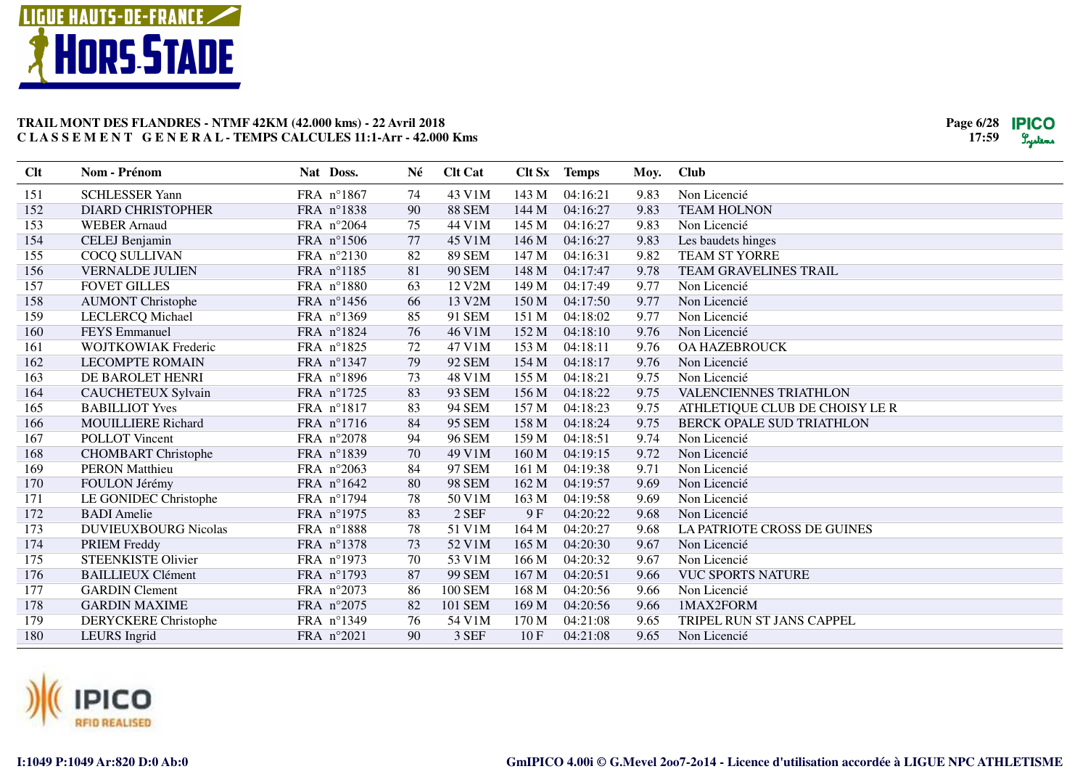



| Clt | Nom - Prénom                | Nat Doss.           | Né | <b>Clt Cat</b> |                  | Clt Sx Temps | Moy. | <b>Club</b>                    |
|-----|-----------------------------|---------------------|----|----------------|------------------|--------------|------|--------------------------------|
| 151 | <b>SCHLESSER Yann</b>       | FRA n°1867          | 74 | 43 V1M         | 143 M            | 04:16:21     | 9.83 | Non Licencié                   |
| 152 | <b>DIARD CHRISTOPHER</b>    | FRA n°1838          | 90 | <b>88 SEM</b>  | 144 M            | 04:16:27     | 9.83 | <b>TEAM HOLNON</b>             |
| 153 | <b>WEBER Arnaud</b>         | FRA n°2064          | 75 | 44 V1M         | 145 M            | 04:16:27     | 9.83 | Non Licencié                   |
| 154 | CELEJ Benjamin              | FRA n°1506          | 77 | 45 V1M         | 146 M            | 04:16:27     | 9.83 | Les baudets hinges             |
| 155 | COCQ SULLIVAN               | FRA n°2130          | 82 | <b>89 SEM</b>  | 147 M            | 04:16:31     | 9.82 | <b>TEAM ST YORRE</b>           |
| 156 | <b>VERNALDE JULIEN</b>      | FRA n°1185          | 81 | <b>90 SEM</b>  | 148 M            | 04:17:47     | 9.78 | TEAM GRAVELINES TRAIL          |
| 157 | <b>FOVET GILLES</b>         | FRA n°1880          | 63 | 12 V2M         | 149 M            | 04:17:49     | 9.77 | Non Licencié                   |
| 158 | <b>AUMONT Christophe</b>    | FRA $n^{\circ}1456$ | 66 | 13 V2M         | 150 M            | 04:17:50     | 9.77 | Non Licencié                   |
| 159 | <b>LECLERCQ</b> Michael     | FRA nº1369          | 85 | 91 SEM         | 151 M            | 04:18:02     | 9.77 | Non Licencié                   |
| 160 | <b>FEYS</b> Emmanuel        | FRA n°1824          | 76 | 46 V1M         | 152 M            | 04:18:10     | 9.76 | Non Licencié                   |
| 161 | <b>WOJTKOWIAK Frederic</b>  | FRA n°1825          | 72 | 47 V1M         | 153 M            | 04:18:11     | 9.76 | <b>OA HAZEBROUCK</b>           |
| 162 | <b>LECOMPTE ROMAIN</b>      | FRA nº1347          | 79 | <b>92 SEM</b>  | 154 M            | 04:18:17     | 9.76 | Non Licencié                   |
| 163 | DE BAROLET HENRI            | FRA n°1896          | 73 | 48 V1M         | 155 M            | 04:18:21     | 9.75 | Non Licencié                   |
| 164 | <b>CAUCHETEUX Sylvain</b>   | FRA $n^{\circ}1725$ | 83 | 93 SEM         | 156 M            | 04:18:22     | 9.75 | VALENCIENNES TRIATHLON         |
| 165 | <b>BABILLIOT Yves</b>       | FRA n°1817          | 83 | <b>94 SEM</b>  | 157 M            | 04:18:23     | 9.75 | ATHLETIQUE CLUB DE CHOISY LE R |
| 166 | <b>MOUILLIERE Richard</b>   | FRA n°1716          | 84 | <b>95 SEM</b>  | 158 M            | 04:18:24     | 9.75 | BERCK OPALE SUD TRIATHLON      |
| 167 | <b>POLLOT</b> Vincent       | FRA n°2078          | 94 | <b>96 SEM</b>  | 159 M            | 04:18:51     | 9.74 | Non Licencié                   |
| 168 | <b>CHOMBART</b> Christophe  | FRA n°1839          | 70 | 49 V1M         | 160 M            | 04:19:15     | 9.72 | Non Licencié                   |
| 169 | <b>PERON Matthieu</b>       | FRA n°2063          | 84 | 97 SEM         | 161 M            | 04:19:38     | 9.71 | Non Licencié                   |
| 170 | FOULON Jérémy               | FRA n°1642          | 80 | <b>98 SEM</b>  | 162 M            | 04:19:57     | 9.69 | Non Licencié                   |
| 171 | LE GONIDEC Christophe       | FRA n°1794          | 78 | 50 V1M         | 163 M            | 04:19:58     | 9.69 | Non Licencié                   |
| 172 | <b>BADI</b> Amelie          | FRA n°1975          | 83 | 2 SEF          | 9F               | 04:20:22     | 9.68 | Non Licencié                   |
| 173 | <b>DUVIEUXBOURG Nicolas</b> | FRA n°1888          | 78 | 51 V1M         | 164 M            | 04:20:27     | 9.68 | LA PATRIOTE CROSS DE GUINES    |
| 174 | PRIEM Freddy                | FRA n°1378          | 73 | 52 V1M         | 165 M            | 04:20:30     | 9.67 | Non Licencié                   |
| 175 | <b>STEENKISTE Olivier</b>   | FRA n°1973          | 70 | 53 V1M         | 166 M            | 04:20:32     | 9.67 | Non Licencié                   |
| 176 | <b>BAILLIEUX Clément</b>    | FRA n°1793          | 87 | <b>99 SEM</b>  | 167 M            | 04:20:51     | 9.66 | <b>VUC SPORTS NATURE</b>       |
| 177 | <b>GARDIN</b> Clement       | FRA n°2073          | 86 | <b>100 SEM</b> | 168 M            | 04:20:56     | 9.66 | Non Licencié                   |
| 178 | <b>GARDIN MAXIME</b>        | FRA n°2075          | 82 | 101 SEM        | 169 <sub>M</sub> | 04:20:56     | 9.66 | 1MAX2FORM                      |
| 179 | <b>DERYCKERE</b> Christophe | FRA nº1349          | 76 | 54 V1M         | 170 M            | 04:21:08     | 9.65 | TRIPEL RUN ST JANS CAPPEL      |
| 180 | LEURS Ingrid                | FRA n°2021          | 90 | 3 SEF          | 10F              | 04:21:08     | 9.65 | Non Licencié                   |

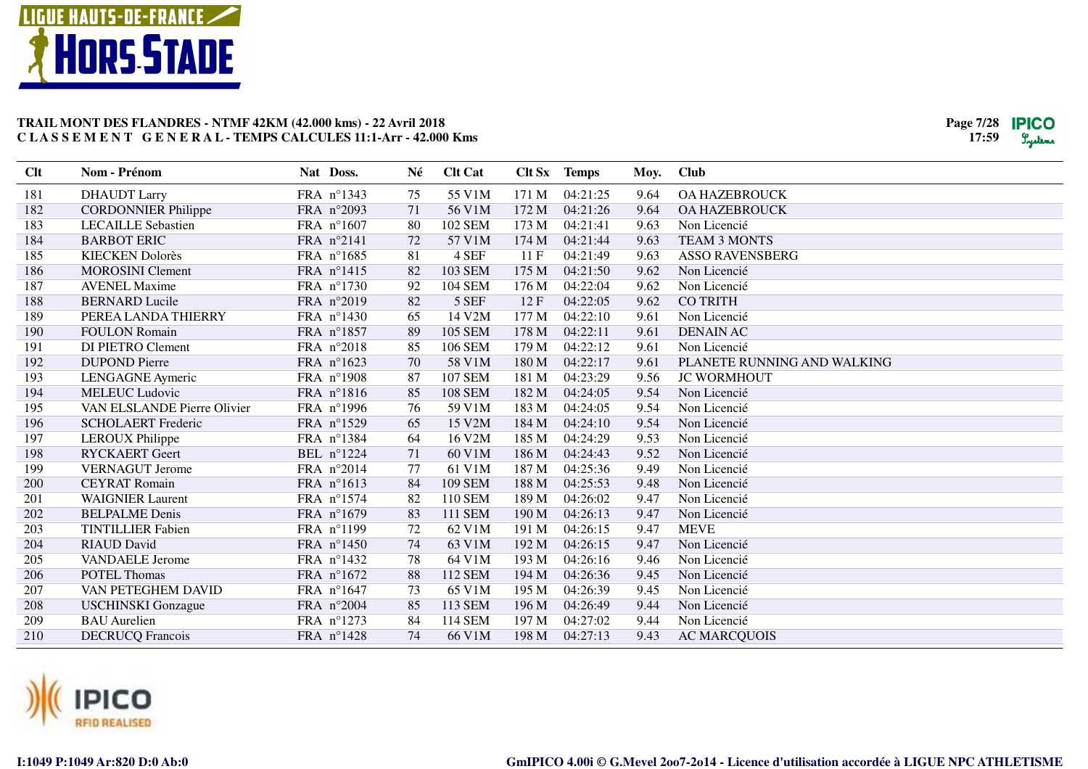



| Clt | Nom - Prénom                | Nat Doss.  | Né | <b>Clt Cat</b> | Clt Sx | <b>Temps</b> | Moy. | <b>Club</b>                 |
|-----|-----------------------------|------------|----|----------------|--------|--------------|------|-----------------------------|
| 181 | <b>DHAUDT Larry</b>         | FRA n°1343 | 75 | 55 V1M         | 171 M  | 04:21:25     | 9.64 | <b>OA HAZEBROUCK</b>        |
| 182 | <b>CORDONNIER Philippe</b>  | FRA n°2093 | 71 | 56 V1M         | 172 M  | 04:21:26     | 9.64 | <b>OA HAZEBROUCK</b>        |
| 183 | <b>LECAILLE Sebastien</b>   | FRA n°1607 | 80 | 102 SEM        | 173 M  | 04:21:41     | 9.63 | Non Licencié                |
| 184 | <b>BARBOT ERIC</b>          | FRA n°2141 | 72 | 57 V1M         | 174 M  | 04:21:44     | 9.63 | <b>TEAM 3 MONTS</b>         |
| 185 | <b>KIECKEN Dolorès</b>      | FRA n°1685 | 81 | 4 SEF          | 11F    | 04:21:49     | 9.63 | <b>ASSO RAVENSBERG</b>      |
| 186 | <b>MOROSINI</b> Clement     | FRA n°1415 | 82 | 103 SEM        | 175 M  | 04:21:50     | 9.62 | Non Licencié                |
| 187 | <b>AVENEL Maxime</b>        | FRA n°1730 | 92 | <b>104 SEM</b> | 176 M  | 04:22:04     | 9.62 | Non Licencié                |
| 188 | <b>BERNARD</b> Lucile       | FRA n°2019 | 82 | 5 SEF          | 12F    | 04:22:05     | 9.62 | <b>CO TRITH</b>             |
| 189 | PEREA LANDA THIERRY         | FRA n°1430 | 65 | 14 V2M         | 177 M  | 04:22:10     | 9.61 | Non Licencié                |
| 190 | <b>FOULON Romain</b>        | FRA n°1857 | 89 | <b>105 SEM</b> | 178 M  | 04:22:11     | 9.61 | <b>DENAIN AC</b>            |
| 191 | DI PIETRO Clement           | FRA n°2018 | 85 | <b>106 SEM</b> | 179 M  | 04:22:12     | 9.61 | Non Licencié                |
| 192 | <b>DUPOND Pierre</b>        | FRA n°1623 | 70 | 58 V1M         | 180 M  | 04:22:17     | 9.61 | PLANETE RUNNING AND WALKING |
| 193 | LENGAGNE Aymeric            | FRA n°1908 | 87 | <b>107 SEM</b> | 181 M  | 04:23:29     | 9.56 | <b>JC WORMHOUT</b>          |
| 194 | <b>MELEUC Ludovic</b>       | FRA n°1816 | 85 | <b>108 SEM</b> | 182 M  | 04:24:05     | 9.54 | Non Licencié                |
| 195 | VAN ELSLANDE Pierre Olivier | FRA n°1996 | 76 | 59 V1M         | 183 M  | 04:24:05     | 9.54 | Non Licencié                |
| 196 | <b>SCHOLAERT</b> Frederic   | FRA n°1529 | 65 | 15 V2M         | 184 M  | 04:24:10     | 9.54 | Non Licencié                |
| 197 | <b>LEROUX Philippe</b>      | FRA n°1384 | 64 | 16 V2M         | 185 M  | 04:24:29     | 9.53 | Non Licencié                |
| 198 | <b>RYCKAERT</b> Geert       | BEL nº1224 | 71 | 60 V1M         | 186 M  | 04:24:43     | 9.52 | Non Licencié                |
| 199 | <b>VERNAGUT</b> Jerome      | FRA n°2014 | 77 | 61 V1M         | 187 M  | 04:25:36     | 9.49 | Non Licencié                |
| 200 | <b>CEYRAT Romain</b>        | FRA nº1613 | 84 | <b>109 SEM</b> | 188 M  | 04:25:53     | 9.48 | Non Licencié                |
| 201 | <b>WAIGNIER Laurent</b>     | FRA n°1574 | 82 | 110 SEM        | 189 M  | 04:26:02     | 9.47 | Non Licencié                |
| 202 | <b>BELPALME</b> Denis       | FRA n°1679 | 83 | 111 SEM        | 190 M  | 04:26:13     | 9.47 | Non Licencié                |
| 203 | <b>TINTILLIER Fabien</b>    | FRA n°1199 | 72 | 62 V1M         | 191 M  | 04:26:15     | 9.47 | <b>MEVE</b>                 |
| 204 | <b>RIAUD David</b>          | FRA n°1450 | 74 | 63 V1M         | 192 M  | 04:26:15     | 9.47 | Non Licencié                |
| 205 | <b>VANDAELE Jerome</b>      | FRA nº1432 | 78 | 64 V1M         | 193 M  | 04:26:16     | 9.46 | Non Licencié                |
| 206 | <b>POTEL Thomas</b>         | FRA n°1672 | 88 | 112 SEM        | 194 M  | 04:26:36     | 9.45 | Non Licencié                |
| 207 | VAN PETEGHEM DAVID          | FRA n°1647 | 73 | 65 V1M         | 195 M  | 04:26:39     | 9.45 | Non Licencié                |
| 208 | <b>USCHINSKI</b> Gonzague   | FRA n°2004 | 85 | 113 SEM        | 196 M  | 04:26:49     | 9.44 | Non Licencié                |
| 209 | <b>BAU</b> Aurelien         | FRA n°1273 | 84 | 114 SEM        | 197 M  | 04:27:02     | 9.44 | Non Licencié                |
| 210 | <b>DECRUCQ Francois</b>     | FRA n°1428 | 74 | 66 V1M         | 198 M  | 04:27:13     | 9.43 | <b>AC MARCQUOIS</b>         |

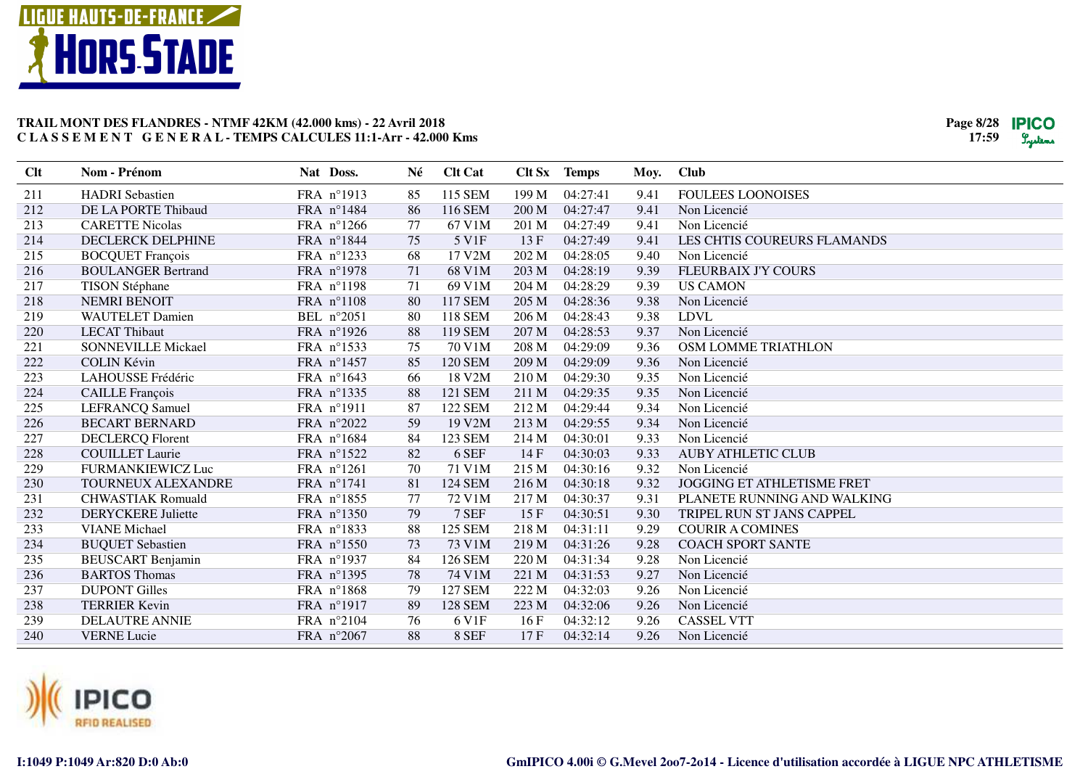



| Clt | Nom - Prénom              | Nat Doss.           | Né | <b>Clt Cat</b> |       | Clt Sx Temps | Moy. | <b>Club</b>                       |
|-----|---------------------------|---------------------|----|----------------|-------|--------------|------|-----------------------------------|
| 211 | <b>HADRI</b> Sebastien    | FRA n°1913          | 85 | 115 SEM        | 199 M | 04:27:41     | 9.41 | <b>FOULEES LOONOISES</b>          |
| 212 | DE LA PORTE Thibaud       | FRA n°1484          | 86 | 116 SEM        | 200 M | 04:27:47     | 9.41 | Non Licencié                      |
| 213 | <b>CARETTE Nicolas</b>    | FRA $n^{\circ}1266$ | 77 | 67 V1M         | 201 M | 04:27:49     | 9.41 | Non Licencié                      |
| 214 | <b>DECLERCK DELPHINE</b>  | FRA n°1844          | 75 | 5 V1F          | 13 F  | 04:27:49     | 9.41 | LES CHTIS COUREURS FLAMANDS       |
| 215 | <b>BOCQUET François</b>   | FRA n°1233          | 68 | 17 V2M         | 202 M | 04:28:05     | 9.40 | Non Licencié                      |
| 216 | <b>BOULANGER Bertrand</b> | FRA n°1978          | 71 | 68 V1M         | 203 M | 04:28:19     | 9.39 | <b>FLEURBAIX J'Y COURS</b>        |
| 217 | <b>TISON Stéphane</b>     | FRA n°1198          | 71 | 69 V1M         | 204 M | 04:28:29     | 9.39 | <b>US CAMON</b>                   |
| 218 | <b>NEMRI BENOIT</b>       | FRA n°1108          | 80 | 117 SEM        | 205 M | 04:28:36     | 9.38 | Non Licencié                      |
| 219 | <b>WAUTELET Damien</b>    | BEL n°2051          | 80 | 118 SEM        | 206 M | 04:28:43     | 9.38 | <b>LDVL</b>                       |
| 220 | <b>LECAT Thibaut</b>      | FRA n°1926          | 88 | 119 SEM        | 207 M | 04:28:53     | 9.37 | Non Licencié                      |
| 221 | <b>SONNEVILLE Mickael</b> | FRA n°1533          | 75 | 70 V1M         | 208 M | 04:29:09     | 9.36 | OSM LOMME TRIATHLON               |
| 222 | <b>COLIN Kévin</b>        | FRA n°1457          | 85 | <b>120 SEM</b> | 209 M | 04:29:09     | 9.36 | Non Licencié                      |
| 223 | LAHOUSSE Frédéric         | FRA n°1643          | 66 | 18 V2M         | 210 M | 04:29:30     | 9.35 | Non Licencié                      |
| 224 | <b>CAILLE</b> François    | FRA n°1335          | 88 | 121 SEM        | 211 M | 04:29:35     | 9.35 | Non Licencié                      |
| 225 | LEFRANCQ Samuel           | FRA n°1911          | 87 | 122 SEM        | 212 M | 04:29:44     | 9.34 | Non Licencié                      |
| 226 | <b>BECART BERNARD</b>     | FRA n°2022          | 59 | 19 V2M         | 213 M | 04:29:55     | 9.34 | Non Licencié                      |
| 227 | <b>DECLERCQ Florent</b>   | FRA n°1684          | 84 | 123 SEM        | 214 M | 04:30:01     | 9.33 | Non Licencié                      |
| 228 | <b>COUILLET</b> Laurie    | FRA n°1522          | 82 | 6 SEF          | 14F   | 04:30:03     | 9.33 | <b>AUBY ATHLETIC CLUB</b>         |
| 229 | <b>FURMANKIEWICZ Luc</b>  | FRA n°1261          | 70 | 71 V1M         | 215 M | 04:30:16     | 9.32 | Non Licencié                      |
| 230 | <b>TOURNEUX ALEXANDRE</b> | FRA $n^{\circ}1741$ | 81 | <b>124 SEM</b> | 216 M | 04:30:18     | 9.32 | <b>JOGGING ET ATHLETISME FRET</b> |
| 231 | <b>CHWASTIAK Romuald</b>  | FRA n°1855          | 77 | 72 V1M         | 217 M | 04:30:37     | 9.31 | PLANETE RUNNING AND WALKING       |
| 232 | <b>DERYCKERE Juliette</b> | FRA n°1350          | 79 | 7 SEF          | 15F   | 04:30:51     | 9.30 | TRIPEL RUN ST JANS CAPPEL         |
| 233 | <b>VIANE</b> Michael      | FRA n°1833          | 88 | <b>125 SEM</b> | 218 M | 04:31:11     | 9.29 | <b>COURIR A COMINES</b>           |
| 234 | <b>BUQUET Sebastien</b>   | FRA n°1550          | 73 | 73 V1M         | 219 M | 04:31:26     | 9.28 | <b>COACH SPORT SANTE</b>          |
| 235 | <b>BEUSCART Benjamin</b>  | FRA n°1937          | 84 | 126 SEM        | 220 M | 04:31:34     | 9.28 | Non Licencié                      |
| 236 | <b>BARTOS</b> Thomas      | FRA n°1395          | 78 | 74 V1M         | 221 M | 04:31:53     | 9.27 | Non Licencié                      |
| 237 | <b>DUPONT Gilles</b>      | FRA n°1868          | 79 | <b>127 SEM</b> | 222 M | 04:32:03     | 9.26 | Non Licencié                      |
| 238 | <b>TERRIER Kevin</b>      | FRA n°1917          | 89 | <b>128 SEM</b> | 223 M | 04:32:06     | 9.26 | Non Licencié                      |
| 239 | <b>DELAUTRE ANNIE</b>     | FRA n°2104          | 76 | 6 V1F          | 16F   | 04:32:12     | 9.26 | <b>CASSEL VTT</b>                 |
| 240 | <b>VERNE Lucie</b>        | FRA n°2067          | 88 | 8 SEF          | 17F   | 04:32:14     | 9.26 | Non Licencié                      |

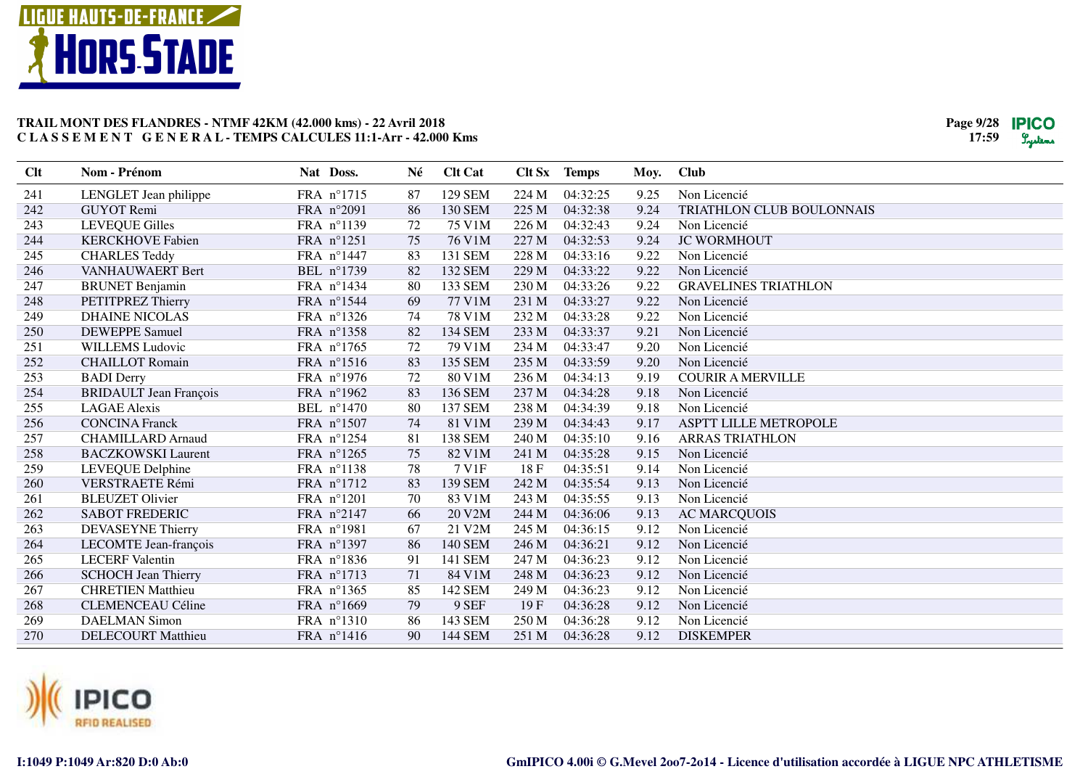



| Clt | Nom - Prénom                  | Nat Doss.  | Né | <b>Clt Cat</b> |       | Clt Sx Temps | Moy. | <b>Club</b>                  |
|-----|-------------------------------|------------|----|----------------|-------|--------------|------|------------------------------|
| 241 | LENGLET Jean philippe         | FRA n°1715 | 87 | <b>129 SEM</b> | 224 M | 04:32:25     | 9.25 | Non Licencié                 |
| 242 | <b>GUYOT</b> Remi             | FRA n°2091 | 86 | 130 SEM        | 225 M | 04:32:38     | 9.24 | TRIATHLON CLUB BOULONNAIS    |
| 243 | <b>LEVEQUE Gilles</b>         | FRA n°1139 | 72 | 75 V1M         | 226 M | 04:32:43     | 9.24 | Non Licencié                 |
| 244 | <b>KERCKHOVE Fabien</b>       | FRA n°1251 | 75 | 76 V1M         | 227 M | 04:32:53     | 9.24 | <b>JC WORMHOUT</b>           |
| 245 | <b>CHARLES Teddy</b>          | FRA n°1447 | 83 | 131 SEM        | 228 M | 04:33:16     | 9.22 | Non Licencié                 |
| 246 | VANHAUWAERT Bert              | BEL n°1739 | 82 | 132 SEM        | 229 M | 04:33:22     | 9.22 | Non Licencié                 |
| 247 | <b>BRUNET</b> Benjamin        | FRA nº1434 | 80 | 133 SEM        | 230 M | 04:33:26     | 9.22 | <b>GRAVELINES TRIATHLON</b>  |
| 248 | PETITPREZ Thierry             | FRA nº1544 | 69 | 77 V1M         | 231 M | 04:33:27     | 9.22 | Non Licencié                 |
| 249 | <b>DHAINE NICOLAS</b>         | FRA nº1326 | 74 | 78 V1M         | 232 M | 04:33:28     | 9.22 | Non Licencié                 |
| 250 | <b>DEWEPPE Samuel</b>         | FRA nº1358 | 82 | 134 SEM        | 233 M | 04:33:37     | 9.21 | Non Licencié                 |
| 251 | <b>WILLEMS Ludovic</b>        | FRA n°1765 | 72 | 79 V1M         | 234 M | 04:33:47     | 9.20 | Non Licencié                 |
| 252 | <b>CHAILLOT Romain</b>        | FRA nº1516 | 83 | 135 SEM        | 235 M | 04:33:59     | 9.20 | Non Licencié                 |
| 253 | <b>BADI</b> Derry             | FRA n°1976 | 72 | 80 V1M         | 236 M | 04:34:13     | 9.19 | <b>COURIR A MERVILLE</b>     |
| 254 | <b>BRIDAULT</b> Jean François | FRA nº1962 | 83 | 136 SEM        | 237 M | 04:34:28     | 9.18 | Non Licencié                 |
| 255 | <b>LAGAE</b> Alexis           | BEL n°1470 | 80 | 137 SEM        | 238 M | 04:34:39     | 9.18 | Non Licencié                 |
| 256 | <b>CONCINA Franck</b>         | FRA n°1507 | 74 | 81 V1M         | 239 M | 04:34:43     | 9.17 | <b>ASPTT LILLE METROPOLE</b> |
| 257 | <b>CHAMILLARD</b> Arnaud      | FRA nº1254 | 81 | <b>138 SEM</b> | 240 M | 04:35:10     | 9.16 | <b>ARRAS TRIATHLON</b>       |
| 258 | <b>BACZKOWSKI</b> Laurent     | FRA n°1265 | 75 | 82 V1M         | 241 M | 04:35:28     | 9.15 | Non Licencié                 |
| 259 | LEVEQUE Delphine              | FRA n°1138 | 78 | 7 V1F          | 18F   | 04:35:51     | 9.14 | Non Licencié                 |
| 260 | <b>VERSTRAETE Rémi</b>        | FRA n°1712 | 83 | 139 SEM        | 242 M | 04:35:54     | 9.13 | Non Licencié                 |
| 261 | <b>BLEUZET Olivier</b>        | FRA n°1201 | 70 | 83 V1M         | 243 M | 04:35:55     | 9.13 | Non Licencié                 |
| 262 | <b>SABOT FREDERIC</b>         | FRA n°2147 | 66 | 20 V2M         | 244 M | 04:36:06     | 9.13 | <b>AC MARCQUOIS</b>          |
| 263 | <b>DEVASEYNE Thierry</b>      | FRA n°1981 | 67 | 21 V2M         | 245 M | 04:36:15     | 9.12 | Non Licencié                 |
| 264 | LECOMTE Jean-françois         | FRA n°1397 | 86 | 140 SEM        | 246 M | 04:36:21     | 9.12 | Non Licencié                 |
| 265 | <b>LECERF</b> Valentin        | FRA n°1836 | 91 | 141 SEM        | 247 M | 04:36:23     | 9.12 | Non Licencié                 |
| 266 | <b>SCHOCH Jean Thierry</b>    | FRA n°1713 | 71 | 84 V1M         | 248 M | 04:36:23     | 9.12 | Non Licencié                 |
| 267 | <b>CHRETIEN Matthieu</b>      | FRA n°1365 | 85 | 142 SEM        | 249 M | 04:36:23     | 9.12 | Non Licencié                 |
| 268 | <b>CLEMENCEAU Céline</b>      | FRA n°1669 | 79 | 9 SEF          | 19F   | 04:36:28     | 9.12 | Non Licencié                 |
| 269 | <b>DAELMAN Simon</b>          | FRA n°1310 | 86 | 143 SEM        | 250 M | 04:36:28     | 9.12 | Non Licencié                 |
| 270 | <b>DELECOURT Matthieu</b>     | FRA nº1416 | 90 | 144 SEM        | 251 M | 04:36:28     | 9.12 | <b>DISKEMPER</b>             |

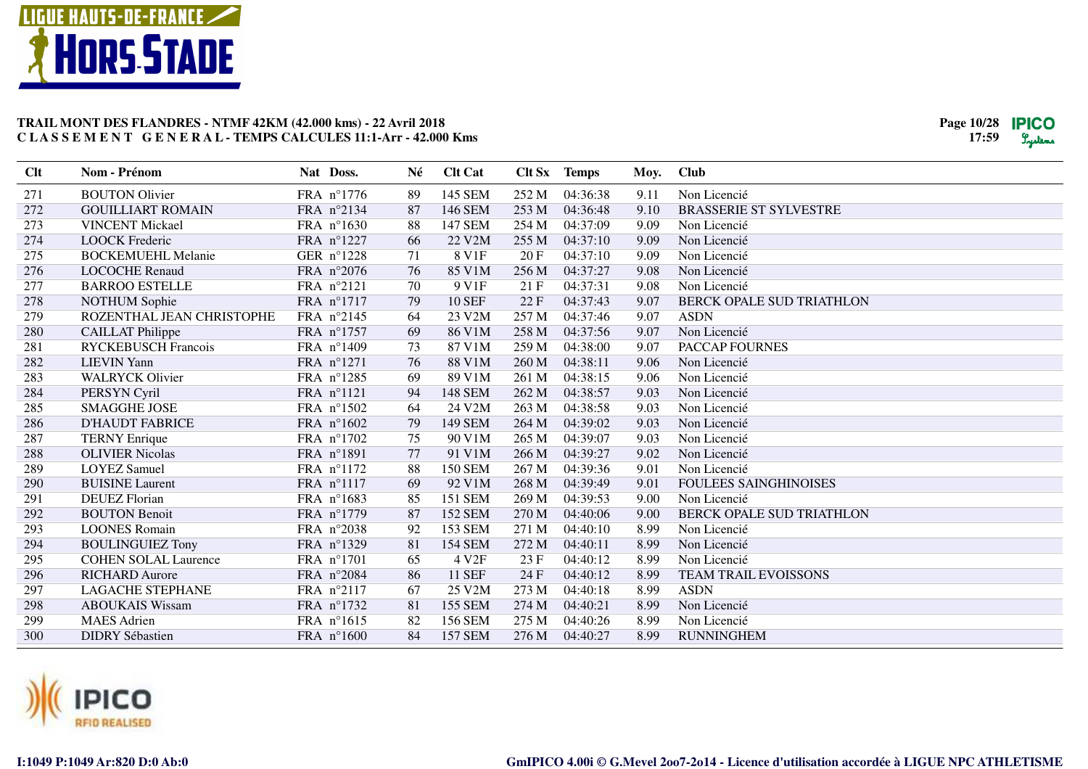



| Clt | Nom - Prénom                | Nat Doss.           | Né | <b>Clt Cat</b>    |       | Clt Sx Temps | Moy. | <b>Club</b>                   |
|-----|-----------------------------|---------------------|----|-------------------|-------|--------------|------|-------------------------------|
| 271 | <b>BOUTON Olivier</b>       | FRA n°1776          | 89 | 145 SEM           | 252 M | 04:36:38     | 9.11 | Non Licencié                  |
| 272 | <b>GOUILLIART ROMAIN</b>    | FRA n°2134          | 87 | 146 SEM           | 253 M | 04:36:48     | 9.10 | <b>BRASSERIE ST SYLVESTRE</b> |
| 273 | <b>VINCENT Mickael</b>      | FRA n°1630          | 88 | 147 SEM           | 254 M | 04:37:09     | 9.09 | Non Licencié                  |
| 274 | <b>LOOCK Frederic</b>       | FRA n°1227          | 66 | 22 V2M            | 255 M | 04:37:10     | 9.09 | Non Licencié                  |
| 275 | <b>BOCKEMUEHL Melanie</b>   | GER n°1228          | 71 | 8 V1F             | 20 F  | 04:37:10     | 9.09 | Non Licencié                  |
| 276 | <b>LOCOCHE Renaud</b>       | FRA n°2076          | 76 | 85 V1M            | 256 M | 04:37:27     | 9.08 | Non Licencié                  |
| 277 | <b>BARROO ESTELLE</b>       | FRA n°2121          | 70 | 9 V1F             | 21F   | 04:37:31     | 9.08 | Non Licencié                  |
| 278 | <b>NOTHUM</b> Sophie        | FRA n°1717          | 79 | <b>10 SEF</b>     | 22 F  | 04:37:43     | 9.07 | BERCK OPALE SUD TRIATHLON     |
| 279 | ROZENTHAL JEAN CHRISTOPHE   | FRA n°2145          | 64 | 23 V2M            | 257 M | 04:37:46     | 9.07 | <b>ASDN</b>                   |
| 280 | <b>CAILLAT Philippe</b>     | FRA n°1757          | 69 | 86 V1M            | 258 M | 04:37:56     | 9.07 | Non Licencié                  |
| 281 | <b>RYCKEBUSCH Francois</b>  | FRA n°1409          | 73 | 87 V1M            | 259 M | 04:38:00     | 9.07 | PACCAP FOURNES                |
| 282 | <b>LIEVIN</b> Yann          | FRA n°1271          | 76 | 88 V1M            | 260 M | 04:38:11     | 9.06 | Non Licencié                  |
| 283 | <b>WALRYCK Olivier</b>      | FRA n°1285          | 69 | 89 V1M            | 261 M | 04:38:15     | 9.06 | Non Licencié                  |
| 284 | PERSYN Cyril                | FRA $n^{\circ}1121$ | 94 | <b>148 SEM</b>    | 262 M | 04:38:57     | 9.03 | Non Licencié                  |
| 285 | <b>SMAGGHE JOSE</b>         | FRA n°1502          | 64 | 24 V2M            | 263 M | 04:38:58     | 9.03 | Non Licencié                  |
| 286 | <b>D'HAUDT FABRICE</b>      | FRA n°1602          | 79 | <b>149 SEM</b>    | 264 M | 04:39:02     | 9.03 | Non Licencié                  |
| 287 | <b>TERNY Enrique</b>        | FRA n°1702          | 75 | 90 V1M            | 265 M | 04:39:07     | 9.03 | Non Licencié                  |
| 288 | <b>OLIVIER Nicolas</b>      | FRA n°1891          | 77 | 91 V1M            | 266 M | 04:39:27     | 9.02 | Non Licencié                  |
| 289 | <b>LOYEZ Samuel</b>         | FRA n°1172          | 88 | <b>150 SEM</b>    | 267 M | 04:39:36     | 9.01 | Non Licencié                  |
| 290 | <b>BUISINE Laurent</b>      | FRA n°1117          | 69 | 92 V1M            | 268 M | 04:39:49     | 9.01 | <b>FOULEES SAINGHINOISES</b>  |
| 291 | <b>DEUEZ</b> Florian        | FRA n°1683          | 85 | 151 SEM           | 269 M | 04:39:53     | 9.00 | Non Licencié                  |
| 292 | <b>BOUTON Benoit</b>        | FRA n°1779          | 87 | <b>152 SEM</b>    | 270 M | 04:40:06     | 9.00 | BERCK OPALE SUD TRIATHLON     |
| 293 | <b>LOONES Romain</b>        | FRA n°2038          | 92 | 153 SEM           | 271 M | 04:40:10     | 8.99 | Non Licencié                  |
| 294 | <b>BOULINGUIEZ Tony</b>     | FRA n°1329          | 81 | 154 SEM           | 272 M | 04:40:11     | 8.99 | Non Licencié                  |
| 295 | <b>COHEN SOLAL Laurence</b> | FRA n°1701          | 65 | 4 V <sub>2F</sub> | 23 F  | 04:40:12     | 8.99 | Non Licencié                  |
| 296 | <b>RICHARD Aurore</b>       | FRA n°2084          | 86 | <b>11 SEF</b>     | 24 F  | 04:40:12     | 8.99 | TEAM TRAIL EVOISSONS          |
| 297 | <b>LAGACHE STEPHANE</b>     | FRA n°2117          | 67 | 25 V2M            | 273 M | 04:40:18     | 8.99 | <b>ASDN</b>                   |
| 298 | <b>ABOUKAIS Wissam</b>      | FRA n°1732          | 81 | <b>155 SEM</b>    | 274 M | 04:40:21     | 8.99 | Non Licencié                  |
| 299 | <b>MAES</b> Adrien          | FRA n°1615          | 82 | <b>156 SEM</b>    | 275 M | 04:40:26     | 8.99 | Non Licencié                  |
| 300 | <b>DIDRY</b> Sébastien      | FRA n°1600          | 84 | <b>157 SEM</b>    | 276 M | 04:40:27     | 8.99 | <b>RUNNINGHEM</b>             |

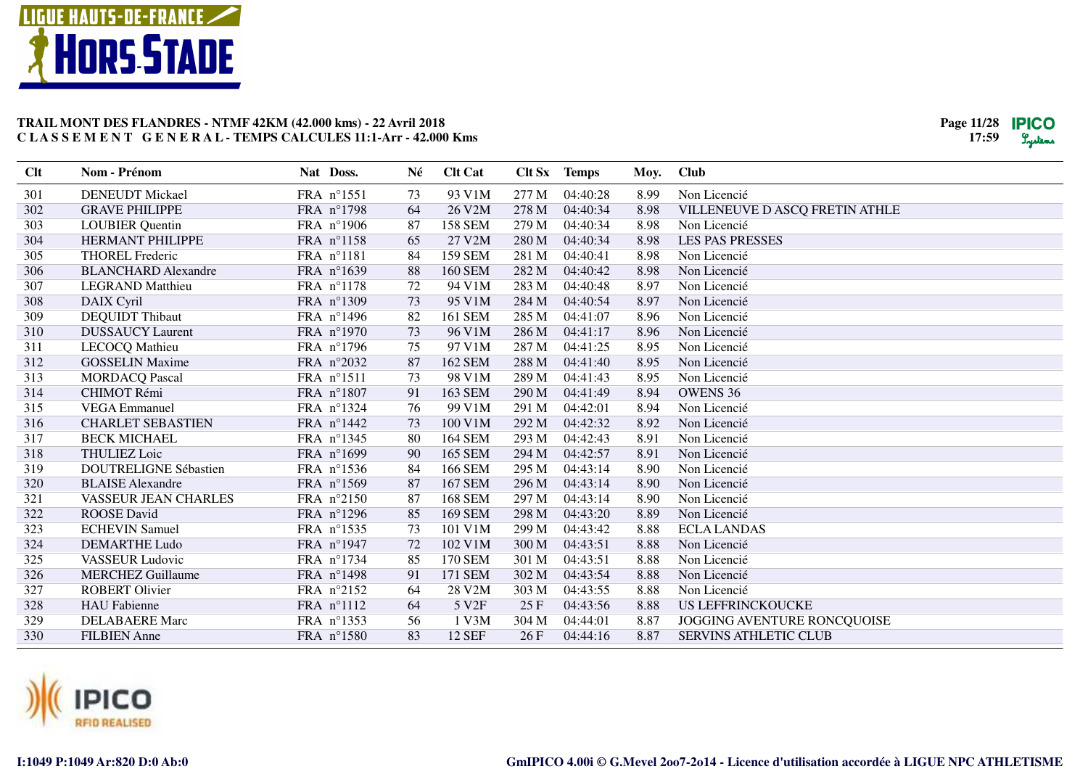



| <b>Clt</b> | Nom - Prénom                 | Nat Doss.  | Né | <b>Clt Cat</b>    |       | Clt Sx Temps | Moy. | <b>Club</b>                    |
|------------|------------------------------|------------|----|-------------------|-------|--------------|------|--------------------------------|
| 301        | <b>DENEUDT Mickael</b>       | FRA n°1551 | 73 | 93 V1M            | 277 M | 04:40:28     | 8.99 | Non Licencié                   |
| 302        | <b>GRAVE PHILIPPE</b>        | FRA n°1798 | 64 | 26 V2M            | 278 M | 04:40:34     | 8.98 | VILLENEUVE D ASCQ FRETIN ATHLE |
| 303        | <b>LOUBIER</b> Quentin       | FRA n°1906 | 87 | <b>158 SEM</b>    | 279 M | 04:40:34     | 8.98 | Non Licencié                   |
| 304        | <b>HERMANT PHILIPPE</b>      | FRA n°1158 | 65 | 27 V2M            | 280 M | 04:40:34     | 8.98 | <b>LES PAS PRESSES</b>         |
| 305        | <b>THOREL Frederic</b>       | FRA n°1181 | 84 | <b>159 SEM</b>    | 281 M | 04:40:41     | 8.98 | Non Licencié                   |
| 306        | <b>BLANCHARD Alexandre</b>   | FRA n°1639 | 88 | <b>160 SEM</b>    | 282 M | 04:40:42     | 8.98 | Non Licencié                   |
| 307        | <b>LEGRAND</b> Matthieu      | FRA n°1178 | 72 | 94 V1M            | 283 M | 04:40:48     | 8.97 | Non Licencié                   |
| 308        | DAIX Cyril                   | FRA n°1309 | 73 | 95 V1M            | 284 M | 04:40:54     | 8.97 | Non Licencié                   |
| 309        | <b>DEQUIDT</b> Thibaut       | FRA n°1496 | 82 | 161 SEM           | 285 M | 04:41:07     | 8.96 | Non Licencié                   |
| 310        | <b>DUSSAUCY Laurent</b>      | FRA n°1970 | 73 | 96 V1M            | 286 M | 04:41:17     | 8.96 | Non Licencié                   |
| 311        | <b>LECOCQ</b> Mathieu        | FRA n°1796 | 75 | 97 V1M            | 287 M | 04:41:25     | 8.95 | Non Licencié                   |
| 312        | <b>GOSSELIN Maxime</b>       | FRA n°2032 | 87 | 162 SEM           | 288 M | 04:41:40     | 8.95 | Non Licencié                   |
| 313        | <b>MORDACQ Pascal</b>        | FRA n°1511 | 73 | 98 V1M            | 289 M | 04:41:43     | 8.95 | Non Licencié                   |
| 314        | CHIMOT Rémi                  | FRA n°1807 | 91 | 163 SEM           | 290 M | 04:41:49     | 8.94 | <b>OWENS 36</b>                |
| 315        | <b>VEGA</b> Emmanuel         | FRA nº1324 | 76 | 99 V1M            | 291 M | 04:42:01     | 8.94 | Non Licencié                   |
| 316        | <b>CHARLET SEBASTIEN</b>     | FRA n°1442 | 73 | 100 V1M           | 292 M | 04:42:32     | 8.92 | Non Licencié                   |
| 317        | <b>BECK MICHAEL</b>          | FRA nº1345 | 80 | <b>164 SEM</b>    | 293 M | 04:42:43     | 8.91 | Non Licencié                   |
| 318        | <b>THULIEZ Loic</b>          | FRA n°1699 | 90 | 165 SEM           | 294 M | 04:42:57     | 8.91 | Non Licencié                   |
| 319        | <b>DOUTRELIGNE Sébastien</b> | FRA nº1536 | 84 | <b>166 SEM</b>    | 295 M | 04:43:14     | 8.90 | Non Licencié                   |
| 320        | <b>BLAISE</b> Alexandre      | FRA n°1569 | 87 | <b>167 SEM</b>    | 296 M | 04:43:14     | 8.90 | Non Licencié                   |
| 321        | <b>VASSEUR JEAN CHARLES</b>  | FRA n°2150 | 87 | <b>168 SEM</b>    | 297 M | 04:43:14     | 8.90 | Non Licencié                   |
| 322        | <b>ROOSE</b> David           | FRA n°1296 | 85 | 169 SEM           | 298 M | 04:43:20     | 8.89 | Non Licencié                   |
| 323        | <b>ECHEVIN Samuel</b>        | FRA nº1535 | 73 | 101 V1M           | 299 M | 04:43:42     | 8.88 | <b>ECLA LANDAS</b>             |
| 324        | <b>DEMARTHE Ludo</b>         | FRA n°1947 | 72 | 102 V1M           | 300 M | 04:43:51     | 8.88 | Non Licencié                   |
| 325        | <b>VASSEUR Ludovic</b>       | FRA n°1734 | 85 | 170 SEM           | 301 M | 04:43:51     | 8.88 | Non Licencié                   |
| 326        | <b>MERCHEZ Guillaume</b>     | FRA n°1498 | 91 | 171 SEM           | 302 M | 04:43:54     | 8.88 | Non Licencié                   |
| 327        | <b>ROBERT Olivier</b>        | FRA n°2152 | 64 | 28 V2M            | 303 M | 04:43:55     | 8.88 | Non Licencié                   |
| 328        | <b>HAU</b> Fabienne          | FRA n°1112 | 64 | 5 V <sub>2F</sub> | 25F   | 04:43:56     | 8.88 | <b>US LEFFRINCKOUCKE</b>       |
| 329        | <b>DELABAERE</b> Marc        | FRA nº1353 | 56 | 1 V3M             | 304 M | 04:44:01     | 8.87 | JOGGING AVENTURE RONCQUOISE    |
| 330        | <b>FILBIEN</b> Anne          | FRA n°1580 | 83 | <b>12 SEF</b>     | 26F   | 04:44:16     | 8.87 | <b>SERVINS ATHLETIC CLUB</b>   |

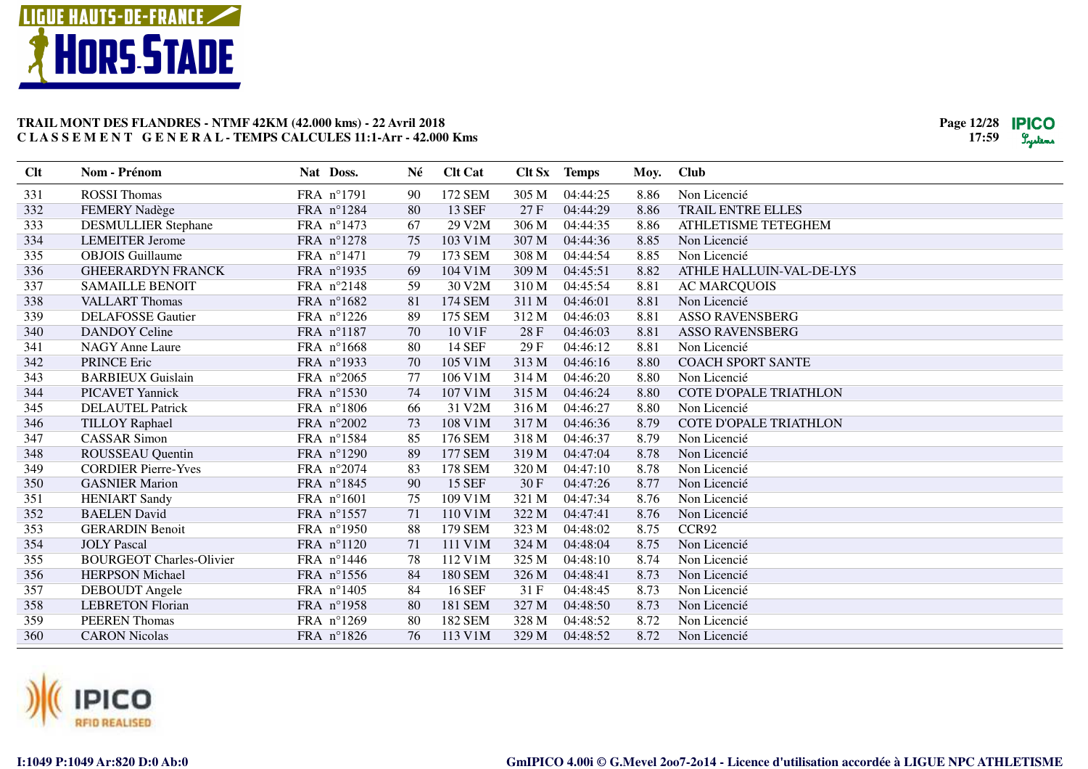



| Clt | Nom - Prénom                    | Nat Doss.           | Né | <b>Clt Cat</b> |       | Clt Sx Temps | Moy. | Club                          |
|-----|---------------------------------|---------------------|----|----------------|-------|--------------|------|-------------------------------|
| 331 | <b>ROSSI</b> Thomas             | FRA n°1791          | 90 | 172 SEM        | 305 M | 04:44:25     | 8.86 | Non Licencié                  |
| 332 | <b>FEMERY Nadège</b>            | FRA n°1284          | 80 | <b>13 SEF</b>  | 27F   | 04:44:29     | 8.86 | TRAIL ENTRE ELLES             |
| 333 | <b>DESMULLIER Stephane</b>      | FRA n°1473          | 67 | 29 V2M         | 306 M | 04:44:35     | 8.86 | ATHLETISME TETEGHEM           |
| 334 | <b>LEMEITER Jerome</b>          | FRA n°1278          | 75 | 103 V1M        | 307 M | 04:44:36     | 8.85 | Non Licencié                  |
| 335 | <b>OBJOIS</b> Guillaume         | FRA n°1471          | 79 | 173 SEM        | 308 M | 04:44:54     | 8.85 | Non Licencié                  |
| 336 | <b>GHEERARDYN FRANCK</b>        | FRA nº1935          | 69 | 104 V1M        | 309 M | 04:45:51     | 8.82 | ATHLE HALLUIN-VAL-DE-LYS      |
| 337 | <b>SAMAILLE BENOIT</b>          | FRA n°2148          | 59 | 30 V2M         | 310 M | 04:45:54     | 8.81 | <b>AC MARCQUOIS</b>           |
| 338 | <b>VALLART Thomas</b>           | FRA n°1682          | 81 | 174 SEM        | 311 M | 04:46:01     | 8.81 | Non Licencié                  |
| 339 | <b>DELAFOSSE Gautier</b>        | FRA n°1226          | 89 | 175 SEM        | 312 M | 04:46:03     | 8.81 | <b>ASSO RAVENSBERG</b>        |
| 340 | <b>DANDOY</b> Celine            | FRA n°1187          | 70 | 10 V1F         | 28 F  | 04:46:03     | 8.81 | <b>ASSO RAVENSBERG</b>        |
| 341 | <b>NAGY Anne Laure</b>          | FRA n°1668          | 80 | 14 SEF         | 29F   | 04:46:12     | 8.81 | Non Licencié                  |
| 342 | <b>PRINCE Eric</b>              | FRA n°1933          | 70 | 105 V1M        | 313 M | 04:46:16     | 8.80 | <b>COACH SPORT SANTE</b>      |
| 343 | <b>BARBIEUX Guislain</b>        | FRA n°2065          | 77 | 106 V1M        | 314 M | 04:46:20     | 8.80 | Non Licencié                  |
| 344 | <b>PICAVET Yannick</b>          | FRA n°1530          | 74 | 107 V1M        | 315 M | 04:46:24     | 8.80 | <b>COTE D'OPALE TRIATHLON</b> |
| 345 | <b>DELAUTEL Patrick</b>         | FRA n°1806          | 66 | 31 V2M         | 316 M | 04:46:27     | 8.80 | Non Licencié                  |
| 346 | <b>TILLOY Raphael</b>           | FRA n°2002          | 73 | 108 V1M        | 317 M | 04:46:36     | 8.79 | <b>COTE D'OPALE TRIATHLON</b> |
| 347 | <b>CASSAR Simon</b>             | FRA n°1584          | 85 | 176 SEM        | 318 M | 04:46:37     | 8.79 | Non Licencié                  |
| 348 | ROUSSEAU Quentin                | FRA n°1290          | 89 | <b>177 SEM</b> | 319 M | 04:47:04     | 8.78 | Non Licencié                  |
| 349 | <b>CORDIER Pierre-Yves</b>      | FRA n°2074          | 83 | 178 SEM        | 320 M | 04:47:10     | 8.78 | Non Licencié                  |
| 350 | <b>GASNIER Marion</b>           | FRA n°1845          | 90 | <b>15 SEF</b>  | 30F   | 04:47:26     | 8.77 | Non Licencié                  |
| 351 | <b>HENIART Sandy</b>            | FRA n°1601          | 75 | 109 V1M        | 321 M | 04:47:34     | 8.76 | Non Licencié                  |
| 352 | <b>BAELEN</b> David             | FRA n°1557          | 71 | 110 V1M        | 322 M | 04:47:41     | 8.76 | Non Licencié                  |
| 353 | <b>GERARDIN Benoit</b>          | FRA n°1950          | 88 | 179 SEM        | 323 M | 04:48:02     | 8.75 | CCR92                         |
| 354 | <b>JOLY Pascal</b>              | FRA n°1120          | 71 | 111 V1M        | 324 M | 04:48:04     | 8.75 | Non Licencié                  |
| 355 | <b>BOURGEOT Charles-Olivier</b> | FRA nº1446          | 78 | 112 V1M        | 325 M | 04:48:10     | 8.74 | Non Licencié                  |
| 356 | <b>HERPSON Michael</b>          | FRA n°1556          | 84 | <b>180 SEM</b> | 326 M | 04:48:41     | 8.73 | Non Licencié                  |
| 357 | DEBOUDT Angele                  | FRA n°1405          | 84 | <b>16 SEF</b>  | 31F   | 04:48:45     | 8.73 | Non Licencié                  |
| 358 | <b>LEBRETON Florian</b>         | FRA n°1958          | 80 | 181 SEM        | 327 M | 04:48:50     | 8.73 | Non Licencié                  |
| 359 | <b>PEEREN</b> Thomas            | FRA $n^{\circ}1269$ | 80 | 182 SEM        | 328 M | 04:48:52     | 8.72 | Non Licencié                  |
| 360 | <b>CARON Nicolas</b>            | FRA n°1826          | 76 | 113 V1M        | 329 M | 04:48:52     | 8.72 | Non Licencié                  |

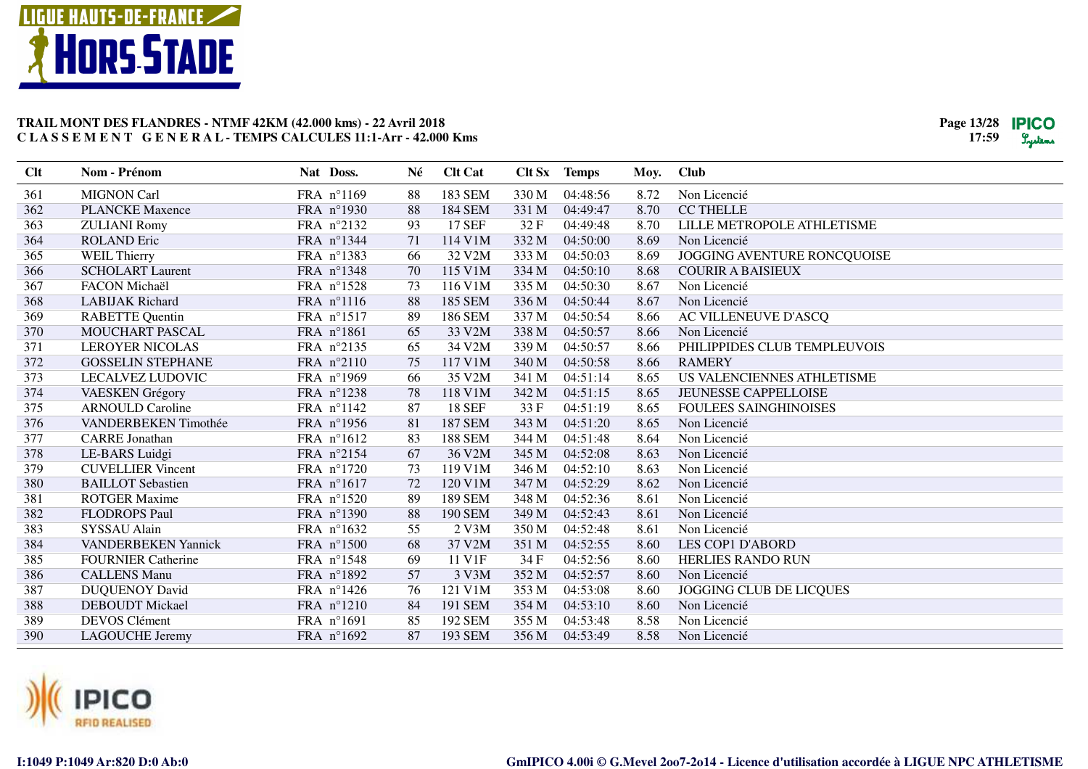



| Clt | Nom - Prénom               | Nat Doss.  | Né | <b>Clt Cat</b> |       | Clt Sx Temps | Moy. | <b>Club</b>                  |
|-----|----------------------------|------------|----|----------------|-------|--------------|------|------------------------------|
| 361 | <b>MIGNON Carl</b>         | FRA n°1169 | 88 | 183 SEM        | 330 M | 04:48:56     | 8.72 | Non Licencié                 |
| 362 | <b>PLANCKE Maxence</b>     | FRA n°1930 | 88 | 184 SEM        | 331 M | 04:49:47     | 8.70 | <b>CC THELLE</b>             |
| 363 | <b>ZULIANI Romy</b>        | FRA n°2132 | 93 | <b>17 SEF</b>  | 32F   | 04:49:48     | 8.70 | LILLE METROPOLE ATHLETISME   |
| 364 | <b>ROLAND Eric</b>         | FRA n°1344 | 71 | 114 V1M        | 332 M | 04:50:00     | 8.69 | Non Licencié                 |
| 365 | <b>WEIL Thierry</b>        | FRA n°1383 | 66 | 32 V2M         | 333 M | 04:50:03     | 8.69 | JOGGING AVENTURE RONCQUOISE  |
| 366 | <b>SCHOLART Laurent</b>    | FRA nº1348 | 70 | 115 V1M        | 334 M | 04:50:10     | 8.68 | <b>COURIR A BAISIEUX</b>     |
| 367 | FACON Michaël              | FRA n°1528 | 73 | 116 V1M        | 335 M | 04:50:30     | 8.67 | Non Licencié                 |
| 368 | <b>LABIJAK Richard</b>     | FRA n°1116 | 88 | 185 SEM        | 336 M | 04:50:44     | 8.67 | Non Licencié                 |
| 369 | <b>RABETTE Quentin</b>     | FRA n°1517 | 89 | 186 SEM        | 337 M | 04:50:54     | 8.66 | AC VILLENEUVE D'ASCQ         |
| 370 | MOUCHART PASCAL            | FRA n°1861 | 65 | 33 V2M         | 338 M | 04:50:57     | 8.66 | Non Licencié                 |
| 371 | <b>LEROYER NICOLAS</b>     | FRA n°2135 | 65 | 34 V2M         | 339 M | 04:50:57     | 8.66 | PHILIPPIDES CLUB TEMPLEUVOIS |
| 372 | <b>GOSSELIN STEPHANE</b>   | FRA n°2110 | 75 | 117 V1M        | 340 M | 04:50:58     | 8.66 | <b>RAMERY</b>                |
| 373 | LECALVEZ LUDOVIC           | FRA n°1969 | 66 | 35 V2M         | 341 M | 04:51:14     | 8.65 | US VALENCIENNES ATHLETISME   |
| 374 | <b>VAESKEN Grégory</b>     | FRA n°1238 | 78 | 118 V1M        | 342 M | 04:51:15     | 8.65 | JEUNESSE CAPPELLOISE         |
| 375 | <b>ARNOULD Caroline</b>    | FRA n°1142 | 87 | <b>18 SEF</b>  | 33 F  | 04:51:19     | 8.65 | <b>FOULEES SAINGHINOISES</b> |
| 376 | VANDERBEKEN Timothée       | FRA n°1956 | 81 | <b>187 SEM</b> | 343 M | 04:51:20     | 8.65 | Non Licencié                 |
| 377 | <b>CARRE</b> Jonathan      | FRA n°1612 | 83 | <b>188 SEM</b> | 344 M | 04:51:48     | 8.64 | Non Licencié                 |
| 378 | LE-BARS Luidgi             | FRA n°2154 | 67 | 36 V2M         | 345 M | 04:52:08     | 8.63 | Non Licencié                 |
| 379 | <b>CUVELLIER Vincent</b>   | FRA n°1720 | 73 | 119 V1M        | 346 M | 04:52:10     | 8.63 | Non Licencié                 |
| 380 | <b>BAILLOT</b> Sebastien   | FRA n°1617 | 72 | 120 V1M        | 347 M | 04:52:29     | 8.62 | Non Licencié                 |
| 381 | <b>ROTGER Maxime</b>       | FRA n°1520 | 89 | <b>189 SEM</b> | 348 M | 04:52:36     | 8.61 | Non Licencié                 |
| 382 | <b>FLODROPS Paul</b>       | FRA n°1390 | 88 | <b>190 SEM</b> | 349 M | 04:52:43     | 8.61 | Non Licencié                 |
| 383 | SYSSAU Alain               | FRA n°1632 | 55 | 2 V3M          | 350 M | 04:52:48     | 8.61 | Non Licencié                 |
| 384 | <b>VANDERBEKEN Yannick</b> | FRA n°1500 | 68 | 37 V2M         | 351 M | 04:52:55     | 8.60 | <b>LES COP1 D'ABORD</b>      |
| 385 | <b>FOURNIER Catherine</b>  | FRA n°1548 | 69 | 11 V1F         | 34 F  | 04:52:56     | 8.60 | <b>HERLIES RANDO RUN</b>     |
| 386 | <b>CALLENS Manu</b>        | FRA n°1892 | 57 | 3 V3M          | 352 M | 04:52:57     | 8.60 | Non Licencié                 |
| 387 | <b>DUQUENOY David</b>      | FRA n°1426 | 76 | 121 V1M        | 353 M | 04:53:08     | 8.60 | JOGGING CLUB DE LICQUES      |
| 388 | <b>DEBOUDT</b> Mickael     | FRA n°1210 | 84 | 191 SEM        | 354 M | 04:53:10     | 8.60 | Non Licencié                 |
| 389 | <b>DEVOS Clément</b>       | FRA n°1691 | 85 | 192 SEM        | 355 M | 04:53:48     | 8.58 | Non Licencié                 |
| 390 | <b>LAGOUCHE Jeremy</b>     | FRA n°1692 | 87 | 193 SEM        | 356 M | 04:53:49     | 8.58 | Non Licencié                 |

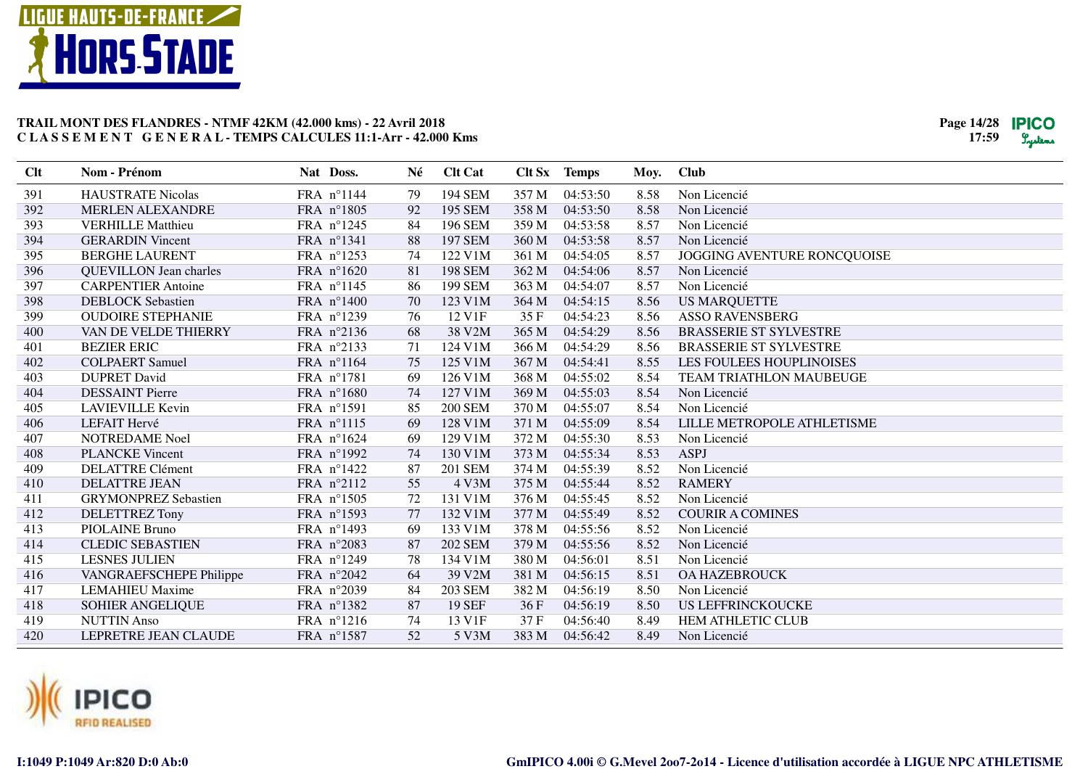



| Clt | Nom - Prénom                  | Nat Doss.  | Né | <b>Clt Cat</b>          |       | Clt Sx Temps | Moy. | <b>Club</b>                     |
|-----|-------------------------------|------------|----|-------------------------|-------|--------------|------|---------------------------------|
| 391 | <b>HAUSTRATE Nicolas</b>      | FRA nº1144 | 79 | 194 SEM                 | 357 M | 04:53:50     | 8.58 | Non Licencié                    |
| 392 | <b>MERLEN ALEXANDRE</b>       | FRA n°1805 | 92 | <b>195 SEM</b>          | 358 M | 04:53:50     | 8.58 | Non Licencié                    |
| 393 | <b>VERHILLE Matthieu</b>      | FRA n°1245 | 84 | 196 SEM                 | 359 M | 04:53:58     | 8.57 | Non Licencié                    |
| 394 | <b>GERARDIN Vincent</b>       | FRA n°1341 | 88 | 197 SEM                 | 360 M | 04:53:58     | 8.57 | Non Licencié                    |
| 395 | <b>BERGHE LAURENT</b>         | FRA n°1253 | 74 | 122 V1M                 | 361 M | 04:54:05     | 8.57 | JOGGING AVENTURE RONCQUOISE     |
| 396 | <b>QUEVILLON</b> Jean charles | FRA n°1620 | 81 | <b>198 SEM</b>          | 362 M | 04:54:06     | 8.57 | Non Licencié                    |
| 397 | <b>CARPENTIER Antoine</b>     | FRA n°1145 | 86 | 199 SEM                 | 363 M | 04:54:07     | 8.57 | Non Licencié                    |
| 398 | <b>DEBLOCK</b> Sebastien      | FRA n°1400 | 70 | 123 V1M                 | 364 M | 04:54:15     | 8.56 | <b>US MARQUETTE</b>             |
| 399 | <b>OUDOIRE STEPHANIE</b>      | FRA nº1239 | 76 | 12 V1F                  | 35 F  | 04:54:23     | 8.56 | <b>ASSO RAVENSBERG</b>          |
| 400 | VAN DE VELDE THIERRY          | FRA n°2136 | 68 | 38 V2M                  | 365 M | 04:54:29     | 8.56 | <b>BRASSERIE ST SYLVESTRE</b>   |
| 401 | <b>BEZIER ERIC</b>            | FRA n°2133 | 71 | 124 V1M                 | 366 M | 04:54:29     | 8.56 | <b>BRASSERIE ST SYLVESTRE</b>   |
| 402 | <b>COLPAERT Samuel</b>        | FRA n°1164 | 75 | 125 V1M                 | 367 M | 04:54:41     | 8.55 | <b>LES FOULEES HOUPLINOISES</b> |
| 403 | <b>DUPRET David</b>           | FRA n°1781 | 69 | 126 V1M                 | 368 M | 04:55:02     | 8.54 | <b>TEAM TRIATHLON MAUBEUGE</b>  |
| 404 | <b>DESSAINT Pierre</b>        | FRA n°1680 | 74 | 127 V1M                 | 369 M | 04:55:03     | 8.54 | Non Licencié                    |
| 405 | <b>LAVIEVILLE Kevin</b>       | FRA n°1591 | 85 | <b>200 SEM</b>          | 370 M | 04:55:07     | 8.54 | Non Licencié                    |
| 406 | LEFAIT Hervé                  | FRA n°1115 | 69 | 128 V1M                 | 371 M | 04:55:09     | 8.54 | LILLE METROPOLE ATHLETISME      |
| 407 | <b>NOTREDAME</b> Noel         | FRA n°1624 | 69 | 129 V1M                 | 372 M | 04:55:30     | 8.53 | Non Licencié                    |
| 408 | <b>PLANCKE Vincent</b>        | FRA n°1992 | 74 | 130 V1M                 | 373 M | 04:55:34     | 8.53 | <b>ASPJ</b>                     |
| 409 | <b>DELATTRE Clément</b>       | FRA n°1422 | 87 | <b>201 SEM</b>          | 374 M | 04:55:39     | 8.52 | Non Licencié                    |
| 410 | <b>DELATTRE JEAN</b>          | FRA n°2112 | 55 | 4 V3M                   | 375 M | 04:55:44     | 8.52 | <b>RAMERY</b>                   |
| 411 | <b>GRYMONPREZ Sebastien</b>   | FRA n°1505 | 72 | $131$ V $1\overline{M}$ | 376 M | 04:55:45     | 8.52 | Non Licencié                    |
| 412 | DELETTREZ Tony                | FRA n°1593 | 77 | 132 V1M                 | 377 M | 04:55:49     | 8.52 | <b>COURIR A COMINES</b>         |
| 413 | <b>PIOLAINE Bruno</b>         | FRA n°1493 | 69 | 133 V1M                 | 378 M | 04:55:56     | 8.52 | Non Licencié                    |
| 414 | <b>CLEDIC SEBASTIEN</b>       | FRA n°2083 | 87 | <b>202 SEM</b>          | 379 M | 04:55:56     | 8.52 | Non Licencié                    |
| 415 | <b>LESNES JULIEN</b>          | FRA n°1249 | 78 | 134 V1M                 | 380 M | 04:56:01     | 8.51 | Non Licencié                    |
| 416 | VANGRAEFSCHEPE Philippe       | FRA n°2042 | 64 | 39 V2M                  | 381 M | 04:56:15     | 8.51 | <b>OA HAZEBROUCK</b>            |
| 417 | <b>LEMAHIEU Maxime</b>        | FRA n°2039 | 84 | <b>203 SEM</b>          | 382 M | 04:56:19     | 8.50 | Non Licencié                    |
| 418 | SOHIER ANGELIQUE              | FRA n°1382 | 87 | <b>19 SEF</b>           | 36F   | 04:56:19     | 8.50 | <b>US LEFFRINCKOUCKE</b>        |
| 419 | <b>NUTTIN Anso</b>            | FRA nº1216 | 74 | 13 V1F                  | 37 F  | 04:56:40     | 8.49 | HEM ATHLETIC CLUB               |
| 420 | LEPRETRE JEAN CLAUDE          | FRA n°1587 | 52 | 5 V3M                   | 383 M | 04:56:42     | 8.49 | Non Licencié                    |

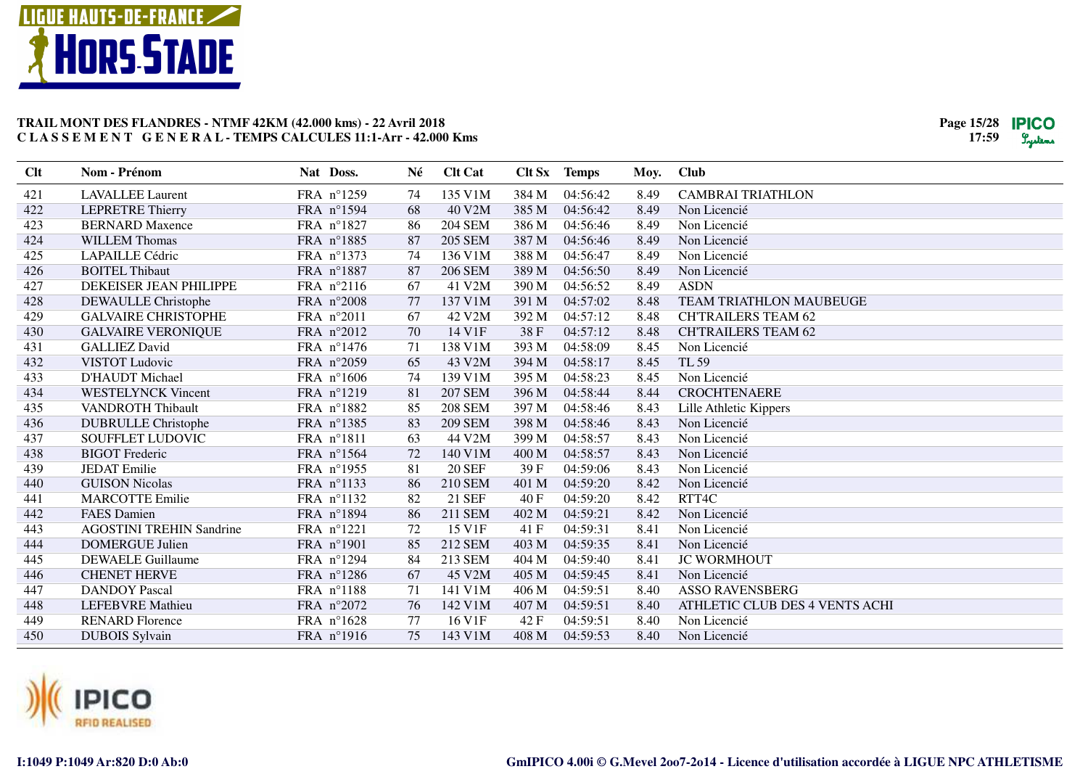



| Clt | Nom - Prénom                    | Nat Doss. |            | Né | <b>Clt Cat</b> |       | Clt Sx Temps | Moy. | Club                           |
|-----|---------------------------------|-----------|------------|----|----------------|-------|--------------|------|--------------------------------|
| 421 | <b>LAVALLEE Laurent</b>         |           | FRA nº1259 | 74 | 135 V1M        | 384 M | 04:56:42     | 8.49 | <b>CAMBRAI TRIATHLON</b>       |
| 422 | <b>LEPRETRE Thierry</b>         |           | FRA nº1594 | 68 | 40 V2M         | 385 M | 04:56:42     | 8.49 | Non Licencié                   |
| 423 | <b>BERNARD Maxence</b>          |           | FRA n°1827 | 86 | <b>204 SEM</b> | 386 M | 04:56:46     | 8.49 | Non Licencié                   |
| 424 | <b>WILLEM Thomas</b>            |           | FRA n°1885 | 87 | <b>205 SEM</b> | 387 M | 04:56:46     | 8.49 | Non Licencié                   |
| 425 | <b>LAPAILLE Cédric</b>          |           | FRA n°1373 | 74 | 136 V1M        | 388 M | 04:56:47     | 8.49 | Non Licencié                   |
| 426 | <b>BOITEL Thibaut</b>           |           | FRA n°1887 | 87 | <b>206 SEM</b> | 389 M | 04:56:50     | 8.49 | Non Licencié                   |
| 427 | DEKEISER JEAN PHILIPPE          |           | FRA n°2116 | 67 | 41 V2M         | 390 M | 04:56:52     | 8.49 | <b>ASDN</b>                    |
| 428 | DEWAULLE Christophe             |           | FRA n°2008 | 77 | 137 V1M        | 391 M | 04:57:02     | 8.48 | <b>TEAM TRIATHLON MAUBEUGE</b> |
| 429 | <b>GALVAIRE CHRISTOPHE</b>      |           | FRA n°2011 | 67 | 42 V2M         | 392 M | 04:57:12     | 8.48 | <b>CH'TRAILERS TEAM 62</b>     |
| 430 | <b>GALVAIRE VERONIQUE</b>       |           | FRA n°2012 | 70 | 14 V1F         | 38F   | 04:57:12     | 8.48 | <b>CH'TRAILERS TEAM 62</b>     |
| 431 | <b>GALLIEZ David</b>            |           | FRA n°1476 | 71 | 138 V1M        | 393 M | 04:58:09     | 8.45 | Non Licencié                   |
| 432 | <b>VISTOT</b> Ludovic           |           | FRA n°2059 | 65 | 43 V2M         | 394 M | 04:58:17     | 8.45 | TL 59                          |
| 433 | D'HAUDT Michael                 |           | FRA n°1606 | 74 | 139 V1M        | 395 M | 04:58:23     | 8.45 | Non Licencié                   |
| 434 | <b>WESTELYNCK Vincent</b>       |           | FRA n°1219 | 81 | <b>207 SEM</b> | 396 M | 04:58:44     | 8.44 | <b>CROCHTENAERE</b>            |
| 435 | <b>VANDROTH Thibault</b>        |           | FRA n°1882 | 85 | <b>208 SEM</b> | 397 M | 04:58:46     | 8.43 | Lille Athletic Kippers         |
| 436 | <b>DUBRULLE</b> Christophe      |           | FRA n°1385 | 83 | <b>209 SEM</b> | 398 M | 04:58:46     | 8.43 | Non Licencié                   |
| 437 | <b>SOUFFLET LUDOVIC</b>         |           | FRA n°1811 | 63 | 44 V2M         | 399 M | 04:58:57     | 8.43 | Non Licencié                   |
| 438 | <b>BIGOT</b> Frederic           |           | FRA n°1564 | 72 | 140 V1M        | 400 M | 04:58:57     | 8.43 | Non Licencié                   |
| 439 | <b>JEDAT</b> Emilie             |           | FRA n°1955 | 81 | <b>20 SEF</b>  | 39F   | 04:59:06     | 8.43 | Non Licencié                   |
| 440 | <b>GUISON Nicolas</b>           |           | FRA n°1133 | 86 | 210 SEM        | 401 M | 04:59:20     | 8.42 | Non Licencié                   |
| 441 | <b>MARCOTTE Emilie</b>          |           | FRA n°1132 | 82 | 21 SEF         | 40 F  | 04:59:20     | 8.42 | RTT4C                          |
| 442 | <b>FAES</b> Damien              |           | FRA n°1894 | 86 | 211 SEM        | 402 M | 04:59:21     | 8.42 | Non Licencié                   |
| 443 | <b>AGOSTINI TREHIN Sandrine</b> |           | FRA n°1221 | 72 | 15 V1F         | 41 F  | 04:59:31     | 8.41 | Non Licencié                   |
| 444 | <b>DOMERGUE Julien</b>          |           | FRA n°1901 | 85 | 212 SEM        | 403 M | 04:59:35     | 8.41 | Non Licencié                   |
| 445 | <b>DEWAELE Guillaume</b>        |           | FRA n°1294 | 84 | 213 SEM        | 404 M | 04:59:40     | 8.41 | <b>JC WORMHOUT</b>             |
| 446 | <b>CHENET HERVE</b>             |           | FRA n°1286 | 67 | 45 V2M         | 405 M | 04:59:45     | 8.41 | Non Licencié                   |
| 447 | <b>DANDOY Pascal</b>            |           | FRA n°1188 | 71 | 141 V1M        | 406 M | 04:59:51     | 8.40 | <b>ASSO RAVENSBERG</b>         |
| 448 | <b>LEFEBVRE</b> Mathieu         |           | FRA n°2072 | 76 | 142 V1M        | 407 M | 04:59:51     | 8.40 | ATHLETIC CLUB DES 4 VENTS ACHI |
| 449 | <b>RENARD Florence</b>          |           | FRA n°1628 | 77 | 16 V1F         | 42 F  | 04:59:51     | 8.40 | Non Licencié                   |
| 450 | <b>DUBOIS</b> Sylvain           |           | FRA n°1916 | 75 | 143 V1M        | 408 M | 04:59:53     | 8.40 | Non Licencié                   |

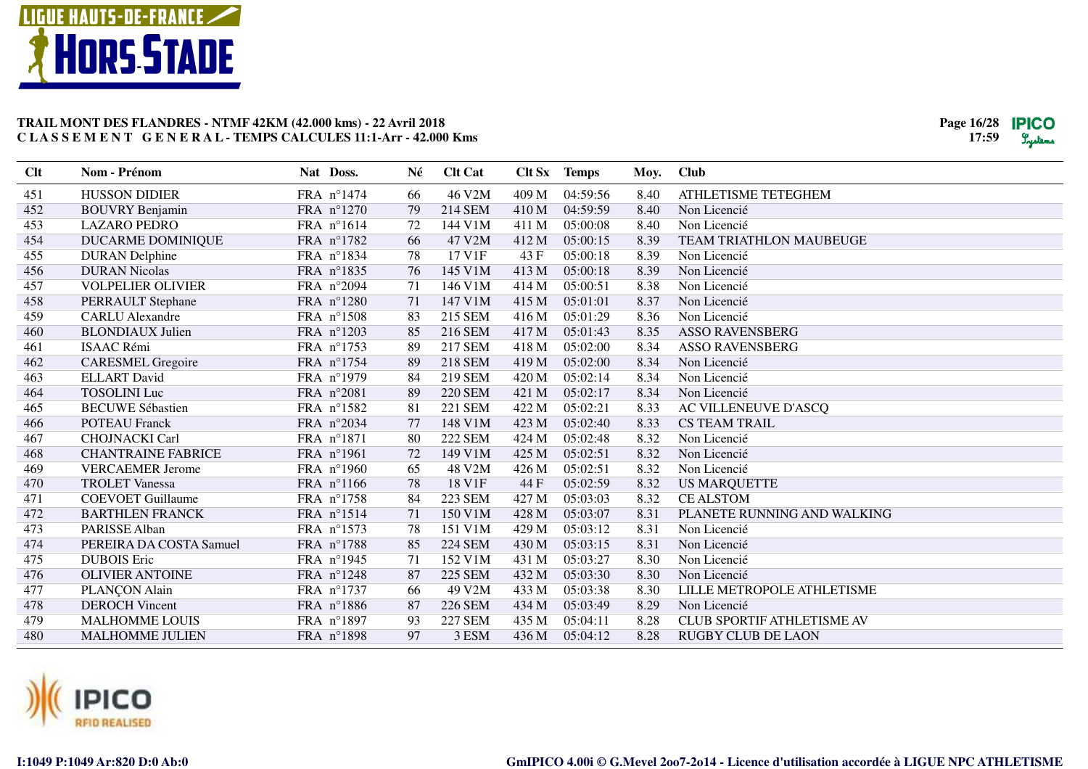



| Clt | Nom - Prénom              | Nat Doss.           | Né | <b>Clt Cat</b> |       | Clt Sx Temps | Moy. | <b>Club</b>                 |
|-----|---------------------------|---------------------|----|----------------|-------|--------------|------|-----------------------------|
| 451 | <b>HUSSON DIDIER</b>      | FRA n°1474          | 66 | 46 V2M         | 409 M | 04:59:56     | 8.40 | ATHLETISME TETEGHEM         |
| 452 | <b>BOUVRY Benjamin</b>    | FRA n°1270          | 79 | 214 SEM        | 410 M | 04:59:59     | 8.40 | Non Licencié                |
| 453 | <b>LAZARO PEDRO</b>       | FRA n°1614          | 72 | 144 V1M        | 411 M | 05:00:08     | 8.40 | Non Licencié                |
| 454 | DUCARME DOMINIQUE         | FRA n°1782          | 66 | 47 V2M         | 412 M | 05:00:15     | 8.39 | TEAM TRIATHLON MAUBEUGE     |
| 455 | <b>DURAN</b> Delphine     | FRA n°1834          | 78 | 17 V1F         | 43 F  | 05:00:18     | 8.39 | Non Licencié                |
| 456 | <b>DURAN Nicolas</b>      | FRA nº1835          | 76 | 145 V1M        | 413 M | 05:00:18     | 8.39 | Non Licencié                |
| 457 | <b>VOLPELIER OLIVIER</b>  | FRA n°2094          | 71 | 146 V1M        | 414 M | 05:00:51     | 8.38 | Non Licencié                |
| 458 | PERRAULT Stephane         | FRA $n^{\circ}1280$ | 71 | 147 V1M        | 415 M | 05:01:01     | 8.37 | Non Licencié                |
| 459 | <b>CARLU</b> Alexandre    | FRA n°1508          | 83 | 215 SEM        | 416 M | 05:01:29     | 8.36 | Non Licencié                |
| 460 | <b>BLONDIAUX Julien</b>   | FRA n°1203          | 85 | 216 SEM        | 417 M | 05:01:43     | 8.35 | <b>ASSO RAVENSBERG</b>      |
| 461 | <b>ISAAC Rémi</b>         | FRA n°1753          | 89 | 217 SEM        | 418 M | 05:02:00     | 8.34 | <b>ASSO RAVENSBERG</b>      |
| 462 | <b>CARESMEL Gregoire</b>  | FRA n°1754          | 89 | 218 SEM        | 419 M | 05:02:00     | 8.34 | Non Licencié                |
| 463 | <b>ELLART</b> David       | FRA n°1979          | 84 | 219 SEM        | 420 M | 05:02:14     | 8.34 | Non Licencié                |
| 464 | <b>TOSOLINI</b> Luc       | FRA n°2081          | 89 | <b>220 SEM</b> | 421 M | 05:02:17     | 8.34 | Non Licencié                |
| 465 | <b>BECUWE Sébastien</b>   | FRA n°1582          | 81 | 221 SEM        | 422 M | 05:02:21     | 8.33 | AC VILLENEUVE D'ASCQ        |
| 466 | <b>POTEAU</b> Franck      | FRA n°2034          | 77 | 148 V1M        | 423 M | 05:02:40     | 8.33 | <b>CS TEAM TRAIL</b>        |
| 467 | <b>CHOJNACKI Carl</b>     | FRA n°1871          | 80 | <b>222 SEM</b> | 424 M | 05:02:48     | 8.32 | Non Licencié                |
| 468 | <b>CHANTRAINE FABRICE</b> | FRA n°1961          | 72 | 149 V1M        | 425 M | 05:02:51     | 8.32 | Non Licencié                |
| 469 | <b>VERCAEMER Jerome</b>   | FRA n°1960          | 65 | 48 V2M         | 426 M | 05:02:51     | 8.32 | Non Licencié                |
| 470 | <b>TROLET Vanessa</b>     | FRA n°1166          | 78 | 18 V1F         | 44 F  | 05:02:59     | 8.32 | <b>US MARQUETTE</b>         |
| 471 | <b>COEVOET Guillaume</b>  | FRA n°1758          | 84 | <b>223 SEM</b> | 427 M | 05:03:03     | 8.32 | <b>CE ALSTOM</b>            |
| 472 | <b>BARTHLEN FRANCK</b>    | FRA n°1514          | 71 | 150 V1M        | 428 M | 05:03:07     | 8.31 | PLANETE RUNNING AND WALKING |
| 473 | PARISSE Alban             | FRA nº1573          | 78 | 151 V1M        | 429 M | 05:03:12     | 8.31 | Non Licencié                |
| 474 | PEREIRA DA COSTA Samuel   | FRA n°1788          | 85 | <b>224 SEM</b> | 430 M | 05:03:15     | 8.31 | Non Licencié                |
| 475 | <b>DUBOIS</b> Eric        | FRA n°1945          | 71 | 152 V1M        | 431 M | 05:03:27     | 8.30 | Non Licencié                |
| 476 | <b>OLIVIER ANTOINE</b>    | FRA n°1248          | 87 | <b>225 SEM</b> | 432 M | 05:03:30     | 8.30 | Non Licencié                |
| 477 | PLANÇON Alain             | FRA n°1737          | 66 | 49 V2M         | 433 M | 05:03:38     | 8.30 | LILLE METROPOLE ATHLETISME  |
| 478 | <b>DEROCH Vincent</b>     | FRA n°1886          | 87 | <b>226 SEM</b> | 434 M | 05:03:49     | 8.29 | Non Licencié                |
| 479 | <b>MALHOMME LOUIS</b>     | FRA n°1897          | 93 | <b>227 SEM</b> | 435 M | 05:04:11     | 8.28 | CLUB SPORTIF ATHLETISME AV  |
| 480 | <b>MALHOMME JULIEN</b>    | FRA n°1898          | 97 | 3 ESM          | 436 M | 05:04:12     | 8.28 | <b>RUGBY CLUB DE LAON</b>   |

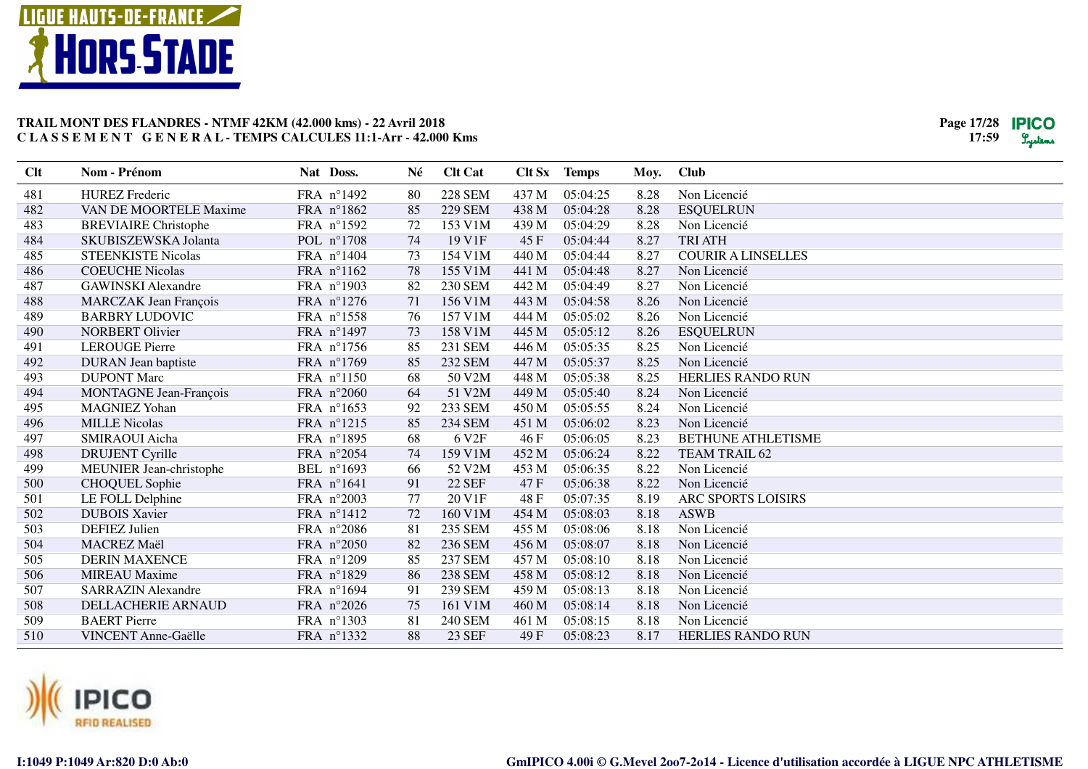



| Clt | Nom - Prénom                  | Nat Doss.           | Né | <b>Clt Cat</b>    |       | Clt Sx Temps | Moy. | <b>Club</b>               |
|-----|-------------------------------|---------------------|----|-------------------|-------|--------------|------|---------------------------|
| 481 | <b>HUREZ</b> Frederic         | FRA n°1492          | 80 | <b>228 SEM</b>    | 437 M | 05:04:25     | 8.28 | Non Licencié              |
| 482 | VAN DE MOORTELE Maxime        | FRA n°1862          | 85 | <b>229 SEM</b>    | 438 M | 05:04:28     | 8.28 | <b>ESQUELRUN</b>          |
| 483 | <b>BREVIAIRE Christophe</b>   | FRA n°1592          | 72 | 153 V1M           | 439 M | 05:04:29     | 8.28 | Non Licencié              |
| 484 | SKUBISZEWSKA Jolanta          | POL n°1708          | 74 | 19 V1F            | 45F   | 05:04:44     | 8.27 | <b>TRI ATH</b>            |
| 485 | <b>STEENKISTE Nicolas</b>     | FRA n°1404          | 73 | 154 V1M           | 440 M | 05:04:44     | 8.27 | <b>COURIR A LINSELLES</b> |
| 486 | <b>COEUCHE Nicolas</b>        | FRA nº1162          | 78 | 155 V1M           | 441 M | 05:04:48     | 8.27 | Non Licencié              |
| 487 | <b>GAWINSKI</b> Alexandre     | FRA n°1903          | 82 | <b>230 SEM</b>    | 442 M | 05:04:49     | 8.27 | Non Licencié              |
| 488 | <b>MARCZAK Jean François</b>  | FRA n°1276          | 71 | 156 V1M           | 443 M | 05:04:58     | 8.26 | Non Licencié              |
| 489 | <b>BARBRY LUDOVIC</b>         | FRA nº1558          | 76 | 157 V1M           | 444 M | 05:05:02     | 8.26 | Non Licencié              |
| 490 | <b>NORBERT Olivier</b>        | FRA n°1497          | 73 | 158 V1M           | 445 M | 05:05:12     | 8.26 | <b>ESQUELRUN</b>          |
| 491 | <b>LEROUGE Pierre</b>         | FRA n°1756          | 85 | 231 SEM           | 446 M | 05:05:35     | 8.25 | Non Licencié              |
| 492 | <b>DURAN</b> Jean baptiste    | FRA n°1769          | 85 | <b>232 SEM</b>    | 447 M | 05:05:37     | 8.25 | Non Licencié              |
| 493 | <b>DUPONT Marc</b>            | FRA n°1150          | 68 | 50 V2M            | 448 M | 05:05:38     | 8.25 | <b>HERLIES RANDO RUN</b>  |
| 494 | <b>MONTAGNE Jean-François</b> | FRA $n^{\circ}2060$ | 64 | 51 V2M            | 449 M | 05:05:40     | 8.24 | Non Licencié              |
| 495 | <b>MAGNIEZ Yohan</b>          | FRA n°1653          | 92 | 233 SEM           | 450 M | 05:05:55     | 8.24 | Non Licencié              |
| 496 | <b>MILLE Nicolas</b>          | FRA nº1215          | 85 | <b>234 SEM</b>    | 451 M | 05:06:02     | 8.23 | Non Licencié              |
| 497 | SMIRAOUI Aicha                | FRA n°1895          | 68 | 6 V <sub>2F</sub> | 46F   | 05:06:05     | 8.23 | <b>BETHUNE ATHLETISME</b> |
| 498 | <b>DRUJENT Cyrille</b>        | FRA n°2054          | 74 | 159 V1M           | 452 M | 05:06:24     | 8.22 | <b>TEAM TRAIL 62</b>      |
| 499 | MEUNIER Jean-christophe       | BEL n°1693          | 66 | 52 V2M            | 453 M | 05:06:35     | 8.22 | Non Licencié              |
| 500 | <b>CHOQUEL Sophie</b>         | FRA n°1641          | 91 | <b>22 SEF</b>     | 47F   | 05:06:38     | 8.22 | Non Licencié              |
| 501 | LE FOLL Delphine              | FRA n°2003          | 77 | 20 V1F            | 48 F  | 05:07:35     | 8.19 | ARC SPORTS LOISIRS        |
| 502 | <b>DUBOIS Xavier</b>          | FRA n°1412          | 72 | 160 V1M           | 454 M | 05:08:03     | 8.18 | <b>ASWB</b>               |
| 503 | <b>DEFIEZ</b> Julien          | FRA n°2086          | 81 | 235 SEM           | 455 M | 05:08:06     | 8.18 | Non Licencié              |
| 504 | MACREZ Maël                   | FRA n°2050          | 82 | 236 SEM           | 456 M | 05:08:07     | 8.18 | Non Licencié              |
| 505 | <b>DERIN MAXENCE</b>          | FRA n°1209          | 85 | 237 SEM           | 457 M | 05:08:10     | 8.18 | Non Licencié              |
| 506 | <b>MIREAU</b> Maxime          | FRA n°1829          | 86 | <b>238 SEM</b>    | 458 M | 05:08:12     | 8.18 | Non Licencié              |
| 507 | <b>SARRAZIN Alexandre</b>     | FRA n°1694          | 91 | 239 SEM           | 459 M | 05:08:13     | 8.18 | Non Licencié              |
| 508 | DELLACHERIE ARNAUD            | FRA n°2026          | 75 | 161 V1M           | 460 M | 05:08:14     | 8.18 | Non Licencié              |
| 509 | <b>BAERT</b> Pierre           | FRA n°1303          | 81 | <b>240 SEM</b>    | 461 M | 05:08:15     | 8.18 | Non Licencié              |
| 510 | <b>VINCENT Anne-Gaëlle</b>    | FRA nº1332          | 88 | 23 SEF            | 49 F  | 05:08:23     | 8.17 | <b>HERLIES RANDO RUN</b>  |

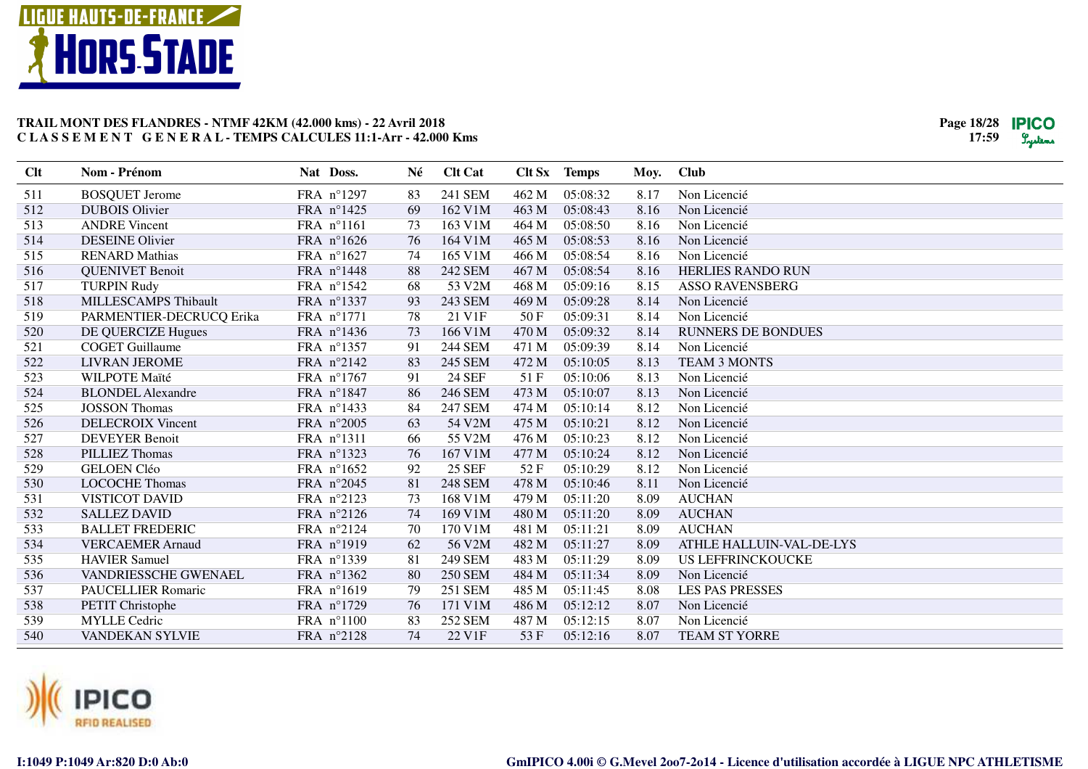



| Clt | Nom - Prénom             | Nat Doss.  | Né | <b>Clt Cat</b> | Clt Sx | <b>Temps</b> | Moy. | <b>Club</b>               |
|-----|--------------------------|------------|----|----------------|--------|--------------|------|---------------------------|
| 511 | <b>BOSQUET Jerome</b>    | FRA n°1297 | 83 | 241 SEM        | 462 M  | 05:08:32     | 8.17 | Non Licencié              |
| 512 | <b>DUBOIS Olivier</b>    | FRA n°1425 | 69 | 162 V1M        | 463 M  | 05:08:43     | 8.16 | Non Licencié              |
| 513 | <b>ANDRE Vincent</b>     | FRA n°1161 | 73 | 163 V1M        | 464 M  | 05:08:50     | 8.16 | Non Licencié              |
| 514 | <b>DESEINE Olivier</b>   | FRA n°1626 | 76 | 164 V1M        | 465 M  | 05:08:53     | 8.16 | Non Licencié              |
| 515 | <b>RENARD Mathias</b>    | FRA n°1627 | 74 | 165 V1M        | 466 M  | 05:08:54     | 8.16 | Non Licencié              |
| 516 | <b>QUENIVET Benoit</b>   | FRA n°1448 | 88 | 242 SEM        | 467 M  | 05:08:54     | 8.16 | <b>HERLIES RANDO RUN</b>  |
| 517 | <b>TURPIN Rudy</b>       | FRA nº1542 | 68 | 53 V2M         | 468 M  | 05:09:16     | 8.15 | <b>ASSO RAVENSBERG</b>    |
| 518 | MILLESCAMPS Thibault     | FRA nº1337 | 93 | 243 SEM        | 469 M  | 05:09:28     | 8.14 | Non Licencié              |
| 519 | PARMENTIER-DECRUCQ Erika | FRA n°1771 | 78 | 21 V1F         | 50 F   | 05:09:31     | 8.14 | Non Licencié              |
| 520 | DE QUERCIZE Hugues       | FRA n°1436 | 73 | 166 V1M        | 470 M  | 05:09:32     | 8.14 | <b>RUNNERS DE BONDUES</b> |
| 521 | <b>COGET Guillaume</b>   | FRA nº1357 | 91 | <b>244 SEM</b> | 471 M  | 05:09:39     | 8.14 | Non Licencié              |
| 522 | <b>LIVRAN JEROME</b>     | FRA n°2142 | 83 | 245 SEM        | 472 M  | 05:10:05     | 8.13 | <b>TEAM 3 MONTS</b>       |
| 523 | WILPOTE Maïté            | FRA n°1767 | 91 | 24 SEF         | 51F    | 05:10:06     | 8.13 | Non Licencié              |
| 524 | <b>BLONDEL Alexandre</b> | FRA n°1847 | 86 | 246 SEM        | 473 M  | 05:10:07     | 8.13 | Non Licencié              |
| 525 | <b>JOSSON Thomas</b>     | FRA nº1433 | 84 | <b>247 SEM</b> | 474 M  | 05:10:14     | 8.12 | Non Licencié              |
| 526 | <b>DELECROIX Vincent</b> | FRA n°2005 | 63 | 54 V2M         | 475 M  | 05:10:21     | 8.12 | Non Licencié              |
| 527 | <b>DEVEYER Benoit</b>    | FRA nº1311 | 66 | 55 V2M         | 476 M  | 05:10:23     | 8.12 | Non Licencié              |
| 528 | PILLIEZ Thomas           | FRA nº1323 | 76 | 167 V1M        | 477 M  | 05:10:24     | 8.12 | Non Licencié              |
| 529 | <b>GELOEN Cléo</b>       | FRA n°1652 | 92 | <b>25 SEF</b>  | 52F    | 05:10:29     | 8.12 | Non Licencié              |
| 530 | <b>LOCOCHE Thomas</b>    | FRA n°2045 | 81 | <b>248 SEM</b> | 478 M  | 05:10:46     | 8.11 | Non Licencié              |
| 531 | VISTICOT DAVID           | FRA n°2123 | 73 | 168 V1M        | 479 M  | 05:11:20     | 8.09 | <b>AUCHAN</b>             |
| 532 | <b>SALLEZ DAVID</b>      | FRA n°2126 | 74 | 169 V1M        | 480 M  | 05:11:20     | 8.09 | <b>AUCHAN</b>             |
| 533 | <b>BALLET FREDERIC</b>   | FRA n°2124 | 70 | 170 V1M        | 481 M  | 05:11:21     | 8.09 | <b>AUCHAN</b>             |
| 534 | <b>VERCAEMER Arnaud</b>  | FRA n°1919 | 62 | 56 V2M         | 482 M  | 05:11:27     | 8.09 | ATHLE HALLUIN-VAL-DE-LYS  |
| 535 | <b>HAVIER Samuel</b>     | FRA nº1339 | 81 | 249 SEM        | 483 M  | 05:11:29     | 8.09 | <b>US LEFFRINCKOUCKE</b>  |
| 536 | VANDRIESSCHE GWENAEL     | FRA nº1362 | 80 | <b>250 SEM</b> | 484 M  | 05:11:34     | 8.09 | Non Licencié              |
| 537 | PAUCELLIER Romaric       | FRA n°1619 | 79 | <b>251 SEM</b> | 485 M  | 05:11:45     | 8.08 | <b>LES PAS PRESSES</b>    |
| 538 | PETIT Christophe         | FRA n°1729 | 76 | 171 V1M        | 486 M  | 05:12:12     | 8.07 | Non Licencié              |
| 539 | <b>MYLLE</b> Cedric      | FRA n°1100 | 83 | <b>252 SEM</b> | 487 M  | 05:12:15     | 8.07 | Non Licencié              |
| 540 | VANDEKAN SYLVIE          | FRA n°2128 | 74 | 22 V1F         | 53 F   | 05:12:16     | 8.07 | TEAM ST YORRE             |

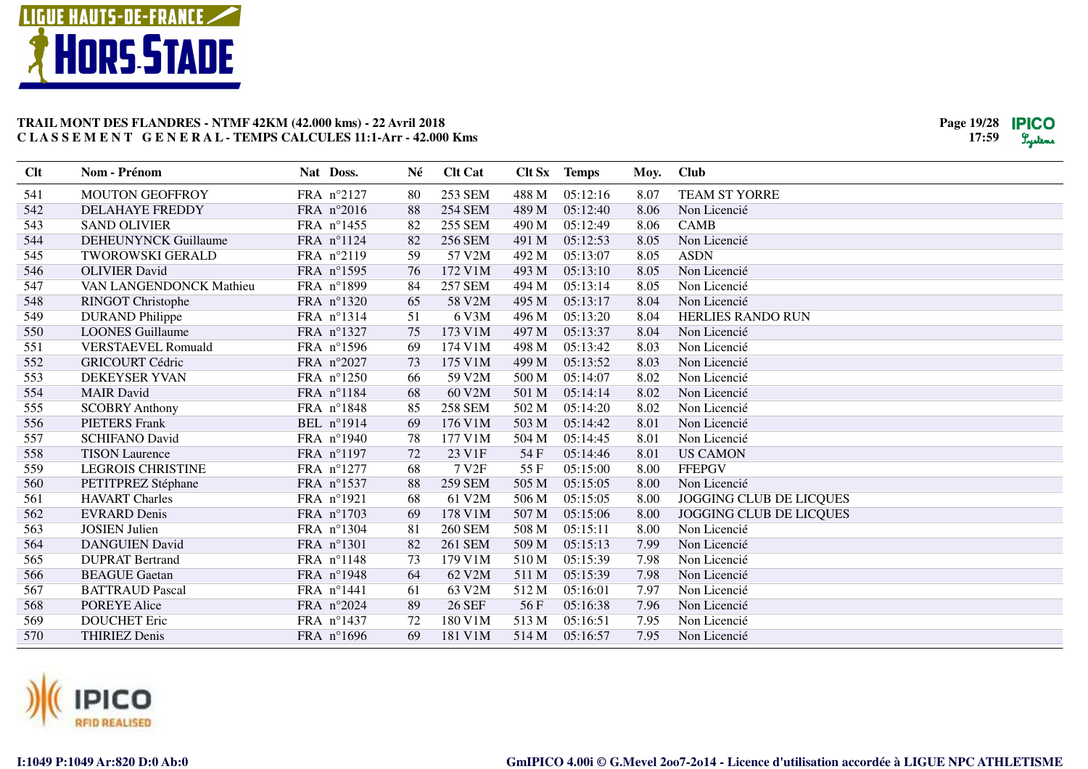



| Clt | Nom - Prénom                | Nat Doss.           | Né | <b>Clt Cat</b>    |       | Clt Sx Temps | Moy. | <b>Club</b>             |
|-----|-----------------------------|---------------------|----|-------------------|-------|--------------|------|-------------------------|
| 541 | <b>MOUTON GEOFFROY</b>      | FRA n°2127          | 80 | <b>253 SEM</b>    | 488 M | 05:12:16     | 8.07 | TEAM ST YORRE           |
| 542 | <b>DELAHAYE FREDDY</b>      | FRA n°2016          | 88 | <b>254 SEM</b>    | 489 M | 05:12:40     | 8.06 | Non Licencié            |
| 543 | <b>SAND OLIVIER</b>         | FRA n°1455          | 82 | <b>255 SEM</b>    | 490 M | 05:12:49     | 8.06 | <b>CAMB</b>             |
| 544 | <b>DEHEUNYNCK Guillaume</b> | FRA n°1124          | 82 | <b>256 SEM</b>    | 491 M | 05:12:53     | 8.05 | Non Licencié            |
| 545 | <b>TWOROWSKI GERALD</b>     | FRA n°2119          | 59 | 57 V2M            | 492 M | 05:13:07     | 8.05 | <b>ASDN</b>             |
| 546 | <b>OLIVIER David</b>        | FRA n°1595          | 76 | 172 V1M           | 493 M | 05:13:10     | 8.05 | Non Licencié            |
| 547 | VAN LANGENDONCK Mathieu     | FRA n°1899          | 84 | <b>257 SEM</b>    | 494 M | 05:13:14     | 8.05 | Non Licencié            |
| 548 | <b>RINGOT Christophe</b>    | FRA n°1320          | 65 | 58 V2M            | 495 M | 05:13:17     | 8.04 | Non Licencié            |
| 549 | <b>DURAND</b> Philippe      | FRA nº1314          | 51 | 6 V3M             | 496 M | 05:13:20     | 8.04 | HERLIES RANDO RUN       |
| 550 | <b>LOONES</b> Guillaume     | FRA n°1327          | 75 | 173 V1M           | 497 M | 05:13:37     | 8.04 | Non Licencié            |
| 551 | <b>VERSTAEVEL Romuald</b>   | FRA n°1596          | 69 | 174 V1M           | 498 M | 05:13:42     | 8.03 | Non Licencié            |
| 552 | <b>GRICOURT Cédric</b>      | FRA n°2027          | 73 | 175 V1M           | 499 M | 05:13:52     | 8.03 | Non Licencié            |
| 553 | <b>DEKEYSER YVAN</b>        | FRA $n^{\circ}1250$ | 66 | 59 V2M            | 500 M | 05:14:07     | 8.02 | Non Licencié            |
| 554 | <b>MAIR</b> David           | FRA n°1184          | 68 | 60 V2M            | 501 M | 05:14:14     | 8.02 | Non Licencié            |
| 555 | <b>SCOBRY Anthony</b>       | FRA n°1848          | 85 | <b>258 SEM</b>    | 502 M | 05:14:20     | 8.02 | Non Licencié            |
| 556 | <b>PIETERS Frank</b>        | BEL nº1914          | 69 | 176 V1M           | 503 M | 05:14:42     | 8.01 | Non Licencié            |
| 557 | <b>SCHIFANO David</b>       | FRA n°1940          | 78 | 177 V1M           | 504 M | 05:14:45     | 8.01 | Non Licencié            |
| 558 | <b>TISON Laurence</b>       | FRA n°1197          | 72 | 23 V1F            | 54 F  | 05:14:46     | 8.01 | <b>US CAMON</b>         |
| 559 | <b>LEGROIS CHRISTINE</b>    | FRA n°1277          | 68 | 7 V <sub>2F</sub> | 55 F  | 05:15:00     | 8.00 | <b>FFEPGV</b>           |
| 560 | PETITPREZ Stéphane          | FRA n°1537          | 88 | <b>259 SEM</b>    | 505 M | 05:15:05     | 8.00 | Non Licencié            |
| 561 | <b>HAVART Charles</b>       | FRA n°1921          | 68 | 61 V2M            | 506 M | 05:15:05     | 8.00 | JOGGING CLUB DE LICQUES |
| 562 | <b>EVRARD Denis</b>         | FRA n°1703          | 69 | 178 V1M           | 507 M | 05:15:06     | 8.00 | JOGGING CLUB DE LICQUES |
| 563 | <b>JOSIEN</b> Julien        | FRA n°1304          | 81 | <b>260 SEM</b>    | 508 M | 05:15:11     | 8.00 | Non Licencié            |
| 564 | <b>DANGUIEN David</b>       | FRA n°1301          | 82 | 261 SEM           | 509 M | 05:15:13     | 7.99 | Non Licencié            |
| 565 | <b>DUPRAT Bertrand</b>      | FRA n°1148          | 73 | 179 V1M           | 510 M | 05:15:39     | 7.98 | Non Licencié            |
| 566 | <b>BEAGUE</b> Gaetan        | FRA n°1948          | 64 | 62 V2M            | 511 M | 05:15:39     | 7.98 | Non Licencié            |
| 567 | <b>BATTRAUD Pascal</b>      | FRA n°1441          | 61 | 63 V2M            | 512 M | 05:16:01     | 7.97 | Non Licencié            |
| 568 | <b>POREYE Alice</b>         | FRA n°2024          | 89 | <b>26 SEF</b>     | 56F   | 05:16:38     | 7.96 | Non Licencié            |
| 569 | <b>DOUCHET Eric</b>         | FRA n°1437          | 72 | 180 V1M           | 513 M | 05:16:51     | 7.95 | Non Licencié            |
| 570 | <b>THIRIEZ Denis</b>        | FRA n°1696          | 69 | 181 V1M           | 514 M | 05:16:57     | 7.95 | Non Licencié            |

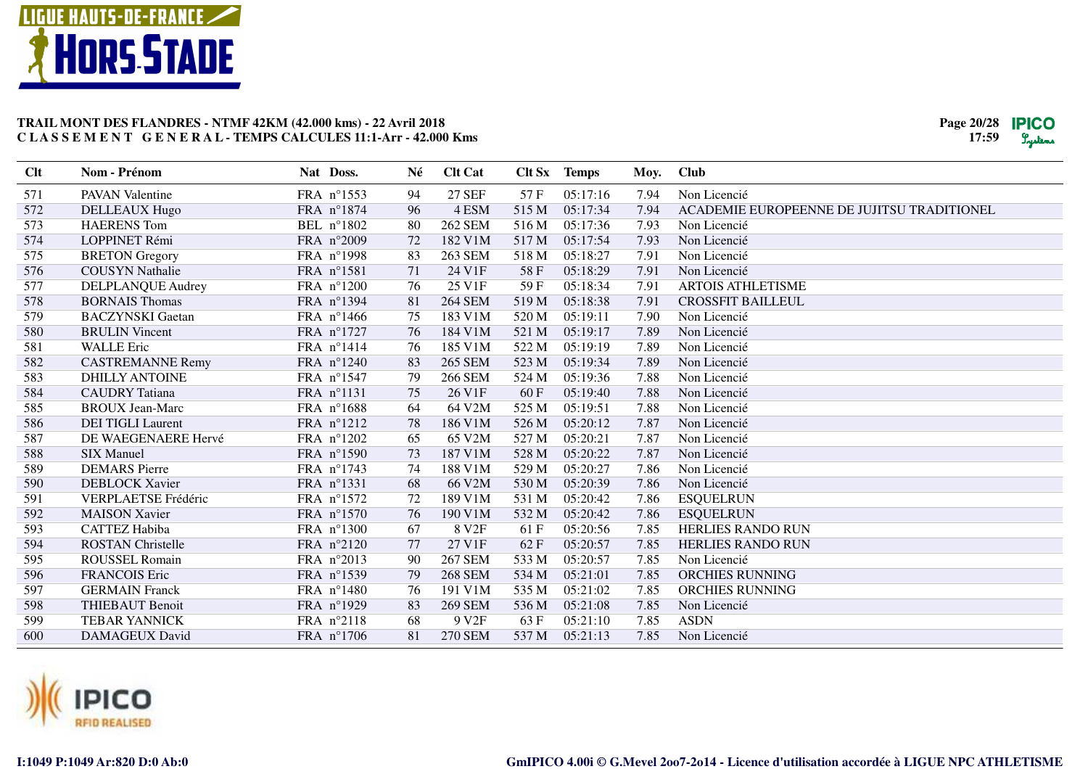# **LIGUE HAUTS-DE-FRANCE HORS STADE**



| <b>Clt</b> | Nom - Prénom               | Nat Doss.  | Né | <b>Clt Cat</b>    |       | Clt Sx Temps | Moy. | <b>Club</b>                                |
|------------|----------------------------|------------|----|-------------------|-------|--------------|------|--------------------------------------------|
| 571        | <b>PAVAN Valentine</b>     | FRA n°1553 | 94 | <b>27 SEF</b>     | 57 F  | 05:17:16     | 7.94 | Non Licencié                               |
| 572        | DELLEAUX Hugo              | FRA n°1874 | 96 | 4 ESM             | 515 M | 05:17:34     | 7.94 | ACADEMIE EUROPEENNE DE JUJITSU TRADITIONEL |
| 573        | <b>HAERENS</b> Tom         | BEL n°1802 | 80 | <b>262 SEM</b>    | 516 M | 05:17:36     | 7.93 | Non Licencié                               |
| 574        | LOPPINET Rémi              | FRA n°2009 | 72 | 182 V1M           | 517 M | 05:17:54     | 7.93 | Non Licencié                               |
| 575        | <b>BRETON</b> Gregory      | FRA n°1998 | 83 | <b>263 SEM</b>    | 518 M | 05:18:27     | 7.91 | Non Licencié                               |
| 576        | <b>COUSYN Nathalie</b>     | FRA n°1581 | 71 | 24 V1F            | 58F   | 05:18:29     | 7.91 | Non Licencié                               |
| 577        | DELPLANQUE Audrey          | FRA n°1200 | 76 | 25 V1F            | 59F   | 05:18:34     | 7.91 | <b>ARTOIS ATHLETISME</b>                   |
| 578        | <b>BORNAIS Thomas</b>      | FRA nº1394 | 81 | <b>264 SEM</b>    | 519 M | 05:18:38     | 7.91 | <b>CROSSFIT BAILLEUL</b>                   |
| 579        | <b>BACZYNSKI</b> Gaetan    | FRA n°1466 | 75 | 183 V1M           | 520 M | 05:19:11     | 7.90 | Non Licencié                               |
| 580        | <b>BRULIN</b> Vincent      | FRA n°1727 | 76 | 184 V1M           | 521 M | 05:19:17     | 7.89 | Non Licencié                               |
| 581        | <b>WALLE</b> Eric          | FRA n°1414 | 76 | 185 V1M           | 522 M | 05:19:19     | 7.89 | Non Licencié                               |
| 582        | <b>CASTREMANNE Remy</b>    | FRA n°1240 | 83 | <b>265 SEM</b>    | 523 M | 05:19:34     | 7.89 | Non Licencié                               |
| 583        | <b>DHILLY ANTOINE</b>      | FRA n°1547 | 79 | <b>266 SEM</b>    | 524 M | 05:19:36     | 7.88 | Non Licencié                               |
| 584        | <b>CAUDRY</b> Tatiana      | FRA n°1131 | 75 | 26 V1F            | 60 F  | 05:19:40     | 7.88 | Non Licencié                               |
| 585        | <b>BROUX Jean-Marc</b>     | FRA n°1688 | 64 | 64 V2M            | 525 M | 05:19:51     | 7.88 | Non Licencié                               |
| 586        | <b>DEI TIGLI Laurent</b>   | FRA n°1212 | 78 | 186 V1M           | 526 M | 05:20:12     | 7.87 | Non Licencié                               |
| 587        | DE WAEGENAERE Hervé        | FRA n°1202 | 65 | 65 V2M            | 527 M | 05:20:21     | 7.87 | Non Licencié                               |
| 588        | <b>SIX Manuel</b>          | FRA n°1590 | 73 | 187 V1M           | 528 M | 05:20:22     | 7.87 | Non Licencié                               |
| 589        | <b>DEMARS</b> Pierre       | FRA n°1743 | 74 | 188 V1M           | 529 M | 05:20:27     | 7.86 | Non Licencié                               |
| 590        | <b>DEBLOCK Xavier</b>      | FRA nº1331 | 68 | 66 V2M            | 530 M | 05:20:39     | 7.86 | Non Licencié                               |
| 591        | <b>VERPLAETSE Frédéric</b> | FRA nº1572 | 72 | 189 V1M           | 531 M | 05:20:42     | 7.86 | <b>ESQUELRUN</b>                           |
| 592        | <b>MAISON Xavier</b>       | FRA n°1570 | 76 | 190 V1M           | 532 M | 05:20:42     | 7.86 | <b>ESQUELRUN</b>                           |
| 593        | <b>CATTEZ Habiba</b>       | FRA n°1300 | 67 | 8 V <sub>2F</sub> | 61F   | 05:20:56     | 7.85 | <b>HERLIES RANDO RUN</b>                   |
| 594        | <b>ROSTAN Christelle</b>   | FRA n°2120 | 77 | 27 V1F            | 62F   | 05:20:57     | 7.85 | <b>HERLIES RANDO RUN</b>                   |
| 595        | <b>ROUSSEL Romain</b>      | FRA n°2013 | 90 | <b>267 SEM</b>    | 533 M | 05:20:57     | 7.85 | Non Licencié                               |
| 596        | FRANCOIS Eric              | FRA n°1539 | 79 | <b>268 SEM</b>    | 534 M | 05:21:01     | 7.85 | ORCHIES RUNNING                            |
| 597        | <b>GERMAIN</b> Franck      | FRA n°1480 | 76 | 191 V1M           | 535 M | 05:21:02     | 7.85 | ORCHIES RUNNING                            |
| 598        | <b>THIEBAUT Benoit</b>     | FRA n°1929 | 83 | <b>269 SEM</b>    | 536 M | 05:21:08     | 7.85 | Non Licencié                               |
| 599        | <b>TEBAR YANNICK</b>       | FRA n°2118 | 68 | 9 V <sub>2F</sub> | 63 F  | 05:21:10     | 7.85 | <b>ASDN</b>                                |
| 600        | DAMAGEUX David             | FRA n°1706 | 81 | <b>270 SEM</b>    | 537 M | 05:21:13     | 7.85 | Non Licencié                               |

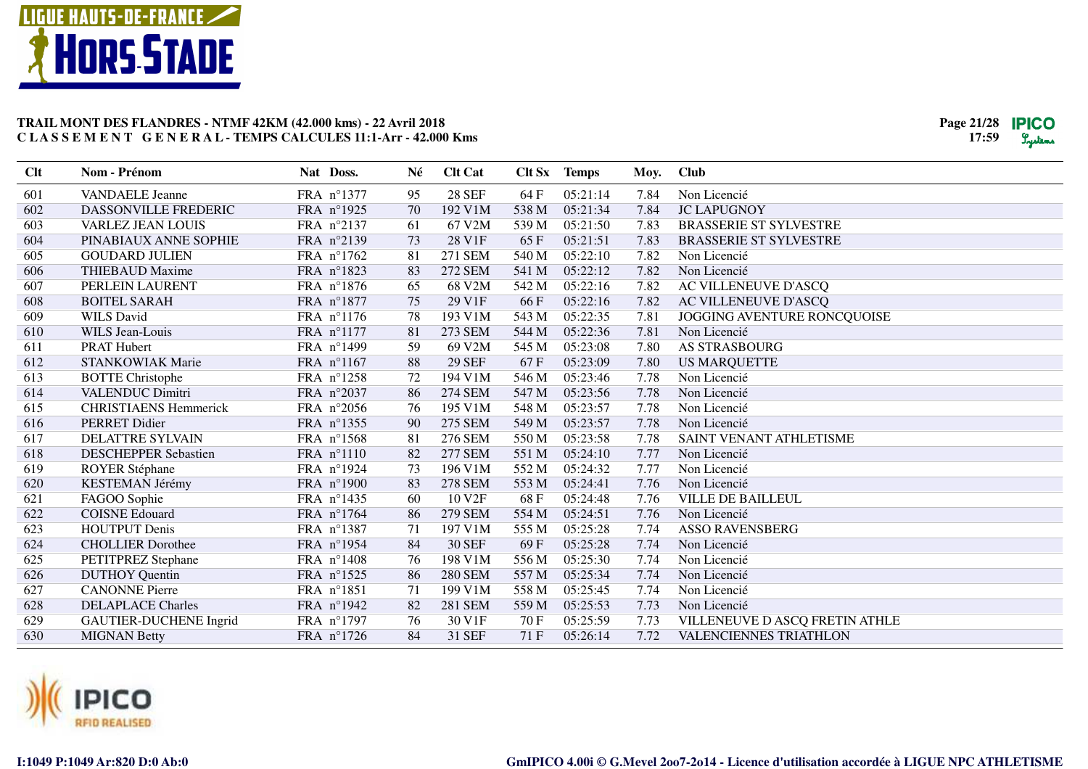



| <b>28 SEF</b><br>601<br><b>VANDAELE</b> Jeanne<br>FRA n°1377<br>95<br>64 F<br>05:21:14<br>7.84<br>Non Licencié<br>05:21:34<br>602<br>DASSONVILLE FREDERIC<br>FRA n°1925<br>70<br>192 V1M<br>538 M<br>7.84<br><b>JC LAPUGNOY</b><br>603<br>67 V2M<br>FRA n°2137<br>61<br>539 M<br>05:21:50<br>7.83<br><b>BRASSERIE ST SYLVESTRE</b><br><b>VARLEZ JEAN LOUIS</b><br>604<br>FRA n°2139<br>73<br>28 V1F<br>65F<br>05:21:51<br>7.83<br><b>BRASSERIE ST SYLVESTRE</b><br>PINABIAUX ANNE SOPHIE<br>605<br>FRA n°1762<br>81<br>05:22:10<br><b>GOUDARD JULIEN</b><br>271 SEM<br>540 M<br>7.82<br>Non Licencié<br>83<br>7.82<br>606<br><b>THIEBAUD Maxime</b><br>FRA n°1823<br><b>272 SEM</b><br>541 M<br>05:22:12<br>Non Licencié<br>607<br>PERLEIN LAURENT<br>FRA n°1876<br>65<br>68 V2M<br>542 M<br>05:22:16<br>7.82<br>AC VILLENEUVE D'ASCQ<br>75<br>29 V1F<br>05:22:16<br>608<br><b>BOITEL SARAH</b><br>FRA n°1877<br>66 F<br>7.82<br>AC VILLENEUVE D'ASCQ<br>78<br>609<br><b>WILS David</b><br>FRA n°1176<br>193 V1M<br>543 M<br>05:22:35<br>7.81<br>JOGGING AVENTURE RONCQUOISE<br>610<br>WILS Jean-Louis<br>FRA n°1177<br>81<br>273 SEM<br>544 M<br>05:22:36<br>7.81<br>Non Licencié<br>FRA n°1499<br>59<br>69 V2M<br>05:23:08<br>611<br><b>PRAT Hubert</b><br>545 M<br>7.80<br><b>AS STRASBOURG</b><br>FRA n°1167<br>612<br>STANKOWIAK Marie<br>88<br><b>29 SEF</b><br>67F<br>05:23:09<br>7.80<br><b>US MARQUETTE</b><br>613<br>FRA n°1258<br>72<br>194 V1M<br>546 M<br>05:23:46<br>7.78<br>Non Licencié<br><b>BOTTE Christophe</b><br>FRA n°2037<br>05:23:56<br>7.78<br>614<br><b>VALENDUC Dimitri</b><br>86<br>274 SEM<br>547 M<br>Non Licencié<br>615<br><b>CHRISTIAENS Hemmerick</b><br>FRA n°2056<br>76<br>195 V1M<br>548 M<br>05:23:57<br>7.78<br>Non Licencié<br>616<br>FRA nº1355<br>90<br>275 SEM<br>549 M<br>05:23:57<br>7.78<br><b>PERRET Didier</b><br>Non Licencié<br>FRA n°1568<br>81<br>05:23:58<br>617<br><b>DELATTRE SYLVAIN</b><br>276 SEM<br>550 M<br>7.78<br>SAINT VENANT ATHLETISME<br>618<br><b>DESCHEPPER Sebastien</b><br>FRA n°1110<br>82<br><b>277 SEM</b><br>551 M<br>05:24:10<br>7.77<br>Non Licencié<br>619<br>FRA n°1924<br>73<br>05:24:32<br><b>ROYER Stéphane</b><br>196 V1M<br>552 M<br>7.77<br>Non Licencié<br>620<br>KESTEMAN Jérémy<br>FRA n°1900<br>83<br><b>278 SEM</b><br>553 M<br>05:24:41<br>7.76<br>Non Licencié<br>10 V <sub>2F</sub><br>621<br>FAGOO Sophie<br>FRA n°1435<br>60<br>68F<br>05:24:48<br>7.76<br><b>VILLE DE BAILLEUL</b><br>622<br><b>COISNE Edouard</b><br>FRA n°1764<br>05:24:51<br>86<br>279 SEM<br>554 M<br>7.76<br>Non Licencié<br><b>HOUTPUT</b> Denis<br>623<br>FRA n°1387<br>71<br>197 V1M<br>555 M<br>05:25:28<br>7.74<br><b>ASSO RAVENSBERG</b><br>84<br><b>30 SEF</b><br>624<br>FRA n°1954<br>69F<br>05:25:28<br>7.74<br>Non Licencié<br><b>CHOLLIER</b> Dorothee<br>625<br>FRA n°1408<br>76<br>198 V1M<br>05:25:30<br>PETITPREZ Stephane<br>556 M<br>7.74<br>Non Licencié<br>626<br><b>DUTHOY</b> Quentin<br>FRA n°1525<br>86<br><b>280 SEM</b><br>05:25:34<br>557 M<br>7.74<br>Non Licencié<br>627<br><b>CANONNE</b> Pierre<br>FRA n°1851<br>71<br>199 V1M<br>558 M<br>05:25:45<br>7.74<br>Non Licencié<br>82<br>628<br><b>DELAPLACE Charles</b><br>FRA n°1942<br>281 SEM<br>559 M<br>05:25:53<br>7.73<br>Non Licencié<br>629<br>FRA n°1797<br>76<br>30 V1F<br>7.73<br>VILLENEUVE D ASCQ FRETIN ATHLE<br><b>GAUTIER-DUCHENE Ingrid</b><br>70 F<br>05:25:59<br>630<br>84<br>31 SEF<br>71F<br>05:26:14<br>7.72<br>VALENCIENNES TRIATHLON<br><b>MIGNAN Betty</b><br>FRA $n^{\circ}1726$ | Clt | Nom - Prénom | Nat Doss. | Né | <b>Clt Cat</b> | Clt Sx Temps | Moy. | <b>Club</b> |
|------------------------------------------------------------------------------------------------------------------------------------------------------------------------------------------------------------------------------------------------------------------------------------------------------------------------------------------------------------------------------------------------------------------------------------------------------------------------------------------------------------------------------------------------------------------------------------------------------------------------------------------------------------------------------------------------------------------------------------------------------------------------------------------------------------------------------------------------------------------------------------------------------------------------------------------------------------------------------------------------------------------------------------------------------------------------------------------------------------------------------------------------------------------------------------------------------------------------------------------------------------------------------------------------------------------------------------------------------------------------------------------------------------------------------------------------------------------------------------------------------------------------------------------------------------------------------------------------------------------------------------------------------------------------------------------------------------------------------------------------------------------------------------------------------------------------------------------------------------------------------------------------------------------------------------------------------------------------------------------------------------------------------------------------------------------------------------------------------------------------------------------------------------------------------------------------------------------------------------------------------------------------------------------------------------------------------------------------------------------------------------------------------------------------------------------------------------------------------------------------------------------------------------------------------------------------------------------------------------------------------------------------------------------------------------------------------------------------------------------------------------------------------------------------------------------------------------------------------------------------------------------------------------------------------------------------------------------------------------------------------------------------------------------------------------------------------------------------------------------------------------------------------------------------------------------------------------------------------------------------------------------------------------------------------------------------------------------------------------------------------------------------------------------------------------------------------------------------------------------------------------------------------------------------------------|-----|--------------|-----------|----|----------------|--------------|------|-------------|
|                                                                                                                                                                                                                                                                                                                                                                                                                                                                                                                                                                                                                                                                                                                                                                                                                                                                                                                                                                                                                                                                                                                                                                                                                                                                                                                                                                                                                                                                                                                                                                                                                                                                                                                                                                                                                                                                                                                                                                                                                                                                                                                                                                                                                                                                                                                                                                                                                                                                                                                                                                                                                                                                                                                                                                                                                                                                                                                                                                                                                                                                                                                                                                                                                                                                                                                                                                                                                                                                                                                                                            |     |              |           |    |                |              |      |             |
|                                                                                                                                                                                                                                                                                                                                                                                                                                                                                                                                                                                                                                                                                                                                                                                                                                                                                                                                                                                                                                                                                                                                                                                                                                                                                                                                                                                                                                                                                                                                                                                                                                                                                                                                                                                                                                                                                                                                                                                                                                                                                                                                                                                                                                                                                                                                                                                                                                                                                                                                                                                                                                                                                                                                                                                                                                                                                                                                                                                                                                                                                                                                                                                                                                                                                                                                                                                                                                                                                                                                                            |     |              |           |    |                |              |      |             |
|                                                                                                                                                                                                                                                                                                                                                                                                                                                                                                                                                                                                                                                                                                                                                                                                                                                                                                                                                                                                                                                                                                                                                                                                                                                                                                                                                                                                                                                                                                                                                                                                                                                                                                                                                                                                                                                                                                                                                                                                                                                                                                                                                                                                                                                                                                                                                                                                                                                                                                                                                                                                                                                                                                                                                                                                                                                                                                                                                                                                                                                                                                                                                                                                                                                                                                                                                                                                                                                                                                                                                            |     |              |           |    |                |              |      |             |
|                                                                                                                                                                                                                                                                                                                                                                                                                                                                                                                                                                                                                                                                                                                                                                                                                                                                                                                                                                                                                                                                                                                                                                                                                                                                                                                                                                                                                                                                                                                                                                                                                                                                                                                                                                                                                                                                                                                                                                                                                                                                                                                                                                                                                                                                                                                                                                                                                                                                                                                                                                                                                                                                                                                                                                                                                                                                                                                                                                                                                                                                                                                                                                                                                                                                                                                                                                                                                                                                                                                                                            |     |              |           |    |                |              |      |             |
|                                                                                                                                                                                                                                                                                                                                                                                                                                                                                                                                                                                                                                                                                                                                                                                                                                                                                                                                                                                                                                                                                                                                                                                                                                                                                                                                                                                                                                                                                                                                                                                                                                                                                                                                                                                                                                                                                                                                                                                                                                                                                                                                                                                                                                                                                                                                                                                                                                                                                                                                                                                                                                                                                                                                                                                                                                                                                                                                                                                                                                                                                                                                                                                                                                                                                                                                                                                                                                                                                                                                                            |     |              |           |    |                |              |      |             |
|                                                                                                                                                                                                                                                                                                                                                                                                                                                                                                                                                                                                                                                                                                                                                                                                                                                                                                                                                                                                                                                                                                                                                                                                                                                                                                                                                                                                                                                                                                                                                                                                                                                                                                                                                                                                                                                                                                                                                                                                                                                                                                                                                                                                                                                                                                                                                                                                                                                                                                                                                                                                                                                                                                                                                                                                                                                                                                                                                                                                                                                                                                                                                                                                                                                                                                                                                                                                                                                                                                                                                            |     |              |           |    |                |              |      |             |
|                                                                                                                                                                                                                                                                                                                                                                                                                                                                                                                                                                                                                                                                                                                                                                                                                                                                                                                                                                                                                                                                                                                                                                                                                                                                                                                                                                                                                                                                                                                                                                                                                                                                                                                                                                                                                                                                                                                                                                                                                                                                                                                                                                                                                                                                                                                                                                                                                                                                                                                                                                                                                                                                                                                                                                                                                                                                                                                                                                                                                                                                                                                                                                                                                                                                                                                                                                                                                                                                                                                                                            |     |              |           |    |                |              |      |             |
|                                                                                                                                                                                                                                                                                                                                                                                                                                                                                                                                                                                                                                                                                                                                                                                                                                                                                                                                                                                                                                                                                                                                                                                                                                                                                                                                                                                                                                                                                                                                                                                                                                                                                                                                                                                                                                                                                                                                                                                                                                                                                                                                                                                                                                                                                                                                                                                                                                                                                                                                                                                                                                                                                                                                                                                                                                                                                                                                                                                                                                                                                                                                                                                                                                                                                                                                                                                                                                                                                                                                                            |     |              |           |    |                |              |      |             |
|                                                                                                                                                                                                                                                                                                                                                                                                                                                                                                                                                                                                                                                                                                                                                                                                                                                                                                                                                                                                                                                                                                                                                                                                                                                                                                                                                                                                                                                                                                                                                                                                                                                                                                                                                                                                                                                                                                                                                                                                                                                                                                                                                                                                                                                                                                                                                                                                                                                                                                                                                                                                                                                                                                                                                                                                                                                                                                                                                                                                                                                                                                                                                                                                                                                                                                                                                                                                                                                                                                                                                            |     |              |           |    |                |              |      |             |
|                                                                                                                                                                                                                                                                                                                                                                                                                                                                                                                                                                                                                                                                                                                                                                                                                                                                                                                                                                                                                                                                                                                                                                                                                                                                                                                                                                                                                                                                                                                                                                                                                                                                                                                                                                                                                                                                                                                                                                                                                                                                                                                                                                                                                                                                                                                                                                                                                                                                                                                                                                                                                                                                                                                                                                                                                                                                                                                                                                                                                                                                                                                                                                                                                                                                                                                                                                                                                                                                                                                                                            |     |              |           |    |                |              |      |             |
|                                                                                                                                                                                                                                                                                                                                                                                                                                                                                                                                                                                                                                                                                                                                                                                                                                                                                                                                                                                                                                                                                                                                                                                                                                                                                                                                                                                                                                                                                                                                                                                                                                                                                                                                                                                                                                                                                                                                                                                                                                                                                                                                                                                                                                                                                                                                                                                                                                                                                                                                                                                                                                                                                                                                                                                                                                                                                                                                                                                                                                                                                                                                                                                                                                                                                                                                                                                                                                                                                                                                                            |     |              |           |    |                |              |      |             |
|                                                                                                                                                                                                                                                                                                                                                                                                                                                                                                                                                                                                                                                                                                                                                                                                                                                                                                                                                                                                                                                                                                                                                                                                                                                                                                                                                                                                                                                                                                                                                                                                                                                                                                                                                                                                                                                                                                                                                                                                                                                                                                                                                                                                                                                                                                                                                                                                                                                                                                                                                                                                                                                                                                                                                                                                                                                                                                                                                                                                                                                                                                                                                                                                                                                                                                                                                                                                                                                                                                                                                            |     |              |           |    |                |              |      |             |
|                                                                                                                                                                                                                                                                                                                                                                                                                                                                                                                                                                                                                                                                                                                                                                                                                                                                                                                                                                                                                                                                                                                                                                                                                                                                                                                                                                                                                                                                                                                                                                                                                                                                                                                                                                                                                                                                                                                                                                                                                                                                                                                                                                                                                                                                                                                                                                                                                                                                                                                                                                                                                                                                                                                                                                                                                                                                                                                                                                                                                                                                                                                                                                                                                                                                                                                                                                                                                                                                                                                                                            |     |              |           |    |                |              |      |             |
|                                                                                                                                                                                                                                                                                                                                                                                                                                                                                                                                                                                                                                                                                                                                                                                                                                                                                                                                                                                                                                                                                                                                                                                                                                                                                                                                                                                                                                                                                                                                                                                                                                                                                                                                                                                                                                                                                                                                                                                                                                                                                                                                                                                                                                                                                                                                                                                                                                                                                                                                                                                                                                                                                                                                                                                                                                                                                                                                                                                                                                                                                                                                                                                                                                                                                                                                                                                                                                                                                                                                                            |     |              |           |    |                |              |      |             |
|                                                                                                                                                                                                                                                                                                                                                                                                                                                                                                                                                                                                                                                                                                                                                                                                                                                                                                                                                                                                                                                                                                                                                                                                                                                                                                                                                                                                                                                                                                                                                                                                                                                                                                                                                                                                                                                                                                                                                                                                                                                                                                                                                                                                                                                                                                                                                                                                                                                                                                                                                                                                                                                                                                                                                                                                                                                                                                                                                                                                                                                                                                                                                                                                                                                                                                                                                                                                                                                                                                                                                            |     |              |           |    |                |              |      |             |
|                                                                                                                                                                                                                                                                                                                                                                                                                                                                                                                                                                                                                                                                                                                                                                                                                                                                                                                                                                                                                                                                                                                                                                                                                                                                                                                                                                                                                                                                                                                                                                                                                                                                                                                                                                                                                                                                                                                                                                                                                                                                                                                                                                                                                                                                                                                                                                                                                                                                                                                                                                                                                                                                                                                                                                                                                                                                                                                                                                                                                                                                                                                                                                                                                                                                                                                                                                                                                                                                                                                                                            |     |              |           |    |                |              |      |             |
|                                                                                                                                                                                                                                                                                                                                                                                                                                                                                                                                                                                                                                                                                                                                                                                                                                                                                                                                                                                                                                                                                                                                                                                                                                                                                                                                                                                                                                                                                                                                                                                                                                                                                                                                                                                                                                                                                                                                                                                                                                                                                                                                                                                                                                                                                                                                                                                                                                                                                                                                                                                                                                                                                                                                                                                                                                                                                                                                                                                                                                                                                                                                                                                                                                                                                                                                                                                                                                                                                                                                                            |     |              |           |    |                |              |      |             |
|                                                                                                                                                                                                                                                                                                                                                                                                                                                                                                                                                                                                                                                                                                                                                                                                                                                                                                                                                                                                                                                                                                                                                                                                                                                                                                                                                                                                                                                                                                                                                                                                                                                                                                                                                                                                                                                                                                                                                                                                                                                                                                                                                                                                                                                                                                                                                                                                                                                                                                                                                                                                                                                                                                                                                                                                                                                                                                                                                                                                                                                                                                                                                                                                                                                                                                                                                                                                                                                                                                                                                            |     |              |           |    |                |              |      |             |
|                                                                                                                                                                                                                                                                                                                                                                                                                                                                                                                                                                                                                                                                                                                                                                                                                                                                                                                                                                                                                                                                                                                                                                                                                                                                                                                                                                                                                                                                                                                                                                                                                                                                                                                                                                                                                                                                                                                                                                                                                                                                                                                                                                                                                                                                                                                                                                                                                                                                                                                                                                                                                                                                                                                                                                                                                                                                                                                                                                                                                                                                                                                                                                                                                                                                                                                                                                                                                                                                                                                                                            |     |              |           |    |                |              |      |             |
|                                                                                                                                                                                                                                                                                                                                                                                                                                                                                                                                                                                                                                                                                                                                                                                                                                                                                                                                                                                                                                                                                                                                                                                                                                                                                                                                                                                                                                                                                                                                                                                                                                                                                                                                                                                                                                                                                                                                                                                                                                                                                                                                                                                                                                                                                                                                                                                                                                                                                                                                                                                                                                                                                                                                                                                                                                                                                                                                                                                                                                                                                                                                                                                                                                                                                                                                                                                                                                                                                                                                                            |     |              |           |    |                |              |      |             |
|                                                                                                                                                                                                                                                                                                                                                                                                                                                                                                                                                                                                                                                                                                                                                                                                                                                                                                                                                                                                                                                                                                                                                                                                                                                                                                                                                                                                                                                                                                                                                                                                                                                                                                                                                                                                                                                                                                                                                                                                                                                                                                                                                                                                                                                                                                                                                                                                                                                                                                                                                                                                                                                                                                                                                                                                                                                                                                                                                                                                                                                                                                                                                                                                                                                                                                                                                                                                                                                                                                                                                            |     |              |           |    |                |              |      |             |
|                                                                                                                                                                                                                                                                                                                                                                                                                                                                                                                                                                                                                                                                                                                                                                                                                                                                                                                                                                                                                                                                                                                                                                                                                                                                                                                                                                                                                                                                                                                                                                                                                                                                                                                                                                                                                                                                                                                                                                                                                                                                                                                                                                                                                                                                                                                                                                                                                                                                                                                                                                                                                                                                                                                                                                                                                                                                                                                                                                                                                                                                                                                                                                                                                                                                                                                                                                                                                                                                                                                                                            |     |              |           |    |                |              |      |             |
|                                                                                                                                                                                                                                                                                                                                                                                                                                                                                                                                                                                                                                                                                                                                                                                                                                                                                                                                                                                                                                                                                                                                                                                                                                                                                                                                                                                                                                                                                                                                                                                                                                                                                                                                                                                                                                                                                                                                                                                                                                                                                                                                                                                                                                                                                                                                                                                                                                                                                                                                                                                                                                                                                                                                                                                                                                                                                                                                                                                                                                                                                                                                                                                                                                                                                                                                                                                                                                                                                                                                                            |     |              |           |    |                |              |      |             |
|                                                                                                                                                                                                                                                                                                                                                                                                                                                                                                                                                                                                                                                                                                                                                                                                                                                                                                                                                                                                                                                                                                                                                                                                                                                                                                                                                                                                                                                                                                                                                                                                                                                                                                                                                                                                                                                                                                                                                                                                                                                                                                                                                                                                                                                                                                                                                                                                                                                                                                                                                                                                                                                                                                                                                                                                                                                                                                                                                                                                                                                                                                                                                                                                                                                                                                                                                                                                                                                                                                                                                            |     |              |           |    |                |              |      |             |
|                                                                                                                                                                                                                                                                                                                                                                                                                                                                                                                                                                                                                                                                                                                                                                                                                                                                                                                                                                                                                                                                                                                                                                                                                                                                                                                                                                                                                                                                                                                                                                                                                                                                                                                                                                                                                                                                                                                                                                                                                                                                                                                                                                                                                                                                                                                                                                                                                                                                                                                                                                                                                                                                                                                                                                                                                                                                                                                                                                                                                                                                                                                                                                                                                                                                                                                                                                                                                                                                                                                                                            |     |              |           |    |                |              |      |             |
|                                                                                                                                                                                                                                                                                                                                                                                                                                                                                                                                                                                                                                                                                                                                                                                                                                                                                                                                                                                                                                                                                                                                                                                                                                                                                                                                                                                                                                                                                                                                                                                                                                                                                                                                                                                                                                                                                                                                                                                                                                                                                                                                                                                                                                                                                                                                                                                                                                                                                                                                                                                                                                                                                                                                                                                                                                                                                                                                                                                                                                                                                                                                                                                                                                                                                                                                                                                                                                                                                                                                                            |     |              |           |    |                |              |      |             |
|                                                                                                                                                                                                                                                                                                                                                                                                                                                                                                                                                                                                                                                                                                                                                                                                                                                                                                                                                                                                                                                                                                                                                                                                                                                                                                                                                                                                                                                                                                                                                                                                                                                                                                                                                                                                                                                                                                                                                                                                                                                                                                                                                                                                                                                                                                                                                                                                                                                                                                                                                                                                                                                                                                                                                                                                                                                                                                                                                                                                                                                                                                                                                                                                                                                                                                                                                                                                                                                                                                                                                            |     |              |           |    |                |              |      |             |
|                                                                                                                                                                                                                                                                                                                                                                                                                                                                                                                                                                                                                                                                                                                                                                                                                                                                                                                                                                                                                                                                                                                                                                                                                                                                                                                                                                                                                                                                                                                                                                                                                                                                                                                                                                                                                                                                                                                                                                                                                                                                                                                                                                                                                                                                                                                                                                                                                                                                                                                                                                                                                                                                                                                                                                                                                                                                                                                                                                                                                                                                                                                                                                                                                                                                                                                                                                                                                                                                                                                                                            |     |              |           |    |                |              |      |             |
|                                                                                                                                                                                                                                                                                                                                                                                                                                                                                                                                                                                                                                                                                                                                                                                                                                                                                                                                                                                                                                                                                                                                                                                                                                                                                                                                                                                                                                                                                                                                                                                                                                                                                                                                                                                                                                                                                                                                                                                                                                                                                                                                                                                                                                                                                                                                                                                                                                                                                                                                                                                                                                                                                                                                                                                                                                                                                                                                                                                                                                                                                                                                                                                                                                                                                                                                                                                                                                                                                                                                                            |     |              |           |    |                |              |      |             |
|                                                                                                                                                                                                                                                                                                                                                                                                                                                                                                                                                                                                                                                                                                                                                                                                                                                                                                                                                                                                                                                                                                                                                                                                                                                                                                                                                                                                                                                                                                                                                                                                                                                                                                                                                                                                                                                                                                                                                                                                                                                                                                                                                                                                                                                                                                                                                                                                                                                                                                                                                                                                                                                                                                                                                                                                                                                                                                                                                                                                                                                                                                                                                                                                                                                                                                                                                                                                                                                                                                                                                            |     |              |           |    |                |              |      |             |

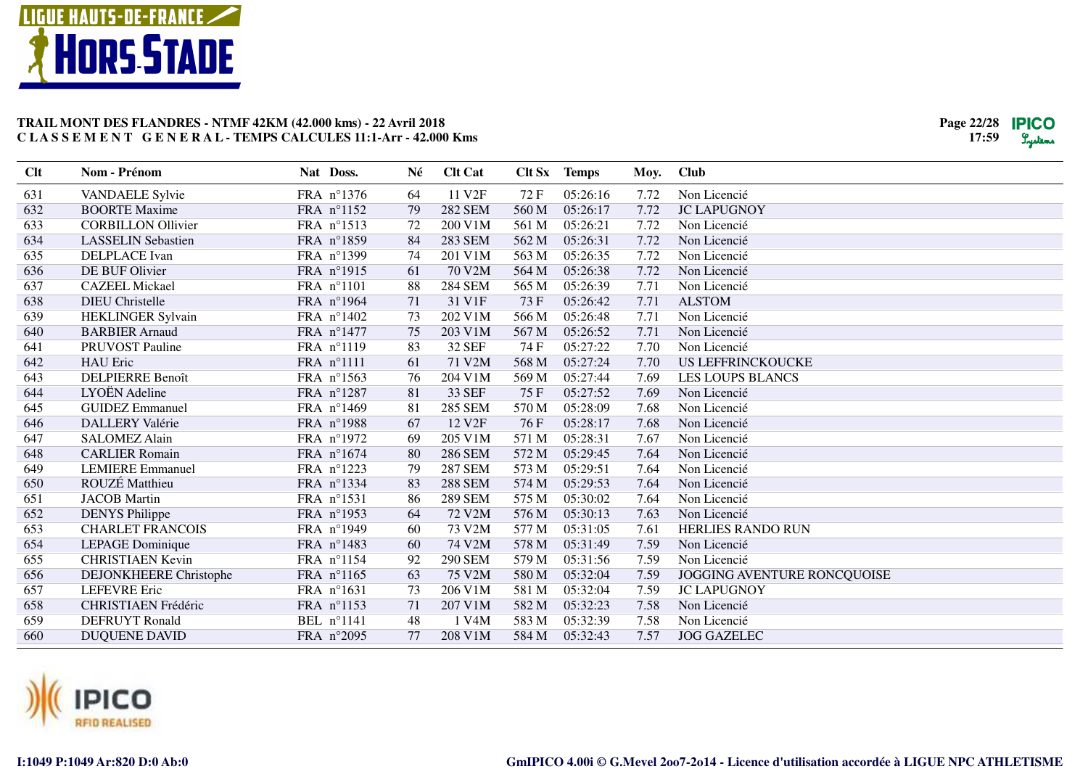



| Clt | Nom - Prénom                  | Nat Doss.           | Né | <b>Clt Cat</b>     |       | Clt Sx Temps | Moy. | <b>Club</b>                 |
|-----|-------------------------------|---------------------|----|--------------------|-------|--------------|------|-----------------------------|
| 631 | VANDAELE Sylvie               | FRA nº1376          | 64 | 11 V2F             | 72F   | 05:26:16     | 7.72 | Non Licencié                |
| 632 | <b>BOORTE Maxime</b>          | FRA nº1152          | 79 | <b>282 SEM</b>     | 560 M | 05:26:17     | 7.72 | <b>JC LAPUGNOY</b>          |
| 633 | <b>CORBILLON Ollivier</b>     | FRA n°1513          | 72 | 200 V1M            | 561 M | 05:26:21     | 7.72 | Non Licencié                |
| 634 | <b>LASSELIN Sebastien</b>     | FRA n°1859          | 84 | 283 SEM            | 562 M | 05:26:31     | 7.72 | Non Licencié                |
| 635 | <b>DELPLACE</b> Ivan          | FRA n°1399          | 74 | 201 V1M            | 563 M | 05:26:35     | 7.72 | Non Licencié                |
| 636 | DE BUF Olivier                | FRA n°1915          | 61 | 70 V2M             | 564 M | 05:26:38     | 7.72 | Non Licencié                |
| 637 | <b>CAZEEL Mickael</b>         | FRA n°1101          | 88 | <b>284 SEM</b>     | 565 M | 05:26:39     | 7.71 | Non Licencié                |
| 638 | <b>DIEU</b> Christelle        | FRA n°1964          | 71 | 31 V1F             | 73 F  | 05:26:42     | 7.71 | <b>ALSTOM</b>               |
| 639 | HEKLINGER Sylvain             | FRA n°1402          | 73 | 202 V1M            | 566 M | 05:26:48     | 7.71 | Non Licencié                |
| 640 | <b>BARBIER Arnaud</b>         | FRA n°1477          | 75 | 203 V1M            | 567 M | 05:26:52     | 7.71 | Non Licencié                |
| 641 | PRUVOST Pauline               | FRA n°1119          | 83 | <b>32 SEF</b>      | 74 F  | 05:27:22     | 7.70 | Non Licencié                |
| 642 | <b>HAU</b> Eric               | FRA n°1111          | 61 | 71 V2M             | 568 M | 05:27:24     | 7.70 | <b>US LEFFRINCKOUCKE</b>    |
| 643 | <b>DELPIERRE Benoît</b>       | FRA n°1563          | 76 | 204 V1M            | 569 M | 05:27:44     | 7.69 | <b>LES LOUPS BLANCS</b>     |
| 644 | LYOËN Adeline                 | FRA n°1287          | 81 | 33 SEF             | 75F   | 05:27:52     | 7.69 | Non Licencié                |
| 645 | <b>GUIDEZ</b> Emmanuel        | FRA n°1469          | 81 | <b>285 SEM</b>     | 570 M | 05:28:09     | 7.68 | Non Licencié                |
| 646 | <b>DALLERY Valérie</b>        | FRA n°1988          | 67 | 12 V <sub>2F</sub> | 76F   | 05:28:17     | 7.68 | Non Licencié                |
| 647 | <b>SALOMEZ Alain</b>          | FRA n°1972          | 69 | 205 V1M            | 571 M | 05:28:31     | 7.67 | Non Licencié                |
| 648 | <b>CARLIER Romain</b>         | FRA n°1674          | 80 | <b>286 SEM</b>     | 572 M | 05:29:45     | 7.64 | Non Licencié                |
| 649 | <b>LEMIERE</b> Emmanuel       | FRA n°1223          | 79 | <b>287 SEM</b>     | 573 M | 05:29:51     | 7.64 | Non Licencié                |
| 650 | ROUZÉ Matthieu                | FRA nº1334          | 83 | <b>288 SEM</b>     | 574 M | 05:29:53     | 7.64 | Non Licencié                |
| 651 | <b>JACOB</b> Martin           | FRA n°1531          | 86 | <b>289 SEM</b>     | 575 M | 05:30:02     | 7.64 | Non Licencié                |
| 652 | <b>DENYS Philippe</b>         | FRA nº1953          | 64 | 72 V2M             | 576 M | 05:30:13     | 7.63 | Non Licencié                |
| 653 | <b>CHARLET FRANCOIS</b>       | FRA n°1949          | 60 | 73 V2M             | 577 M | 05:31:05     | 7.61 | <b>HERLIES RANDO RUN</b>    |
| 654 | LEPAGE Dominique              | FRA n°1483          | 60 | 74 V2M             | 578 M | 05:31:49     | 7.59 | Non Licencié                |
| 655 | <b>CHRISTIAEN Kevin</b>       | FRA $n^{\circ}1154$ | 92 | <b>290 SEM</b>     | 579 M | 05:31:56     | 7.59 | Non Licencié                |
| 656 | <b>DEJONKHEERE</b> Christophe | FRA n°1165          | 63 | 75 V2M             | 580 M | 05:32:04     | 7.59 | JOGGING AVENTURE RONCQUOISE |
| 657 | <b>LEFEVRE</b> Eric           | FRA n°1631          | 73 | 206 V1M            | 581 M | 05:32:04     | 7.59 | <b>JC LAPUGNOY</b>          |
| 658 | CHRISTIAEN Frédéric           | FRA n°1153          | 71 | 207 V1M            | 582 M | 05:32:23     | 7.58 | Non Licencié                |
| 659 | <b>DEFRUYT Ronald</b>         | BEL n°1141          | 48 | 1 V4M              | 583 M | 05:32:39     | 7.58 | Non Licencié                |
| 660 | <b>DUQUENE DAVID</b>          | FRA n°2095          | 77 | 208 V1M            | 584 M | 05:32:43     | 7.57 | <b>JOG GAZELEC</b>          |

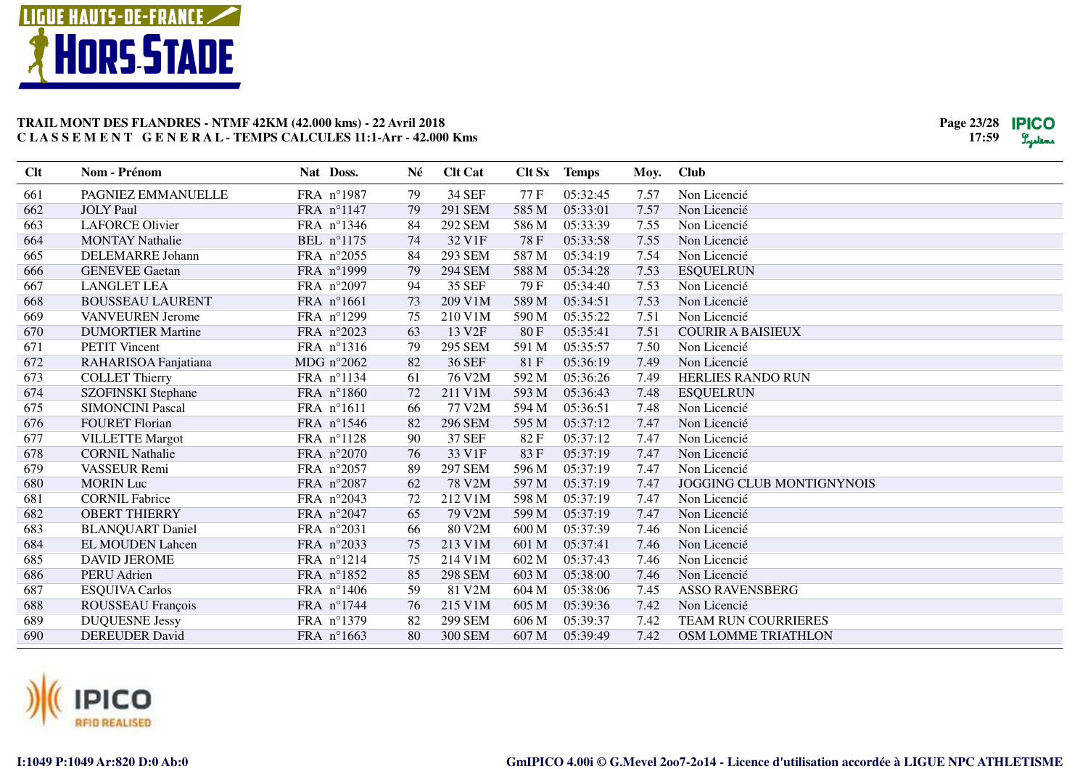



| Clt | Nom - Prénom              | Nat Doss.           | Né | <b>Clt Cat</b>                       | Clt Sx | <b>Temps</b> | Moy. | <b>Club</b>                      |
|-----|---------------------------|---------------------|----|--------------------------------------|--------|--------------|------|----------------------------------|
| 661 | PAGNIEZ EMMANUELLE        | FRA n°1987          | 79 | <b>34 SEF</b>                        | 77 F   | 05:32:45     | 7.57 | Non Licencié                     |
| 662 | <b>JOLY Paul</b>          | FRA n°1147          | 79 | <b>291 SEM</b>                       | 585 M  | 05:33:01     | 7.57 | Non Licencié                     |
| 663 | <b>LAFORCE Olivier</b>    | FRA nº1346          | 84 | <b>292 SEM</b>                       | 586 M  | 05:33:39     | 7.55 | Non Licencié                     |
| 664 | <b>MONTAY Nathalie</b>    | BEL nº1175          | 74 | 32 V1F                               | 78F    | 05:33:58     | 7.55 | Non Licencié                     |
| 665 | DELEMARRE Johann          | FRA n°2055          | 84 | <b>293 SEM</b>                       | 587 M  | 05:34:19     | 7.54 | Non Licencié                     |
| 666 | <b>GENEVEE Gaetan</b>     | FRA n°1999          | 79 | <b>294 SEM</b>                       | 588 M  | 05:34:28     | 7.53 | <b>ESQUELRUN</b>                 |
| 667 | <b>LANGLET LEA</b>        | FRA n°2097          | 94 | <b>35 SEF</b>                        | 79F    | 05:34:40     | 7.53 | Non Licencié                     |
| 668 | <b>BOUSSEAU LAURENT</b>   | FRA n°1661          | 73 | 209 V1M                              | 589 M  | 05:34:51     | 7.53 | Non Licencié                     |
| 669 | <b>VANVEUREN</b> Jerome   | FRA n°1299          | 75 | 210 V1M                              | 590 M  | 05:35:22     | 7.51 | Non Licencié                     |
| 670 | <b>DUMORTIER Martine</b>  | FRA n°2023          | 63 | 13 V <sub>2F</sub>                   | 80F    | 05:35:41     | 7.51 | <b>COURIR A BAISIEUX</b>         |
| 671 | <b>PETIT Vincent</b>      | FRA nº1316          | 79 | 295 SEM                              | 591 M  | 05:35:57     | 7.50 | Non Licencié                     |
| 672 | RAHARISOA Fanjatiana      | MDG $n^{\circ}2062$ | 82 | 36 SEF                               | 81F    | 05:36:19     | 7.49 | Non Licencié                     |
| 673 | <b>COLLET Thierry</b>     | FRA n°1134          | 61 | $76 \text{ V}2\overline{\mathrm{M}}$ | 592 M  | 05:36:26     | 7.49 | <b>HERLIES RANDO RUN</b>         |
| 674 | <b>SZOFINSKI</b> Stephane | FRA n°1860          | 72 | 211 V1M                              | 593 M  | 05:36:43     | 7.48 | <b>ESQUELRUN</b>                 |
| 675 | <b>SIMONCINI Pascal</b>   | FRA n°1611          | 66 | 77 V2M                               | 594 M  | 05:36:51     | 7.48 | Non Licencié                     |
| 676 | <b>FOURET Florian</b>     | FRA nº1546          | 82 | <b>296 SEM</b>                       | 595 M  | 05:37:12     | 7.47 | Non Licencié                     |
| 677 | <b>VILLETTE Margot</b>    | FRA $n^{\circ}1128$ | 90 | 37 SEF                               | 82 F   | 05:37:12     | 7.47 | Non Licencié                     |
| 678 | <b>CORNIL Nathalie</b>    | FRA n°2070          | 76 | 33 V1F                               | 83F    | 05:37:19     | 7.47 | Non Licencié                     |
| 679 | VASSEUR Remi              | FRA n°2057          | 89 | <b>297 SEM</b>                       | 596 M  | 05:37:19     | 7.47 | Non Licencié                     |
| 680 | <b>MORIN</b> Luc          | FRA n°2087          | 62 | 78 V2M                               | 597 M  | 05:37:19     | 7.47 | <b>JOGGING CLUB MONTIGNYNOIS</b> |
| 681 | <b>CORNIL Fabrice</b>     | FRA n°2043          | 72 | $212$ V $1\overline{M}$              | 598 M  | 05:37:19     | 7.47 | Non Licencié                     |
| 682 | <b>OBERT THIERRY</b>      | FRA n°2047          | 65 | 79 V2M                               | 599 M  | 05:37:19     | 7.47 | Non Licencié                     |
| 683 | <b>BLANQUART Daniel</b>   | FRA n°2031          | 66 | 80 V2M                               | 600 M  | 05:37:39     | 7.46 | Non Licencié                     |
| 684 | <b>EL MOUDEN Lahcen</b>   | FRA n°2033          | 75 | 213 V1M                              | 601 M  | 05:37:41     | 7.46 | Non Licencié                     |
| 685 | <b>DAVID JEROME</b>       | FRA n°1214          | 75 | 214 V1M                              | 602 M  | 05:37:43     | 7.46 | Non Licencié                     |
| 686 | <b>PERU</b> Adrien        | FRA n°1852          | 85 | <b>298 SEM</b>                       | 603 M  | 05:38:00     | 7.46 | Non Licencié                     |
| 687 | <b>ESQUIVA Carlos</b>     | FRA n°1406          | 59 | 81 V2M                               | 604 M  | 05:38:06     | 7.45 | <b>ASSO RAVENSBERG</b>           |
| 688 | ROUSSEAU François         | FRA $n^{\circ}1744$ | 76 | 215 V1M                              | 605 M  | 05:39:36     | 7.42 | Non Licencié                     |
| 689 | <b>DUQUESNE Jessy</b>     | FRA n°1379          | 82 | <b>299 SEM</b>                       | 606 M  | 05:39:37     | 7.42 | TEAM RUN COURRIERES              |
| 690 | <b>DEREUDER David</b>     | FRA n°1663          | 80 | <b>300 SEM</b>                       | 607 M  | 05:39:49     | 7.42 | OSM LOMME TRIATHLON              |

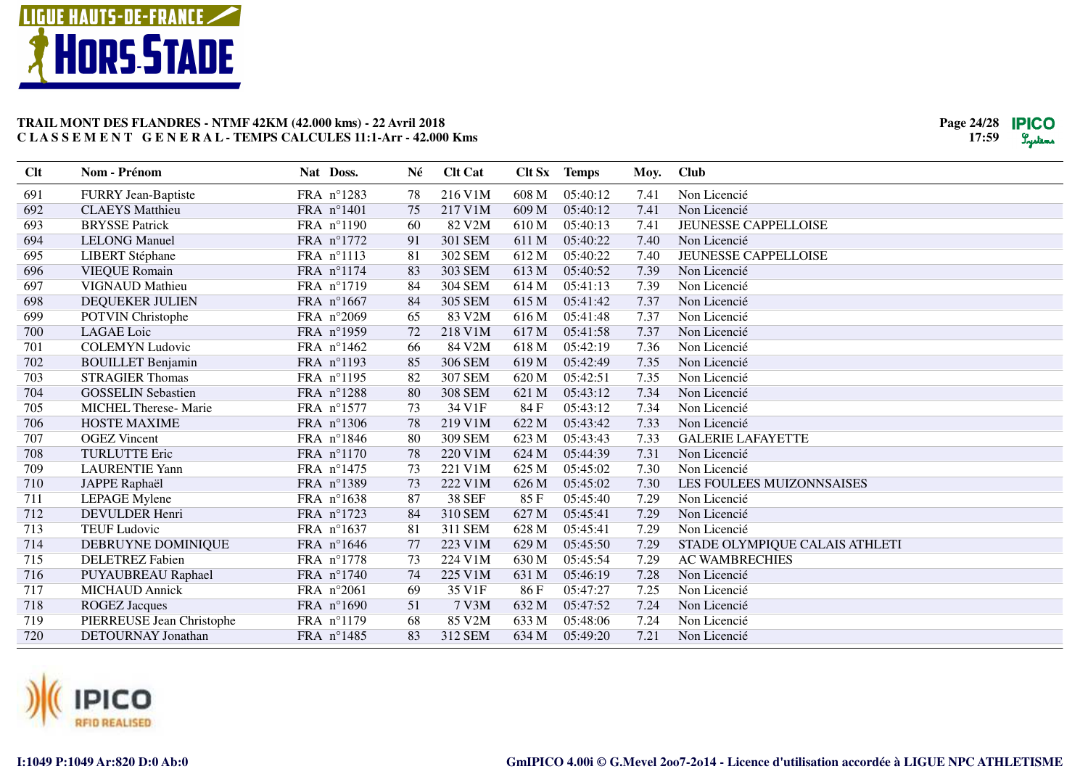



| <b>Clt</b> | Nom - Prénom                | Nat Doss.           | Né | <b>Clt Cat</b> |       | Clt Sx Temps | Moy. | <b>Club</b>                    |
|------------|-----------------------------|---------------------|----|----------------|-------|--------------|------|--------------------------------|
| 691        | <b>FURRY Jean-Baptiste</b>  | FRA n°1283          | 78 | 216 V1M        | 608 M | 05:40:12     | 7.41 | Non Licencié                   |
| 692        | <b>CLAEYS</b> Matthieu      | FRA n°1401          | 75 | 217 V1M        | 609 M | 05:40:12     | 7.41 | Non Licencié                   |
| 693        | <b>BRYSSE Patrick</b>       | FRA n°1190          | 60 | 82 V2M         | 610 M | 05:40:13     | 7.41 | <b>JEUNESSE CAPPELLOISE</b>    |
| 694        | <b>LELONG Manuel</b>        | FRA n°1772          | 91 | 301 SEM        | 611 M | 05:40:22     | 7.40 | Non Licencié                   |
| 695        | <b>LIBERT</b> Stéphane      | FRA n°1113          | 81 | 302 SEM        | 612 M | 05:40:22     | 7.40 | <b>JEUNESSE CAPPELLOISE</b>    |
| 696        | <b>VIEQUE Romain</b>        | FRA n°1174          | 83 | 303 SEM        | 613 M | 05:40:52     | 7.39 | Non Licencié                   |
| 697        | <b>VIGNAUD Mathieu</b>      | FRA n°1719          | 84 | <b>304 SEM</b> | 614 M | 05:41:13     | 7.39 | Non Licencié                   |
| 698        | DEQUEKER JULIEN             | FRA n°1667          | 84 | 305 SEM        | 615 M | 05:41:42     | 7.37 | Non Licencié                   |
| 699        | POTVIN Christophe           | FRA n°2069          | 65 | 83 V2M         | 616 M | 05:41:48     | 7.37 | Non Licencié                   |
| 700        | <b>LAGAE</b> Loic           | FRA n°1959          | 72 | 218 V1M        | 617 M | 05:41:58     | 7.37 | Non Licencié                   |
| 701        | <b>COLEMYN Ludovic</b>      | FRA $n^{\circ}1462$ | 66 | 84 V2M         | 618 M | 05:42:19     | 7.36 | Non Licencié                   |
| 702        | <b>BOUILLET Benjamin</b>    | FRA n°1193          | 85 | <b>306 SEM</b> | 619 M | 05:42:49     | 7.35 | Non Licencié                   |
| 703        | <b>STRAGIER Thomas</b>      | FRA n°1195          | 82 | <b>307 SEM</b> | 620 M | 05:42:51     | 7.35 | Non Licencié                   |
| 704        | <b>GOSSELIN Sebastien</b>   | FRA n°1288          | 80 | <b>308 SEM</b> | 621 M | 05:43:12     | 7.34 | Non Licencié                   |
| 705        | <b>MICHEL Therese-Marie</b> | FRA n°1577          | 73 | 34 V1F         | 84 F  | 05:43:12     | 7.34 | Non Licencié                   |
| 706        | <b>HOSTE MAXIME</b>         | FRA n°1306          | 78 | 219 V1M        | 622 M | 05:43:42     | 7.33 | Non Licencié                   |
| 707        | <b>OGEZ</b> Vincent         | FRA n°1846          | 80 | 309 SEM        | 623 M | 05:43:43     | 7.33 | <b>GALERIE LAFAYETTE</b>       |
| 708        | <b>TURLUTTE Eric</b>        | FRA n°1170          | 78 | 220 V1M        | 624 M | 05:44:39     | 7.31 | Non Licencié                   |
| 709        | <b>LAURENTIE Yann</b>       | FRA n°1475          | 73 | 221 V1M        | 625 M | 05:45:02     | 7.30 | Non Licencié                   |
| 710        | JAPPE Raphaël               | FRA nº1389          | 73 | 222 V1M        | 626 M | 05:45:02     | 7.30 | LES FOULEES MUIZONNSAISES      |
| 711        | <b>LEPAGE</b> Mylene        | FRA n°1638          | 87 | <b>38 SEF</b>  | 85F   | 05:45:40     | 7.29 | Non Licencié                   |
| 712        | <b>DEVULDER Henri</b>       | FRA n°1723          | 84 | 310 SEM        | 627 M | 05:45:41     | 7.29 | Non Licencié                   |
| 713        | <b>TEUF Ludovic</b>         | FRA n°1637          | 81 | 311 SEM        | 628 M | 05:45:41     | 7.29 | Non Licencié                   |
| 714        | DEBRUYNE DOMINIQUE          | FRA n°1646          | 77 | 223 V1M        | 629 M | 05:45:50     | 7.29 | STADE OLYMPIQUE CALAIS ATHLETI |
| 715        | <b>DELETREZ Fabien</b>      | FRA n°1778          | 73 | 224 V1M        | 630 M | 05:45:54     | 7.29 | <b>AC WAMBRECHIES</b>          |
| 716        | PUYAUBREAU Raphael          | FRA n°1740          | 74 | 225 V1M        | 631 M | 05:46:19     | 7.28 | Non Licencié                   |
| 717        | <b>MICHAUD Annick</b>       | FRA n°2061          | 69 | 35 V1F         | 86 F  | 05:47:27     | 7.25 | Non Licencié                   |
| 718        | <b>ROGEZ Jacques</b>        | FRA n°1690          | 51 | 7 V3M          | 632 M | 05:47:52     | 7.24 | Non Licencié                   |
| 719        | PIERREUSE Jean Christophe   | FRA n°1179          | 68 | 85 V2M         | 633 M | 05:48:06     | 7.24 | Non Licencié                   |
| 720        | DETOURNAY Jonathan          | FRA n°1485          | 83 | 312 SEM        | 634 M | 05:49:20     | 7.21 | Non Licencié                   |

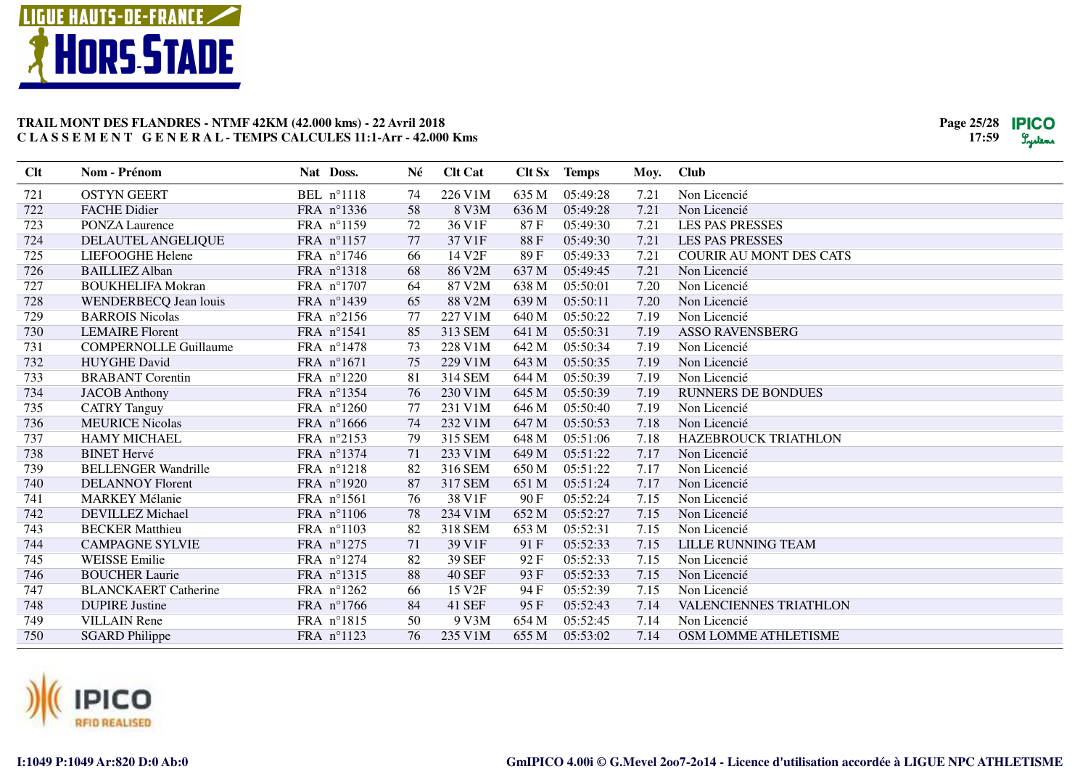



| 226 V1M<br>721<br><b>OSTYN GEERT</b><br>BEL n°1118<br>635 M<br>05:49:28<br>7.21<br>74<br>Non Licencié                            |  |
|----------------------------------------------------------------------------------------------------------------------------------|--|
| 722<br>58<br><b>FACHE Didier</b><br>FRA n°1336<br>8 V3M<br>636 M<br>05:49:28<br>7.21<br>Non Licencié                             |  |
| 723<br>FRA n°1159<br>72<br>36 V1F<br>87F<br>05:49:30<br><b>PONZA Laurence</b><br>7.21<br><b>LES PAS PRESSES</b>                  |  |
| 37 V1F<br>724<br>DELAUTEL ANGELIQUE<br>FRA n°1157<br>77<br>88F<br>05:49:30<br>7.21<br><b>LES PAS PRESSES</b>                     |  |
| 725<br>FRA n°1746<br>14 V2F<br>89F<br>05:49:33<br><b>COURIR AU MONT DES CATS</b><br>LIEFOOGHE Helene<br>66<br>7.21               |  |
| 726<br><b>BAILLIEZ Alban</b><br>FRA n°1318<br>86 V2M<br>68<br>637 M<br>05:49:45<br>7.21<br>Non Licencié                          |  |
| 727<br>FRA n°1707<br>87 V2M<br><b>BOUKHELIFA Mokran</b><br>64<br>638 M<br>05:50:01<br>7.20<br>Non Licencié                       |  |
| 88 V2M<br>05:50:11<br>728<br>WENDERBECQ Jean louis<br>FRA n°1439<br>65<br>639 M<br>7.20<br>Non Licencié                          |  |
| 729<br>FRA n°2156<br>77<br>227 V1M<br>640 M<br>05:50:22<br>7.19<br>Non Licencié<br><b>BARROIS Nicolas</b>                        |  |
| 730<br><b>LEMAIRE</b> Florent<br>FRA n°1541<br>85<br>313 SEM<br>641 M<br>05:50:31<br>7.19<br><b>ASSO RAVENSBERG</b>              |  |
| FRA n°1478<br>05:50:34<br>731<br><b>COMPERNOLLE Guillaume</b><br>73<br>228 V1M<br>642 M<br>7.19<br>Non Licencié                  |  |
| FRA n°1671<br>732<br><b>HUYGHE David</b><br>75<br>229 V1M<br>643 M<br>05:50:35<br>7.19<br>Non Licencié                           |  |
| 05:50:39<br>733<br>FRA n°1220<br>81<br>314 SEM<br>644 M<br>7.19<br>Non Licencié<br><b>BRABANT</b> Corentin                       |  |
| 05:50:39<br>734<br>FRA n°1354<br>76<br>230 V1M<br>645 M<br>7.19<br><b>RUNNERS DE BONDUES</b><br><b>JACOB</b> Anthony             |  |
| 735<br>FRA n°1260<br>231 V1M<br><b>CATRY Tanguy</b><br>77<br>646 M<br>05:50:40<br>7.19<br>Non Licencié                           |  |
| 736<br><b>MEURICE Nicolas</b><br>FRA n°1666<br>74<br>232 V1M<br>647 M<br>05:50:53<br>7.18<br>Non Licencié                        |  |
| 737<br><b>HAMY MICHAEL</b><br>FRA n°2153<br>79<br>315 SEM<br>648 M<br>05:51:06<br>7.18<br><b>HAZEBROUCK TRIATHLON</b>            |  |
| 738<br>FRA n°1374<br>233 V1M<br><b>BINET Hervé</b><br>71<br>649 M<br>05:51:22<br>7.17<br>Non Licencié                            |  |
| 739<br><b>BELLENGER Wandrille</b><br>FRA n°1218<br>82<br>316 SEM<br>650 M<br>05:51:22<br>7.17<br>Non Licencié                    |  |
| 740<br>87<br>317 SEM<br>7.17<br><b>DELANNOY Florent</b><br>FRA n°1920<br>651 M<br>05:51:24<br>Non Licencié                       |  |
| 741<br>FRA n°1561<br>38 V1F<br><b>MARKEY Mélanie</b><br>76<br>90F<br>05:52:24<br>7.15<br>Non Licencié                            |  |
| 742<br>FRA n°1106<br>78<br>234 V1M<br>05:52:27<br><b>DEVILLEZ Michael</b><br>652 M<br>7.15<br>Non Licencié                       |  |
| 743<br><b>BECKER Matthieu</b><br>FRA n°1103<br>82<br>318 SEM<br>653 M<br>05:52:31<br>7.15<br>Non Licencié                        |  |
| 71<br>39 V1F<br>744<br><b>CAMPAGNE SYLVIE</b><br>FRA n°1275<br>91F<br>05:52:33<br>7.15<br>LILLE RUNNING TEAM                     |  |
| <b>39 SEF</b><br>745<br><b>WEISSE Emilie</b><br>FRA n°1274<br>82<br>92F<br>05:52:33<br>Non Licencié<br>7.15                      |  |
| 746<br><b>BOUCHER Laurie</b><br>FRA n°1315<br>88<br><b>40 SEF</b><br>93 F<br>05:52:33<br>7.15<br>Non Licencié                    |  |
| 747<br><b>BLANCKAERT Catherine</b><br>FRA n°1262<br>66<br>15 V2F<br>94 F<br>05:52:39<br>7.15<br>Non Licencié                     |  |
| 748<br>84<br>05:52:43<br><b>DUPIRE Justine</b><br>FRA $n^{\circ}1766$<br>41 SEF<br>95 F<br>7.14<br><b>VALENCIENNES TRIATHLON</b> |  |
| 749<br><b>VILLAIN</b> Rene<br>FRA n°1815<br>50<br>9 V3M<br>654 M<br>05:52:45<br>7.14<br>Non Licencié                             |  |
| FRA nº1123<br>235 V1M<br>655 M<br>05:53:02<br>7.14<br>OSM LOMME ATHLETISME<br>750<br><b>SGARD Philippe</b><br>76                 |  |

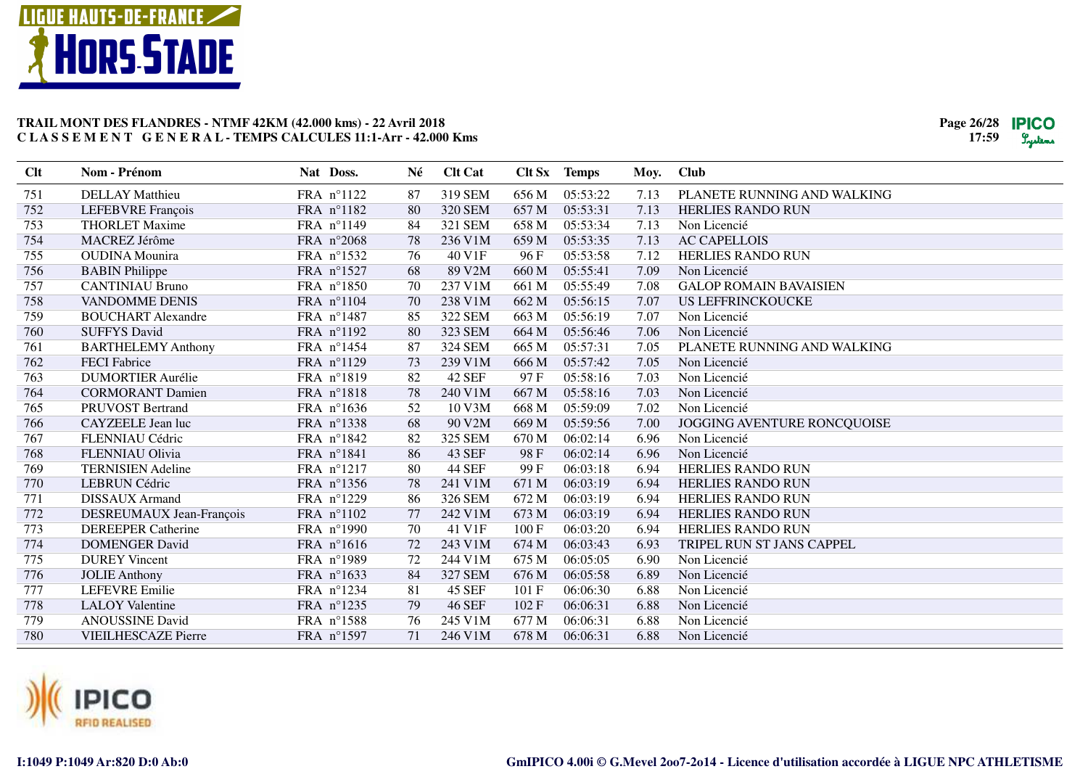



| Clt | Nom - Prénom               | Nat Doss.  | Né | <b>Clt Cat</b> |       | Clt Sx Temps | Moy. | <b>Club</b>                   |
|-----|----------------------------|------------|----|----------------|-------|--------------|------|-------------------------------|
| 751 | <b>DELLAY</b> Matthieu     | FRA nº1122 | 87 | 319 SEM        | 656 M | 05:53:22     | 7.13 | PLANETE RUNNING AND WALKING   |
| 752 | LEFEBVRE François          | FRA n°1182 | 80 | <b>320 SEM</b> | 657 M | 05:53:31     | 7.13 | <b>HERLIES RANDO RUN</b>      |
| 753 | <b>THORLET Maxime</b>      | FRA n°1149 | 84 | 321 SEM        | 658 M | 05:53:34     | 7.13 | Non Licencié                  |
| 754 | MACREZ Jérôme              | FRA n°2068 | 78 | 236 V1M        | 659 M | 05:53:35     | 7.13 | <b>AC CAPELLOIS</b>           |
| 755 | <b>OUDINA</b> Mounira      | FRA nº1532 | 76 | 40 V1F         | 96F   | 05:53:58     | 7.12 | HERLIES RANDO RUN             |
| 756 | <b>BABIN</b> Philippe      | FRA n°1527 | 68 | 89 V2M         | 660 M | 05:55:41     | 7.09 | Non Licencié                  |
| 757 | <b>CANTINIAU Bruno</b>     | FRA n°1850 | 70 | 237 V1M        | 661 M | 05:55:49     | 7.08 | <b>GALOP ROMAIN BAVAISIEN</b> |
| 758 | <b>VANDOMME DENIS</b>      | FRA n°1104 | 70 | 238 V1M        | 662 M | 05:56:15     | 7.07 | US LEFFRINCKOUCKE             |
| 759 | <b>BOUCHART Alexandre</b>  | FRA n°1487 | 85 | 322 SEM        | 663 M | 05:56:19     | 7.07 | Non Licencié                  |
| 760 | <b>SUFFYS David</b>        | FRA n°1192 | 80 | 323 SEM        | 664 M | 05:56:46     | 7.06 | Non Licencié                  |
| 761 | <b>BARTHELEMY Anthony</b>  | FRA n°1454 | 87 | <b>324 SEM</b> | 665 M | 05:57:31     | 7.05 | PLANETE RUNNING AND WALKING   |
| 762 | <b>FECI</b> Fabrice        | FRA n°1129 | 73 | 239 V1M        | 666 M | 05:57:42     | 7.05 | Non Licencié                  |
| 763 | <b>DUMORTIER Aurélie</b>   | FRA n°1819 | 82 | <b>42 SEF</b>  | 97 F  | 05:58:16     | 7.03 | Non Licencié                  |
| 764 | <b>CORMORANT Damien</b>    | FRA n°1818 | 78 | 240 V1M        | 667 M | 05:58:16     | 7.03 | Non Licencié                  |
| 765 | <b>PRUVOST Bertrand</b>    | FRA n°1636 | 52 | 10 V3M         | 668 M | 05:59:09     | 7.02 | Non Licencié                  |
| 766 | CAYZEELE Jean luc          | FRA nº1338 | 68 | 90 V2M         | 669 M | 05:59:56     | 7.00 | JOGGING AVENTURE RONCQUOISE   |
| 767 | FLENNIAU Cédric            | FRA n°1842 | 82 | 325 SEM        | 670 M | 06:02:14     | 6.96 | Non Licencié                  |
| 768 | FLENNIAU Olivia            | FRA n°1841 | 86 | <b>43 SEF</b>  | 98F   | 06:02:14     | 6.96 | Non Licencié                  |
| 769 | <b>TERNISIEN Adeline</b>   | FRA n°1217 | 80 | <b>44 SEF</b>  | 99F   | 06:03:18     | 6.94 | <b>HERLIES RANDO RUN</b>      |
| 770 | <b>LEBRUN Cédric</b>       | FRA n°1356 | 78 | 241 V1M        | 671 M | 06:03:19     | 6.94 | <b>HERLIES RANDO RUN</b>      |
| 771 | <b>DISSAUX</b> Armand      | FRA n°1229 | 86 | 326 SEM        | 672 M | 06:03:19     | 6.94 | <b>HERLIES RANDO RUN</b>      |
| 772 | DESREUMAUX Jean-François   | FRA n°1102 | 77 | 242 V1M        | 673 M | 06:03:19     | 6.94 | <b>HERLIES RANDO RUN</b>      |
| 773 | <b>DEREEPER Catherine</b>  | FRA n°1990 | 70 | 41 V1F         | 100F  | 06:03:20     | 6.94 | <b>HERLIES RANDO RUN</b>      |
| 774 | <b>DOMENGER David</b>      | FRA n°1616 | 72 | 243 V1M        | 674 M | 06:03:43     | 6.93 | TRIPEL RUN ST JANS CAPPEL     |
| 775 | <b>DUREY</b> Vincent       | FRA n°1989 | 72 | 244 V1M        | 675 M | 06:05:05     | 6.90 | Non Licencié                  |
| 776 | <b>JOLIE</b> Anthony       | FRA nº1633 | 84 | <b>327 SEM</b> | 676 M | 06:05:58     | 6.89 | Non Licencié                  |
| 777 | <b>LEFEVRE Emilie</b>      | FRA nº1234 | 81 | <b>45 SEF</b>  | 101 F | 06:06:30     | 6.88 | Non Licencié                  |
| 778 | <b>LALOY Valentine</b>     | FRA nº1235 | 79 | <b>46 SEF</b>  | 102 F | 06:06:31     | 6.88 | Non Licencié                  |
| 779 | <b>ANOUSSINE David</b>     | FRA nº1588 | 76 | 245 V1M        | 677 M | 06:06:31     | 6.88 | Non Licencié                  |
| 780 | <b>VIEILHESCAZE Pierre</b> | FRA n°1597 | 71 | 246 V1M        | 678 M | 06:06:31     | 6.88 | Non Licencié                  |

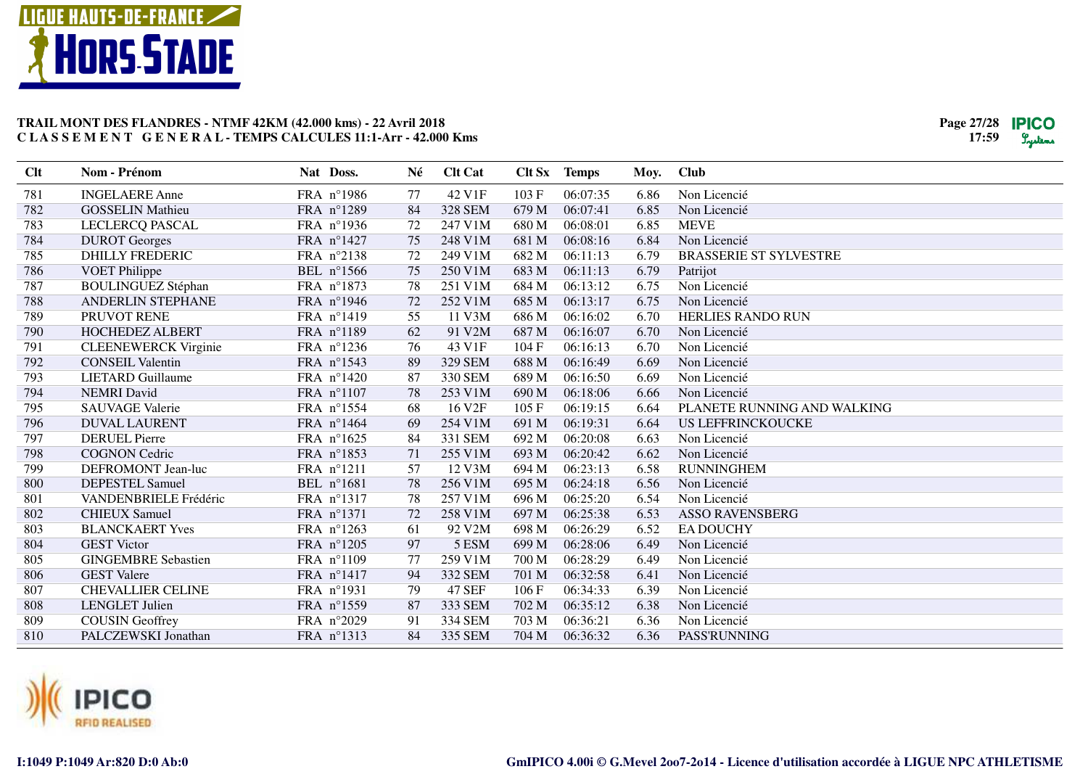



| Clt | Nom - Prénom                | Nat Doss.  | Né | <b>Clt Cat</b>     |       | Clt Sx Temps | Moy. | <b>Club</b>                   |
|-----|-----------------------------|------------|----|--------------------|-------|--------------|------|-------------------------------|
| 781 | <b>INGELAERE Anne</b>       | FRA n°1986 | 77 | 42 V1F             | 103F  | 06:07:35     | 6.86 | Non Licencié                  |
| 782 | <b>GOSSELIN Mathieu</b>     | FRA n°1289 | 84 | <b>328 SEM</b>     | 679 M | 06:07:41     | 6.85 | Non Licencié                  |
| 783 | LECLERCQ PASCAL             | FRA n°1936 | 72 | 247 V1M            | 680 M | 06:08:01     | 6.85 | <b>MEVE</b>                   |
| 784 | <b>DUROT</b> Georges        | FRA n°1427 | 75 | 248 V1M            | 681 M | 06:08:16     | 6.84 | Non Licencié                  |
| 785 | <b>DHILLY FREDERIC</b>      | FRA n°2138 | 72 | 249 V1M            | 682 M | 06:11:13     | 6.79 | <b>BRASSERIE ST SYLVESTRE</b> |
| 786 | <b>VOET Philippe</b>        | BEL n°1566 | 75 | 250 V1M            | 683 M | 06:11:13     | 6.79 | Patrijot                      |
| 787 | <b>BOULINGUEZ Stéphan</b>   | FRA n°1873 | 78 | 251 V1M            | 684 M | 06:13:12     | 6.75 | Non Licencié                  |
| 788 | <b>ANDERLIN STEPHANE</b>    | FRA n°1946 | 72 | 252 V1M            | 685 M | 06:13:17     | 6.75 | Non Licencié                  |
| 789 | PRUVOT RENE                 | FRA n°1419 | 55 | 11 V3M             | 686 M | 06:16:02     | 6.70 | <b>HERLIES RANDO RUN</b>      |
| 790 | <b>HOCHEDEZ ALBERT</b>      | FRA n°1189 | 62 | 91 V2M             | 687 M | 06:16:07     | 6.70 | Non Licencié                  |
| 791 | <b>CLEENEWERCK Virginie</b> | FRA nº1236 | 76 | 43 V1F             | 104 F | 06:16:13     | 6.70 | Non Licencié                  |
| 792 | <b>CONSEIL Valentin</b>     | FRA nº1543 | 89 | 329 SEM            | 688 M | 06:16:49     | 6.69 | Non Licencié                  |
| 793 | <b>LIETARD</b> Guillaume    | FRA n°1420 | 87 | 330 SEM            | 689 M | 06:16:50     | 6.69 | Non Licencié                  |
| 794 | <b>NEMRI</b> David          | FRA n°1107 | 78 | 253 V1M            | 690 M | 06:18:06     | 6.66 | Non Licencié                  |
| 795 | <b>SAUVAGE Valerie</b>      | FRA n°1554 | 68 | 16 V <sub>2F</sub> | 105F  | 06:19:15     | 6.64 | PLANETE RUNNING AND WALKING   |
| 796 | <b>DUVAL LAURENT</b>        | FRA n°1464 | 69 | 254 V1M            | 691 M | 06:19:31     | 6.64 | <b>US LEFFRINCKOUCKE</b>      |
| 797 | <b>DERUEL Pierre</b>        | FRA n°1625 | 84 | 331 SEM            | 692 M | 06:20:08     | 6.63 | Non Licencié                  |
| 798 | <b>COGNON</b> Cedric        | FRA n°1853 | 71 | 255 V1M            | 693 M | 06:20:42     | 6.62 | Non Licencié                  |
| 799 | DEFROMONT Jean-luc          | FRA n°1211 | 57 | 12 V3M             | 694 M | 06:23:13     | 6.58 | <b>RUNNINGHEM</b>             |
| 800 | DEPESTEL Samuel             | BEL n°1681 | 78 | 256 V1M            | 695 M | 06:24:18     | 6.56 | Non Licencié                  |
| 801 | VANDENBRIELE Frédéric       | FRA nº1317 | 78 | 257 V1M            | 696 M | 06:25:20     | 6.54 | Non Licencié                  |
| 802 | <b>CHIEUX Samuel</b>        | FRA n°1371 | 72 | 258 V1M            | 697 M | 06:25:38     | 6.53 | <b>ASSO RAVENSBERG</b>        |
| 803 | <b>BLANCKAERT Yves</b>      | FRA n°1263 | 61 | 92 V2M             | 698 M | 06:26:29     | 6.52 | <b>EA DOUCHY</b>              |
| 804 | <b>GEST</b> Victor          | FRA n°1205 | 97 | 5 ESM              | 699 M | 06:28:06     | 6.49 | Non Licencié                  |
| 805 | <b>GINGEMBRE Sebastien</b>  | FRA n°1109 | 77 | 259 V1M            | 700 M | 06:28:29     | 6.49 | Non Licencié                  |
| 806 | <b>GEST</b> Valere          | FRA n°1417 | 94 | 332 SEM            | 701 M | 06:32:58     | 6.41 | Non Licencié                  |
| 807 | <b>CHEVALLIER CELINE</b>    | FRA n°1931 | 79 | <b>47 SEF</b>      | 106 F | 06:34:33     | 6.39 | Non Licencié                  |
| 808 | <b>LENGLET</b> Julien       | FRA n°1559 | 87 | 333 SEM            | 702 M | 06:35:12     | 6.38 | Non Licencié                  |
| 809 | <b>COUSIN Geoffrey</b>      | FRA n°2029 | 91 | 334 SEM            | 703 M | 06:36:21     | 6.36 | Non Licencié                  |
| 810 | PALCZEWSKI Jonathan         | FRA nº1313 | 84 | 335 SEM            | 704 M | 06:36:32     | 6.36 | PASS'RUNNING                  |